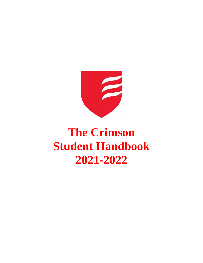

# **The Crimson Student Handbook 2021-2022**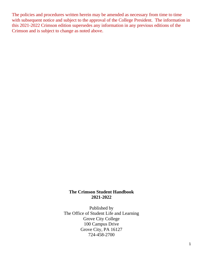The policies and procedures written herein may be amended as necessary from time to time with subsequent notice and subject to the approval of the College President. The information in this 2021-2022 Crimson edition supersedes any information in any previous editions of the Crimson and is subject to change as noted above.

## **The Crimson Student Handbook 2021-2022**

Published by The Office of Student Life and Learning Grove City College 100 Campus Drive Grove City, PA 16127 724-458-2700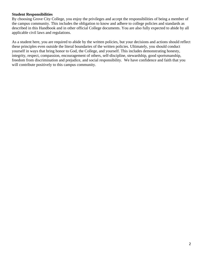#### **Student Responsibilities**

By choosing Grove City College, you enjoy the privileges and accept the responsibilities of being a member of the campus community. This includes the obligation to know and adhere to college policies and standards as described in this Handbook and in other official College documents. You are also fully expected to abide by all applicable civil laws and regulations.

As a student here, you are required to abide by the written policies, but your decisions and actions should reflect these principles even outside the literal boundaries of the written policies. Ultimately, you should conduct yourself in ways that bring honor to God, the College, and yourself. This includes demonstrating honesty, integrity, respect, compassion, encouragement of others, self-discipline, stewardship, good sportsmanship, freedom from discrimination and prejudice, and social responsibility. We have confidence and faith that you will contribute positively to this campus community.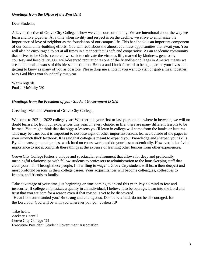## *Greetings from the Office of the President*

Dear Students,

A key distinctive of Grove City College is how we value our community. We are intentional about the way we learn and live together. At a time when civility and respect is on the decline, we strive to emphasize the importance of love of neighbor as the foundation of our campus life. This handbook is an important component of our community-building efforts. You will read about the almost countless opportunities that await you. You will also be encouraged to act at all times in a manner that is safe and cooperative. As an academic community that strives to be Christ-centered, we seek to cultivate the virtuous life, marked by kindness, generosity, courtesy and hospitality. Our well-deserved reputation as one of the friendliest colleges in America means we are all cultural stewards of this blessed institution. Brenda and I look forward to being a part of your lives and getting to know as many of you as possible. Please drop me a note if you want to visit or grab a meal together. May God bless you abundantly this year.

Warm regards, Paul J. McNulty '80

## *Greetings from the President of your Student Government [SGA]*

Greetings Men and Women of Grove City College,

Welcome to 2021 – 2022 college year! Whether it is your first or last year or somewhere in between, we will no doubt learn a lot from our experiences this year. In every chapter in life, there are many different lessons to be learned. You might think that the biggest lessons you'll learn in college will come from the books or lectures. This may be true, but it is important to not lose sight of other important lessons learned outside of the pages in your six-inch thick textbook. It is said that college is meant to expand your knowledge and sharpen your skills. By all means, get good grades, work hard on coursework, and do your best academically. However, it is of vital importance to not accomplish these things at the expense of learning other lessons from other experiences.

Grove City College fosters a unique and spectacular environment that allows for deep and profoundly meaningful relationships with fellow students to professors to administration to the housekeeping staff that clean your hall. Through these people, I'm willing to wager a Grove City student will learn their deepest and most profound lessons in their college career. Your acquaintances will become colleagues, colleagues to friends, and friends to family.

Take advantage of your time just beginning or time coming to an end this year. Pay no mind to fear and insecurity. If college emphasizes a quality in an individual, I believe it to be courage. Lean into the Lord and trust that you are here for a reason even if that reason is yet to be discovered. "Have I not commanded you? Be strong and courageous. Do not be afraid; do not be discouraged, for the Lord your God will be with you wherever you go." Joshua 1:9

Take heart, Zackery Coryell Grove City College '22 Executive President, Student Government Association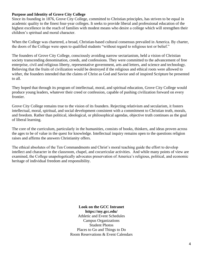## **Purpose and Identity of Grove City College**

Since its founding in 1876, Grove City College, committed to Christian principles, has striven to be equal in academic quality to the finest four-year colleges. It seeks to provide liberal and professional education of the highest excellence in the reach of families with modest means who desire a college which will strengthen their children's spiritual and moral character.

When the College was chartered, a broad, Christian-based cultural consensus prevailed in America. By charter, the doors of the College were open to qualified students "without regard to religious test or belief."

The founders of Grove City College, consciously avoiding narrow sectarianism, held a vision of Christian society transcending denomination, creeds, and confessions. They were committed to the advancement of free enterprise, civil and religious liberty, representative government, arts and letters, and science and technology. Believing that the fruits of civilization would be destroyed if the religious and ethical roots were allowed to wither, the founders intended that the claims of Christ as God and Savior and of inspired Scripture be presented to all.

They hoped that through its program of intellectual, moral, and spiritual education, Grove City College would produce young leaders, whatever their creed or confession, capable of pushing civilization forward on every frontier.

Grove City College remains true to the vision of its founders. Rejecting relativism and secularism, it fosters intellectual, moral, spiritual, and social development consistent with a commitment to Christian truth, morals, and freedom. Rather than political, ideological, or philosophical agendas, objective truth continues as the goal of liberal learning.

The core of the curriculum, particularly in the humanities, consists of books, thinkers, and ideas proven across the ages to be of value in the quest for knowledge. Intellectual inquiry remains open to the questions religion raises and affirms the answers Christianity offers.

The ethical absolutes of the Ten Commandments and Christ's moral teaching guide the effort to develop intellect and character in the classroom, chapel, and cocurricular activities. And while many points of view are examined, the College unapologetically advocates preservation of America's religious, political, and economic heritage of individual freedom and responsibility.

> **Look on the GCC Intranet https://my.gcc.edu/** Athletic and Event Schedules Campus Organizations Student Photos Places to Go and Things to Do Room Reservations & Event Calendars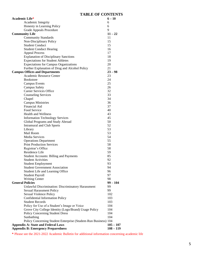## **TABLE OF CONTENTS**

| Academic Life*                                                  | $6 - 10$    |
|-----------------------------------------------------------------|-------------|
| Academic Integrity                                              | 6           |
| Honesty in Learning Policy                                      | 6           |
| Grade Appeals Procedure                                         | 9           |
| <b>Community Life</b>                                           | $11 - 22$   |
| <b>Community Standards</b>                                      | 11          |
| Non-Disciplinary Policy                                         | 15          |
| <b>Student Conduct</b>                                          | 15          |
| <b>Student Conduct Hearing</b>                                  | 16          |
| <b>Appeal Process</b>                                           | 17          |
| <b>Explanation of Disciplinary Sanctions</b>                    | 18          |
| <b>Expectations for Student Athletes</b>                        | 19          |
| <b>Expectations for Campus Organizations</b>                    | 20          |
| Further Explanation of Drug and Alcohol Policy                  | 21          |
| <b>Campus Offices and Departments</b>                           | $23 - 98$   |
| Academic Resource Center                                        | 23          |
| <b>Bookstore</b>                                                | 24          |
| <b>Campus Events</b>                                            | 25          |
| <b>Campus Safety</b>                                            | 26          |
| Career Services Office                                          | 32          |
| <b>Counseling Services</b>                                      | 33          |
| Chapel                                                          | 34          |
| <b>Campus Ministries</b>                                        | 36          |
| <b>Financial Aid</b>                                            | 37          |
| Food Service                                                    | 40          |
| <b>Health and Wellness</b>                                      | 43          |
| <b>Information Technology Services</b>                          | 45          |
| Global Programs and Study Abroad                                | 50          |
| <b>Intramural and Club Sports</b>                               | 52          |
| Library                                                         | 53          |
| Mail Room                                                       | 53          |
| Media Services                                                  | 54          |
| <b>Operations Department</b>                                    | 55          |
| <b>Print Production Services</b>                                | 58          |
| Registrar's Office                                              | 58          |
| Residence Life                                                  | 59          |
| <b>Student Accounts: Billing and Payments</b>                   | 85          |
| <b>Student Activities</b>                                       | 92          |
| <b>Student Employment</b>                                       | 93          |
| <b>Student Government Association</b>                           | 94          |
| Student Life and Learning Office                                | 96          |
| <b>Student Payroll</b>                                          | 97          |
| <b>Writing Center</b>                                           | 98          |
| <b>General Policies</b>                                         | $99 - 104$  |
| Unlawful Discrimination: Discriminatory Harassment              | 99          |
| <b>Sexual Harassment Policy</b>                                 | 99          |
| Sexual Violence Policy                                          | 102         |
| <b>Confidential Information Policy</b>                          | 103         |
| <b>Student Records</b>                                          | 103         |
| Policy for Use of a Student's Image or Voice                    | 104         |
| Grove City College Identity (Logo/Brand) Usage Policy           | 104         |
| <b>Policy Concerning Student Dress</b>                          | 104         |
| Sunbathing                                                      | 104         |
| Policy Concerning Student Enterprise (Student-Run Business) 104 |             |
| <b>Appendix A: State and Federal Laws</b>                       | $105 - 107$ |
| <b>Appendix B: Emergency Preparedness</b>                       | $108 - 119$ |
|                                                                 |             |

**\*** Please see the 2021-2022 Academic Bulletin for additional information concerning academic life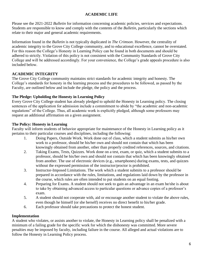## **ACADEMIC LIFE**

Please see the 2021-2022 *Bulletin* for information concerning academic policies, services and expectations. Students are responsible to know and comply with the contents of the *Bulletin*, particularly the sections which relate to their major and general academic requirements.

Information found in the *Bulletin* is not typically duplicated in *The Crimson*. However, the centrality of academic integrity to the Grove City College community, and to educational excellence, cannot be overstated. For this reason the College's Honesty in Learning Policy can be found in both documents and should be adhered to strictly. Violation of this policy is not consistent with the Community Standards of Grove City College and will be addressed accordingly. For your convenience, the College's grade appeals procedure is also included below.

## **ACADEMIC INTEGRITY**

The Grove City College community maintains strict standards for academic integrity and honesty. The College's standards for honesty in the learning process and the procedures to be followed, as passed by the Faculty, are outlined below and include the pledge, the policy and the process.

## **The Pledge: Upholding the Honesty in Learning Policy**

Every Grove City College student has already pledged to uphold the Honesty in Learning policy. The closing sentences of the application for admission include a commitment to abide by "the academic and non-academic regulations" of the College. Thus, all academic work is explicitly pledged, although some professors may request an additional affirmation on a given assignment.

## **The Policy: Honesty in Learning**

Faculty will inform students of behavior appropriate for maintenance of the Honesty in Learning policy as it pertains to their particular courses and disciplines, including the following:

- 1. Doing Papers, Outside Work. Work done out of class, which a student submits as his/her own work to a professor, should be his/her own and should not contain that which has been knowingly obtained from another, other than properly credited references, sources, and citations.
- 2. Taking Exams, Tests, Quizzes. Work done on a test, exam, or quiz, which a student submits to a professor, should be his/her own and should not contain that which has been knowingly obtained from another. The use of electronic devices (e.g., smartphones) during exams, tests, and quizzes without the expressed permission of the instructor/proctor is prohibited.
- 3. Instructor-Imposed Limitations. The work which a student submits to a professor should be prepared in accordance with the rules, limitations, and regulations laid down by the professor in the course, which rules are often intended to put students on an equal footing.
- 4. Preparing for Exams. A student should not seek to gain an advantage in an exam he/she is about to take by obtaining advanced access to particular questions or advance copies of a professor's exam.
- 5. A student should not cooperate with, aid or encourage another student to violate the above rules, even though he himself (or she herself) receives no direct benefit to his/her grade.
- 6. Each professor should take precautions to protect the honest student.

## **Implementation**

A student who violates, or assists another to violate, the Honesty in Learning policy shall be penalized with a minimum of a failing grade for the specific work for which the dishonesty was committed. More severe penalties may be imposed by faculty, including failure in the course. All alleged and actual violations are to follow the Honesty in Learning Policy process.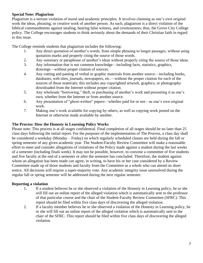## **Special Note: Plagiarism**

Plagiarism is a serious violation of moral and academic principles. It involves claiming as one's own original work the ideas, phrasing, or creative work of another person. As such, plagiarism is a direct violation of the biblical commandments against stealing, bearing false witness, and covetousness; thus, the Grove City College policy. The College encourages students to think seriously about the demands of their Christian faith in regard to this issue.

The College reminds students that plagiarism includes the following:

- 1. Any direct quotation of another's words, from simple phrasing to longer passages, without using quotation marks and properly citing the source of those words.
- 2. Any summary or paraphrase of another's ideas without properly citing the source of those ideas.
- 3. Any information that is not common knowledge—including facts, statistics, graphics, drawings—without proper citation of sources.
- 4. Any cutting and pasting of verbal or graphic materials from another source—including books, databases, web sites, journals, newspapers, etc.—without the proper citation for each of the sources of those materials; this includes any copyrighted artwork, graphics, or photography downloaded from the Internet without proper citation.
- 5. Any wholesale "borrowing," theft, or purchasing of another's work and presenting it as one's own, whether from the Internet or from another source.
- 6. Any presentation of "ghost-written" papers—whether paid for or not—as one's own original work.
- 7. Making one's work available for copying by others, as well as copying work posted on the Internet or otherwise made available by another.

## **The Process: How the Honesty in Learning Policy Works**

Please note: This process is at all stages confidential. Final completion of all stages should be no later than 25 class days following the initial report. For the purposes of the implementation of The Process, a class day shall be considered a weekday (Monday – Friday) on which regularly scheduled classes are held during the fall or spring semester of any given academic year. The Student-Faculty Review Committee will make a reasonable effort to meet and consider allegations of violations of the Policy made against a student during the last weeks of a semester (including finals week). It may not be possible, however, to convene a committee of five students and five faculty at the end of a semester or after the semester has concluded. Therefore, the student against whom an allegation has been made can agree, in writing, to have his or her case considered by a Review Committee made up of those students and faculty from the Committee as a whole who can attend on short notice. All decisions will require a super-majority vote. Any academic integrity issue unresolved during the regular fall or spring semester will be addressed during the next regular semester.

## **Reporting a violation**

- 1. If a student believes he or she observed a violation of the Honesty in Learning policy, he or she will fill out an online report of the alleged violation which is automatically sent to the professor of that particular course and the chair of the Student-Faculty Review Committee (SFRC). This report should be filed within five class days of discovering the alleged violation.
- 2. If a faculty member believes he or she observed a violation of the Honesty in Learning policy, he or she will fill out an online report of the alleged violation which is automatically sent to the chair of the SFRC. This report should be filed within five class days of discovering the alleged violation.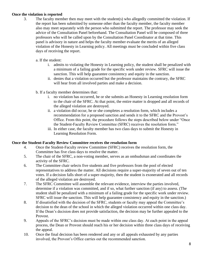## **Once the violation is reported**

- 3. The faculty member then may meet with the student(s) who allegedly committed the violation. If the report has been submitted by someone other than the faculty member, the faculty member also may meet separately with the person who submitted the report. The professor may seek the advice of the Consultation Panel beforehand. The Consultation Panel will be composed of three professors who will be called upon by the Consultation Panel Coordinator at that time. This panel is advisory in nature and helps the faculty member evaluate the merits of an alleged violation of the Honesty in Learning policy. All meetings must be concluded within five class days of receiving the report.
	- a. If the student:
		- i. admits to violating the Honesty in Learning policy, the student shall be penalized with a minimum of a failing grade for the specific work under review. SFRC will issue the sanction. This will help guarantee consistency and equity in the sanction.
		- ii. denies that a violation occurred but the professor maintains the contrary, the SFRC will hear from all involved parties and make a decision.
	- b. If a faculty member determines that:
		- i. no violation has occurred, he or she submits an Honesty in Learning resolution form to the chair of the SFRC. At that point, the entire matter is dropped and all records of the alleged violation are destroyed.
		- ii. a violation did occur, he or she completes a resolution form, which includes a recommendation for a proposed sanction and sends it to the SFRC and the Provost's Office. From this point, the procedure follows the steps described below under "Once the Student-Faculty Review Committee (SFRC) receives the resolution form."
		- iii. In either case, the faculty member has two class days to submit the Honesty in Learning Resolution Form.

## **Once the Student-Faculty Review Committee receives the resolution form**

- 4. Once the Student-Faculty review Committee (SFRC) receives the resolution form, the Committee has five class days to resolve the matter.
- 5. The chair of the SFRC, a non-voting member, serves as an ombudsman and coordinates the activity of the SFRC.
- 6. The Committee chair selects five students and five professors from the pool of elected representatives to address the matter. All decisions require a super-majority of seven out of ten votes. If a decision falls short of a super-majority, then the student is exonerated and all records of the alleged violation are destroyed.
- 7. The SFRC Committee will assemble the relevant evidence, interview the parties involved, determine if a violation was committed, and if so, what further sanction (if any) to assess. (The student shall be penalized with a minimum of a failing grade for the specific work under review. SFRC will issue the sanction. This will help guarantee consistency and equity in the sanction.)
- 8. If dissatisfied with the decision of the SFRC, students or faculty may appeal the Committee's decision to the dean of the school in which the alleged violation occurred within one class day. If the Dean's decision does not provide satisfaction, the decision may be further appealed to the Provost.
- 9. Appeals of the SFRC's decision must be made within one class day. At each point in the appeal process, the Dean or Provost should reach his or her decision within three class days of receiving the appeal.
- 10. Once the final decision has been rendered and any or all appeals exhausted by any parties involved, the Provost's Office carries out the recommended sanction.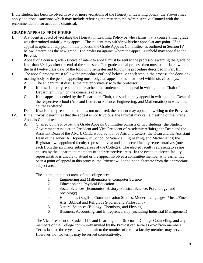If the student has been involved in two or more violations of the Honesty in Learning policy, the Provost may apply additional sanctions which may include referring the matter to the Administrative Council with the recommendation for academic dismissal.

## **GRADE APPEALS PROCEDURE**

- I. A student accused of violating the Honesty in Learning Policy or who claims that a course's final grade was determined unfairly may appeal. The student may withdraw his/her appeal at any point. If an appeal is upheld at any point in the process, the Grade Appeals Committee, as outlined in Section IV below, determines the new grade. The professor against whom the appeal is upheld may appeal to the Provost.
- II. Appeal of a course grade Notice of intent to appeal must be sent to the professor awarding the grade no later than 30 days after the end of the semester. The grade appeal process then must be initiated within the first twelve class days of the following semester and follow the procedure described in Part III.
- III. The appeal process must follow the procedure outlined below. At each step in the process, the decisionmaking body or the person appealing must lodge an appeal to the next level within six class days.
	- A. The student must discuss the matter privately with the professor.
	- B. If no satisfactory resolution is reached, the student should appeal in writing to the Chair of the Department in which the course is offered.
	- C. If the appeal is denied by the Department Chair, the student may appeal in writing to the Dean of the respective school (Arts and Letters or Science, Engineering, and Mathematics) in which the course is offered.
	- D. If satisfactory resolution still has not occurred, the student may appeal in writing to the Provost.
- IV. If the Provost determines that the appeal is not frivolous, the Provost may call a meeting of the Grade Appeals Committee.
	- A. Chaired by the Provost, the Grade Appeals Committee consists of two students (the Student Government Association President and Vice President of Academic Affairs); the Dean and the Assistant Dean of the Alva J. Calderwood School of Arts and Letters; the Dean and the Assistant Dean of the Albert A. Hopeman, Jr. School of Science, Engineering, and Mathematics; the Registrar; two appointed faculty representatives; and six elected faculty representatives (one each from the six major subject areas of the College). The elected faculty representatives are chosen by the department members of their respective areas. In the event an elected faculty representative is unable to attend or the appeal involves a committee member who earlier has been a point of appeal in this process, the Provost will appoint an alternate from the appropriate subject area.

The six major subject areas of the college are:

- 1. Engineering and Mathematics & Computer Science
- 2. Education and Physical Education
- 3. Social Sciences (Economics, History, Political Science, Psychology, and Sociology)
- 4. Humanities (English, Communication Studies, Modern Languages, Music/Fine Arts, Biblical and Religious Studies, and Philosophy)
- 5. Natural Sciences (Biology, Chemistry, and Physics)
- 6. Business, Accounting, and Entrepreneurship (including Industrial Management)

The Vice President of Student Life and Learning, the Director of College Counseling, and any members of the College community invited by the Provost can serve as ex-officio members. Terms last for three years with no limit to the number of terms a faculty member may serve. However, no two terms may be served consecutively.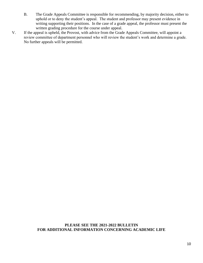- B. The Grade Appeals Committee is responsible for recommending, by majority decision, either to uphold or to deny the student's appeal. The student and professor may present evidence in writing supporting their positions. In the case of a grade appeal, the professor must present the written grading procedure for the course under appeal.
- V. If the appeal is upheld, the Provost, with advice from the Grade Appeals Committee, will appoint a review committee of department personnel who will review the student's work and determine a grade. No further appeals will be permitted.

## **PLEASE SEE THE 2021-2022 BULLETIN FOR ADDITIONAL INFORMATION CONCERNING ACADEMIC LIFE**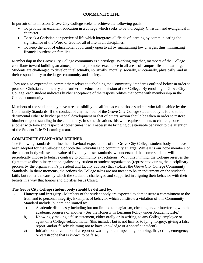## **COMMUNITY LIFE**

In pursuit of its mission, Grove City College seeks to achieve the following goals:

- To provide an excellent education in a college which seeks to be thoroughly Christian and evangelical in character.
- To seek a Christian perspective of life which integrates all fields of learning by communicating the significance of the Word of God for all of life in all disciplines.
- To keep the door of educational opportunity open to all by maintaining low charges, thus minimizing financial burdens on families.

Membership in the Grove City College community is a privilege. Working together, members of the College contribute toward building an atmosphere that promotes excellence in all areas of campus life and learning. Students are challenged to develop intellectually, spiritually, morally, socially, emotionally, physically, and in their responsibility to the larger community and society.

They are also expected to commit themselves to upholding the Community Standards outlined below in order to promote Christian community and further the educational mission of the College. By enrolling in Grove City College, each student indicates his/her acceptance of the responsibilities that come with membership in the College community.

Members of the student body have a responsibility to call into account those students who fail to abide by the Community Standards. If the conduct of any member of the Grove City College student body is found to be detrimental either to his/her personal development or that of others, action should be taken in order to restore him/her to good standing in the community. In some situations this will require students to challenge one another with love and respect. At other times it will necessitate bringing questionable behavior to the attention of the Student Life & Learning team.

## **COMMUNITY STANDARDS DEFINED**

The following standards outline the behavioral expectations of the Grove City College student body and have been adopted for the well-being of both the individual and community at large. While it is our hope members of the student body will see the value of living by these standards, we understand that some students will periodically choose to behave contrary to community expectations. With this in mind, the College reserves the right to take disciplinary action against any student or student organization (represented during the disciplinary process by the organization's president and faculty advisor) that violates the Grove City College Community Standards. In these moments, the actions the College takes are not meant to be an indictment on the student's faith, but rather a means by which the student is challenged and supported in aligning their behavior with their beliefs in a way that honors and glorifies Jesus Christ.

## **The Grove City College student body should be defined by:**

- **1. Honesty and integrity** Members of the student body are expected to demonstrate a commitment to the truth and to personal integrity. Examples of behavior which constitute a violation of this Community Standard include, but are not limited to:
	- a) Academic dishonesty including but not limited to plagiarism, cheating and/or interfering with the academic progress of another. (See the Honesty in Learning Policy under Academic Life.)
	- b) Knowingly making a false statement, either orally or in writing, to any College employee or agent on a College-related matter (this includes but is not limited to lying, forgery, giving a false report, and/or falsely claiming not to have knowledge of a specific incident).
	- c) Initiation or circulation of a report or warning of an impending bombing, fire, crime, emergency, or catastrophe that is known to be false.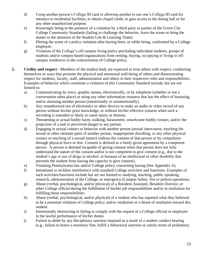- d) Using another person's College ID card or allowing another to use one's College ID card for entrance to residential facilities, to obtain chapel credit, to gain access to the dining hall or for any other unauthorized purpose.
- e) Knowingly being in the presence of a violation by a third party or parties of the Grove City College Community Standards (failing to challenge the behavior, leave the scene or bring the matter to the attention of the Student Life & Learning Team).
- f) Fleeing the scene of a policy violation after having been, or while being, confronted by a College employee.
- g) Violation of the College's off-campus living policy precluding individual students, groups of students and/or campus-based organizations from renting, buying, occupying or living in offcampus residences in the contravention of College policy.
- **2. Civility and respect** Members of the student body are expected to treat others with respect, conducting themselves in ways that promote the physical and emotional well-being of others and demonstrating respect for students, faculty, staff, administration and others in their respective roles and responsibilities. Examples of behavior which constitute a violation of this Community Standard include, but are not limited to:
	- a) Communicating by voice, graphic means, electronically, or by telephone (whether or not a conversation takes place) or using any other information resource that has the effect of harassing and/or alarming another person (intentionally or unintentionally).
	- b) Any unauthorized use of electronics or other devices to make an audio or video record of any person without his/her prior knowledge, or without his/her effective consent when such a recording is intended or likely to cause injury or distress.
	- c) Threatening or actual bodily harm, stalking, harassment, unwelcome bodily contact, and/or the projection of a real or perceived danger to any person.
	- d) Engaging in sexual contact or behavior with another person (sexual intercourse, touching the sexual or other intimate parts of another person, inappropriate disrobing, or any other physical contact or touching of a sexual nature) without the consent of that person or by compulsion through physical force or fear. Consent is defined as a freely given agreement by a competent person. A person is deemed incapable of giving consent when that person does not fully understand the nature of the consent and/or is not competent to give consent (e.g., due to the student's age or use of drugs or alcohol, or because of an intellectual or other disability that prevents the student from having the capacity to give consent).
	- e) Violating Pennsylvania law and/or College policy concerning hazing (See Appendix A).
	- f) Intentional or reckless interference with standard College activities and functions. Examples of such activities/functions include but are not limited to studying, teaching, public speaking, research, administration of the College, or emergency (Campus Safety, fire or police) operations.
	- g) Abuse (verbal, psychological, and/or physical) of a Resident Assistant, Resident Director, or other College official during the fulfillment of his/her job responsibilities and/or in retaliation for fulfilling those responsibilities.
	- h) Abuse (verbal, psychological, and/or physical) of a student who has reported what they believed to be a potential violation of College policy and/or retaliation or a threat of retaliation toward this student.
	- i) Intentionally obstructing or failing to comply with the request of a College official or employee in the lawful performance of his/her duties.
	- j) Failure to abide by any disciplinary sanction imposed as a result of a student conduct hearing (e.g., failure to honor a monetary fine, fulfill a behavioral sanction or satisfy terms of probation).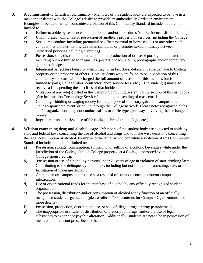- **3. A commitment to Christian community**  Members of the student body are expected to behave in a manner consistent with the College's desire to provide an authentically Christian environment. Examples of behavior which constitute a violation of this Community Standard include, but are not limited to:
	- a) Failure to abide by residence hall open hours and/or procedures (see Residence Life for details).
	- b) Unauthorized taking, use or possession of another's property or services (including the College).
	- c) Sexual misconduct including premarital sex (heterosexual or homosexual) or any other such conduct that violates historic Christian standards or promotes sexual intimacy between unmarried persons (including disrobing).
	- d) Possession, sale, distribution, participation in, production of or use of pornographic material including but not limited to magazines, posters, videos, DVDs, photographs and/or computergenerated images.
	- e) Intentional or reckless behavior which may, or in fact does, deface or cause damage to College property or the property of others. Note: students who are found to be in violation of this community standard will be charged the full amount of restitution (this includes but is not limited to parts, College labor, contractor labor, service fees, etc.). The student(s) may also receive a fine, pending the specifics of that incident.
	- f) Violation of any rule(s) listed in the Campus Computing System Policy section of this handbook (See Information Technology Services) including the sending of mass emails.
	- g) Gambling bidding or waging money for the purpose of monetary gain on campus, at a College-sponsored event, or online through the College network. Please note: recognized clubs and/or organizations may not conduct raffles or raffle type giveaways involving the exchange of money.
	- h) Improper or unauthorized use of the College's brand (name, logo, etc.).
- **4. Wisdom concerning drug and alcohol usage** Members of the student body are expected to abide by state and federal laws concerning the use of alcohol and drugs and to make wise decisions concerning the legal consumption of alcohol. Examples of behavior which constitute a violation of this Community Standard include, but are not limited to:
	- a) Possession, storage, consumption, furnishing, or selling of alcoholic beverages while under the jurisdiction of the College (i.e. on College property, at a College-sponsored event, or on a College-sponsored trip).
	- b) Possession or use of alcohol by persons under 21 years of age in violation of state drinking laws. Contributing to the delinquency of a minor, including but not limited to, furnishing, sale, or the facilitation of underage drinking..
	- c) Creating an on-campus disturbance as a result of off-campus consumption/on-campus public intoxication.
	- d) Use of organizational funds for the purchase of alcohol by any officially recognized student organization.
	- e) The possession, distribution and/or consumption of alcohol at any function of an officially recognized student organization (please refer to "Expectations for Campus Organizations" for more details).
	- f) Possession, production, distribution, use, or sale of illegal drugs or drug paraphernalia.
	- g) The inappropriate use, sale, or distribution of prescription drugs, and/or the use of legal substances to experience psychic alteration. Additionally, students are not to be in possession of medication that is not prescribed to them.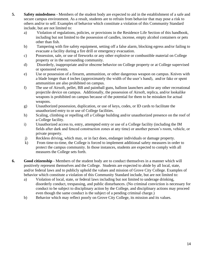- **5. Safety mindedness** Members of the student body are expected to aid in the establishment of a safe and secure campus environment. As a result, students are to refrain from behavior that may pose a risk to others and/or to self. Examples of behavior which constitute a violation of this Community Standard include, but are not limited to:
	- a) Violation of regulations, policies, or provisions in the Residence Life Section of this handbook, including but not limited to the possession of candles, incense, empty alcohol containers or pets other than fish.
	- b) Tampering with fire safety equipment, setting off a false alarm, blocking egress and/or failing to evacuate a facility during a fire drill or emergency evacuation.
	- c) Possession, sale, or use of fireworks or any other explosive or combustible material on College property or in the surrounding community.
	- d) Disorderly, inappropriate and/or obscene behavior on College property or at College supervised or sponsored events.
	- e) Use or possession of a firearm, ammunition, or other dangerous weapon on campus. Knives with a blade longer than 4 inches (approximately the width of the user's hand), and/or fake or spent ammunition are also prohibited on campus.
	- f) The use of Airsoft, pellet, BB and paintball guns, balloon launchers and/or any other recreational projectile device on campus. Additionally, the possession of Airsoft, replica, and/or lookalike weapons is prohibited on campus because of the potential for them to be mistaken for actual weapons.
	- g) Unauthorized possession, duplication, or use of keys, codes, or ID cards to facilitate the unauthorized entry to or use of College facilities.
	- h) Scaling, climbing or repelling off a College building and/or unauthorized presence on the roof of a College facility.
	- i) Unauthorized access to, entry, attempted entry or use of a College facility (including the IM fields after dark and fenced construction zones at any time) or another person's room, vehicle, or private property.
	- j) Reckless driving, which may, or in fact does, endanger individuals or damage property.
	- k) From time-to-time, the College is forced to implement additional safety measures in order to protect the campus community. In those instances, students are expected to comply with all measures the College sets forth.
- **6. Good citizenship** Members of the student body are to conduct themselves in a manner which will positively represent themselves and the College. Students are expected to abide by all local, state, and/or federal laws and to publicly uphold the values and mission of Grove City College. Examples of behavior which constitute a violation of this Community Standard include, but are not limited to:
	- a) Violation of local, state, or federal laws including but not limited to underage drinking, disorderly conduct, trespassing, and public disturbances. (No criminal conviction is necessary for conduct to be subject to disciplinary action by the College, and disciplinary actions may proceed even though the same conduct is the subject of a pending criminal charge.)
	- b) Behavior which may reflect poorly on Grove City College, its mission and its values.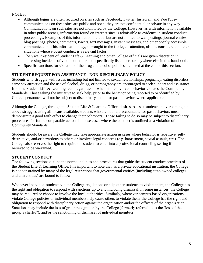## NOTES:

- Although logins are often required on sites such as Facebook, Twitter, Instagram and YouTube– communications on these sites are public and open; they are not confidential or private in any way. Communications on such sites are not monitored by the College. However, as with information available in other public arenas, information found on internet sites is admissible as evidence in student conduct proceedings. Examples of this information include but are not limited to wall postings, journal entries, blog postings, photos, comments, tweets, text messages, instant messages, and other openly accessible communication. This information may, if brought to the College's attention, also be considered in other situations where student conduct is a relevant factor.
- The Vice President of Student Life & Learning and other College officials are given discretion in addressing incidents of violation that are not specifically listed here or anywhere else in this handbook.
- Specific sanctions for violation of the drug and alcohol policies are listed at the end of this section.

## **STUDENT REQUEST FOR ASSISTANCE - NON-DISCIPLINARY POLICY**

Students who struggle with issues including but not limited to sexual relationships, pregnancy, eating disorders, same sex attraction and the use of alcohol, drugs, or pornography are encouraged to seek support and assistance from the Student Life & Learning team regardless of whether the involved behavior violates the Community Standards. Those taking the initiative to seek help, prior to the behavior being reported to or identified by College personnel, will not be subject to disciplinary action for past behavior, where applicable.

Although the College, through the Student Life & Learning Office, desires to assist students in overcoming the above struggles using all means available, students who are not held accountable for past behaviors must demonstrate a good faith effort to change their behaviors. Those failing to do so may be subject to disciplinary procedures for future comparable actions in those cases where the conduct is outlined as a violation of the Community Standards.

Students should be aware the College may take appropriate action in cases where behavior is repetitive, selfdestructive, and/or hazardous to others or involves legal concerns (e.g. harassment, sexual assault, etc.). The College also reserves the right to require the student to enter into a professional counseling setting if it is believed to be warranted.

## **STUDENT CONDUCT**

The following sections outline the normal policies and procedures that guide the student conduct practices of the Student Life & Learning Office. It is important to note that, as a private educational institution, the College is not constrained by many of the legal restrictions that governmental entities (including state-owned colleges and universities) are bound to follow.

Whenever individual students violate College regulations or help other students to violate them, the College has the right and obligation to respond with sanctions up to and including dismissal. In some instances, the College may be required or choose to involve the local authorities. Similarly, whenever campus-based organizations violate College policies or individual members help cause others to violate them, the College has the right and obligation to respond with disciplinary action against the organization and/or the officers of the organization. Sanctions may include the loss of group recognition by the College (formerly referred to as the 'loss of the group's charter"), and/or the sanctioning or dismissal of individual members.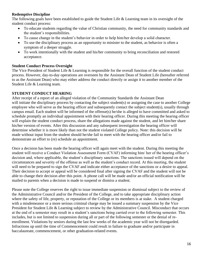## **Redemptive Discipline**

The following goals have been established to guide the Student Life & Learning team in its oversight of the student conduct process:

- To educate students regarding the value of Christian community, the need for community standards and the student's responsibilities.
- To cause change in the student's behavior in order to help him/her develop a solid character.
- To use the disciplinary process as an opportunity to minister to the student, as behavior is often a symptom of a deeper struggle.
- To work intentionally with the student and his/her community to bring reconciliation and restored acceptance.

## **Student Conduct Process Oversight**

The Vice President of Student Life & Learning is responsible for the overall function of the student conduct process. However, day-to-day operations are overseen by the Assistant Dean of Student Life (hereafter referred to as the Assistant Dean) who may either address the conduct directly or assign it to another member of the Student Life & Learning team.

## **STUDENT CONDUCT HEARING**

After receipt of a report of an alleged violation of the Community Standards the Assistant Dean will initiate the disciplinary process by contacting the subject student(s) or assigning the case to another College employee who will serve as the hearing officer and subsequently contact the subject student(s), usually through campus email. Each student will be informed of the offense(s) he/she is alleged to have committed and asked to schedule promptly an individual appointment with their hearing officer. During this meeting the hearing officer will explain the student conduct process, share the allegations made against the student, and let him/her share his/her version of events. After this discussion and any subsequent investigation the hearing officer will determine whether it is more likely than not the student violated College policy. Note: this decision will be made without input from the student should he/she fail to meet with the hearing officer and/or fail to demonstrate an effort to (re) schedule an appointment.

Once a decision has been made the hearing officer will again meet with the student. During this meeting the student will receive a Conduct Violation Assessment Form (CVAF) informing him/ her of the hearing officer's decision and, where applicable, the student's disciplinary sanctions. The sanctions issued will depend on the circumstances and severity of the offense as well as the student's conduct record. At this meeting, the student will need to be prepared to sign the CVAF and indicate either acceptance of the sanctions or a desire to appeal. Their decision to accept or appeal will be considered final after signing the CVAF and the student will not be able to change their decision after this point. A phone call will be made and/or an official notification will be mailed to parents when a decision is made to suspend or dismiss a student.

Please note the College reserves the right to issue immediate suspension or dismissal subject to the review of the Administrative Council and/or the President of the College, and to take appropriate disciplinary action where the safety of life, property, or reputation of the College or its members is at stake. A student charged with a misdemeanor or a more serious criminal charge may be issued a summary suspension by the Vice President for Student Life & Learning subject to review by the Administrative Council. Misconduct that occurs at the end of a semester may result in a student's sanctions being carried over to the following semester. This includes, but is not limited to suspension during all or part of the following semester or the denial of reenrollment. Violations by seniors during the last few weeks of the academic year will not be disregarded. Infractions up until the time of Commencement could result in failure to graduate and/or participate in baccalaureate, commencement, or other graduation-related events.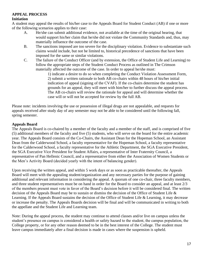## **APPEAL PROCESS**

#### **Initiation**

A student may appeal the results of his/her case to the Appeals Board for Student Conduct (AB) if one or more of the following scenarios applies to their case:

- A. He/she can submit additional evidence, not available at the time of the original hearing, that would support his/her claim that he/she did not violate the Community Standards and, thus, may materially influence the outcome of the case.
- B. The sanctions imposed are too severe for the disciplinary violation. Evidence to substantiate such claims would include, but not be limited to, historical precedence of sanctions that have been imposed for the same or similar violations.
- C. The failure of the Conduct Officer (and by extension, the Office of Student Life and Learning) to follow the appropriate steps of the Student Conduct Process as outlined in The Crimson materially affected the outcome of the case. In order to appeal he/she must:

1) indicate a desire to do so when completing the Conduct Violation Assessment Form, 2) submit a written rationale to both AB co-chairs within 48 hours of his/her initial indication of appeal (signing of the CVAF). If the co-chairs determine the student has grounds for an appeal, they will meet with him/her to further discuss the appeal process. The AB co-chairs will review the rationale for appeal and will determine whether the case will or will not be accepted for review by the full AB.

Please note: incidents involving the use or possession of illegal drugs are not appealable, and requests for appeals received after study day of any semester may not be able to be considered until the following fall, spring semester.

## **Appeals Board**

The Appeals Board is co-chaired by a member of the faculty and a member of the staff, and is comprised of five (5) additional members of the faculty and five (5) students, who will serve on the board for the entire academic year. The Appeals Board consists of the Co-Chairs, the Assistant Dean for the Hopeman School, an Assistant Dean from the Calderwood School, a faculty representative for the Hopeman School, a faculty representative for the Calderwood School, a faculty representative for the Athletic Department, the SGA Executive President, the SGA Executive Vice President for Student Affairs, a representative of Inter Fraternity Council, a representative of Pan Hellenic Council, and a representative from either the Association of Women Students or the Men's Activity Board (decided yearly with the intent of balancing gender).

Upon receiving the written appeal, and within 5 work days or as soon as practicable thereafter, the Appeals Board will meet with the appealing student/organization and any necessary parties for the purpose of gaining additional and relevant information in considering the appeal. A quorum of one co-chair, three faculty members, and three student representatives must be on hand in order for the Board to consider an appeal, and at least 2/3 of the members present must vote in favor of the Board's decision before it will be considered final. The written decision of the Appeals Board may be to sustain or dismiss the decision of the Office of Student Life & Learning. If the Appeals Board sustains the decision of the Office of Student Life & Learning, it may decrease or increase the penalty. The Appeals Boards decision will be final and will be communicated in writing to both the appellate and the Student Life and Learning team.

Note: During the appeal process, the student may continue to attend classes and/or live on campus unless the student's presence on campus is considered a health or safety hazard to the student, the campus population, the College property, or for any other reason deemed to be in the best interest of the College. The student must leave campus immediately after a final decision is made in cases where the suspension is upheld.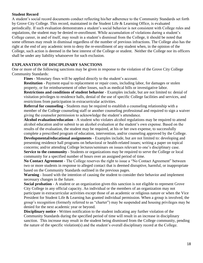## **Student Record**

A student's social record documents conduct reflecting his/her adherence to the Community Standards set forth by Grove City College. This record, maintained in the Student Life & Learning Office, is evaluated periodically. If such evaluation demonstrates a student's social behavior is not consistent with College rules and regulations, the student may be denied re-enrollment. While accumulation of violations during a student's College career, in and of itself, may result in a student's dismissal from the College, it should be noted that some offenses may result in dismissal regardless of the number of previous infractions. The College also has the right at the end of any academic term to deny the re-enrollment of any student when, in the opinion of the College, such action is deemed in the best interest of the College or student. Neither the College nor its officers shall be under any liability whatsoever for such exclusion.

## **EXPLANATION OF DISCIPLINARY SANCTIONS**

One or more of the following sanctions may be given in response to the violation of the Grove City College Community Standards:

**Fines** - Monetary fines will be applied directly to the student's account.

**Restitution** - Payment equal to replacement or repair costs, including labor, for damages or stolen property, or for reimbursement of other losses, such as medical bills or investigative labor.

**Restrictions and conditions of student behavior** - Examples include, but are not limited to: denial of visitation privileges to residence halls, denial of the use of specific College facilities and services, and restrictions from participation in extracurricular activities.

**Referral for counseling** - Students may be required to establish a counseling relationship with a member of the College counseling staff or another counseling professional and required to sign a waiver giving the counselor permission to acknowledge the student's attendance.

**Alcohol evaluation/education** - A student who violates alcohol regulations may be required to attend alcohol education and/or submit to an alcohol evaluation at the student's own expense. Based on the results of the evaluation, the student may be required, at his or her own expense, to successfully complete a prescribed program of education, intervention, and/or counseling approved by the College.

**Developmental/educational assignments** - Examples include, but are not limited to: developing and presenting residence hall programs on behavioral or health-related issues; writing a paper on topical concerns; and/or attending College lectures/seminars on issues relevant to one's disciplinary case. **Service to the community** - Students or organizations may be required to serve the College or local community for a specified number of hours over an assigned period of time.

**No Contact Agreement** - The College reserves the right to issue a "No Contact Agreement" between two or more students in response to alleged contact that is deemed disruptive, harmful, or inappropriate based on the Community Standards outlined in the previous pages.

**Warning** - Issued with the intention of causing the student to consider their behavior and implement necessary changes in the future.

**Social probation** - A student or an organization given this sanction is not eligible to represent Grove City College in any official capacity. An individual or the members of an organization may not participate in extracurricular activities except those of an academic or religious nature or when the Vice President for Student Life & Learning has granted individual permission. When a group is involved, the group's recognition (formerly referred to as "charter") may be suspended and housing privileges may be denied for the next academic year or beyond.

**Disciplinary notice** - Written notification to the student indicating any further violation of the Community Standards during the specified period of time will result in an increase in disciplinary sanction. This increase may result in the student being dismissed from the College community, pending the nature of the specific violation(s) and the student's overall disciplinary record at the College.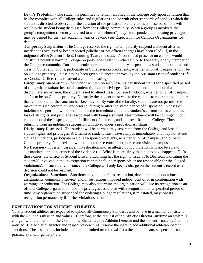**Dean's Probation** - The student is permitted to remain enrolled in the College only upon condition that he/she complies with all College rules and regulations and/or with other standards of conduct which the student is directed to observe for the duration of the probation. Failure to meet these conditions will result in the student being dismissed from the College community. When a group is involved, the group's recognition (formerly referred to as their "charter") may be suspended and housing privileges may be denied for the next academic year or beyond (see Expectation for Campus Organizations for details).

**Temporary Suspension** - The College reserves the right to temporarily suspend a student after an incident has occurred or been reported (whether or not official charges have been filed), if, in the judgment of the Student Life & Learning Team, the student's continued presence on campus would constitute potential harm to College property, the student him/herself, or to the safety of any member of the College community. During the entire duration of a temporary suspension, a student is not to attend class or College functions, participate in College-sponsored events, whether on or off campus, and/or be on College property, unless having been given advanced approval by the Assistant Dean of Student Life or Conduct Officer (i.e., to attend a conduct hearing).

**Disciplinary Suspension** - The student will temporarily lose his/her student status for a specified period of time, with resultant loss of all student rights and privileges. During the entire duration of a disciplinary suspension, the student is not to attend class, College functions, whether on or off campus, and/or to be on College property. Normally the student must vacate the campus to return home no later than 24 hours after the sanction has been levied. By vote of the faculty, students are not permitted to make up missed academic work prior to, during or after the stated period of suspension. In cases of indefinite suspension, which will include the immediate end to the student's current semester and the loss of all rights and privileges associated with being a student, re-enrollment will be contingent upon completion of the suspension, the fulfillment of its terms, and approval from the College. Those returning from an indefinite suspension will do so under a probationary status.

**Disciplinary Dismissal** - The student will be permanently separated from the College and lose all student rights and privileges. A Dismissed student must leave campus immediately and may not attend College functions, participate in College-sponsored events, whether on or off campus, and/or be on College property. No provision will be made for re-enrollment, nor return visits to campus.

**No Decision** - In certain cases, an investigation into an alleged policy violation will not be able to substantiate a preponderance of the evidence (i.e. What is more likely than not to have happened?). In those cases, the Office of Student Life and Learning has the right to issue a No Decision, indicating the student(s) involved in the investigation cannot be found responsible or not responsible for the alleged violation(s). In such a circumstance, the College will only keep a charge on the student's record as a decision could not be reached.

**Organizational Sanctions** - Sanctions may include fines, restitution, developmental/educational assignments, community service, and/or restrictions imposed independent of or in combination with warnings or probation. The College may also determine the organization will lose its recognition as an official College organization, and the privileges associated with recognition, for a specified period of time. Any organization suspended for violating College regulations, if reinstated, may lose its recognition permanently if further violations occur.

## **EXPECTATIONS FOR STUDENT ATHLETES**

Varsity student athletes are expected to uphold all Community Standards and behave in a manner consistent with the College's mission and values. Therefore, at the request of the Athletic Director, anytime an athlete is charged with a violation of the Community Standards, the Athletic Director and the student's coach(es) will be notified. The Athletic Director and respective coach(es) reserve the right to add additional athletic-specific sanctions. These sanctions include, but are not limited to: removal from the athletic team, suspension from practice(s) and/or game(s), etc.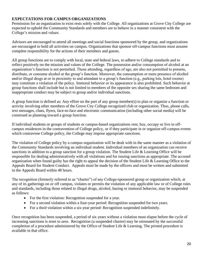## **EXPECTATIONS FOR CAMPUS ORGANIZATIONS**

Permission for an organization to exist rests solely with the College. All organizations at Grove City College are expected to uphold the Community Standards and members are to behave in a manner consistent with the College's mission and values.

Advisors are encouraged to attend all meetings and social functions sponsored by the group, and organizations are encouraged to hold all activities on campus. Organizations that sponsor off-campus functions must assume complete responsibility for the actions of their members and guests.

All group functions are to comply with local, state and federal laws, to adhere to College standards and to reflect positively on the mission and values of the College. The possession and/or consumption of alcohol at an organization's function is not permitted. Those attending, regardless of age, are also not permitted to possess, distribute, or consume alcohol at the group's function. Moreover, the consumption or mere presence of alcohol and/or illegal drugs at or in proximity to and attendant to a group's function (e.g., parking lots, hotel rooms) may constitute a violation of the policy. Immoral behavior or its appearance is also prohibited. Such behavior at group functions shall include but is not limited to members of the opposite sex sharing the same bedroom and inappropriate conduct may be subject to group and/or individual sanctions.

A group function is defined as: Any effort on the part of any group member(s) to plan or organize a function or activity involving other members of the Grove City College recognized club or organization. Thus, phone calls, text messages, chats, flyers, face-to-face and electronic communication (including other social media) will be construed as planning toward a group function.

If individual students or groups of students or campus-based organizations rent, buy, occupy or live in offcampus residences in the contravention of College policy, or if they participate in or organize off-campus events which contravene College policy, the College may impose appropriate sanctions.

The violation of College policy by a campus organization will be dealt with in the same manner as a violation of the Community Standards involving an individual student. Individual members of an organization can receive sanctions in addition to a group sanction for a group violation. The Student Life & Learning Office will be responsible for dealing administratively with all violations and for issuing sanctions as appropriate. The accused organization when found guilty has the right to appeal the decision of the Student Life & Learning Office to the Appeals Board for Student Conduct. Appeals must be made by the officers and must be written and submitted to the Appeals Board within 48 hours.

The recognition (formerly referred to as "charter") of any College-sponsored group or organization which, at any of its gatherings on or off campus, violates or permits the violation of any applicable law or of College rules and standards, including those related to illegal drugs, alcohol, hazing or immoral behavior, may be suspended as follows:

- For the first violation: Recognition suspended for a year.
- For a second violation within a four-year period: Recognition suspended for two years.
- For a third violation within a six-year period: Recognition suspended indefinitely.

Once recognition has been suspended, a period of six years without a violation must elapse before the cycle of increasing sanctions is reset to zero. Recognition (a suspended charter) may be reinstated by the successful completion of a procedure administered by the Office of Student Life & Learning. The printed procedure is available in that office.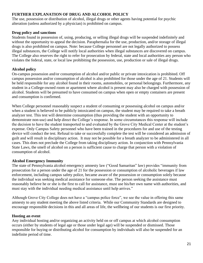## **FURTHER EXPLANATION OF DRUG AND ALCOHOL POLICY**

The use, possession or distribution of alcohol, illegal drugs or other agents having potential for psychic alteration (unless authorized by a physician) is prohibited on campus.

## **Drug policy and sanctions**

Students found in possession of, using, producing, or selling illegal drugs will be suspended indefinitely and without the opportunity to appeal the decision. Paraphernalia for the use, production, and/or storage of illegal drugs is also prohibited on campus. Note: because College personnel are not legally authorized to possess illegal substances, the College will notify local authorities when illegal substances are discovered on campus. The College also reserves the right to refer for prosecution by federal, state and local authorities any person who violates the federal, state, or local law prohibiting the possession, use, production or sale of illegal drugs.

## **Alcohol policy**

On-campus possession and/or consumption of alcohol and/or public or private intoxication is prohibited. Off campus possession and/or consumption of alcohol is also prohibited for those under the age of 21. Students will be held responsible for any alcohol found in their rooms, automobiles, or personal belongings. Furthermore, any student in a College-owned room or apartment where alcohol is present may also be charged with possession of alcohol. Students will be presumed to have consumed on campus when open or empty containers are present and consumption is confirmed.

When College personnel reasonably suspect a student of consuming or possessing alcohol on campus and/or when a student is believed to be publicly intoxicated on campus, the student may be required to take a breath analyzer test. This test will determine consumption (thus providing the student with an opportunity to demonstrate non-use) and help direct the College's response. In some circumstances this response will include the decision to have the student transported to and evaluated by the Grove City Medical Center at the student's expense. Only Campus Safety personnel who have been trained in the procedures for and use of the testing device will conduct the test. Refusal to take or successfully complete the test will be considered an admission of guilt and will result in disciplinary action. It may not be possible for a breath analyzer to be administered in all cases. This does not preclude the College from taking disciplinary action. In conjunction with Pennsylvania State Laws, the smell of alcohol on a person is sufficient cause to charge that person with a violation of consumption of alcohol.

## **Alcohol Emergency Immunity**

The state of Pennsylvania alcohol emergency amnesty law ("Good Samaritan" law) provides "immunity from prosecution for a person under the age of 21 for the possession or consumption of alcoholic beverages if law enforcement, including campus safety police, became aware of the possession or consumption solely because the individual was seeking medical assistance for someone else. The person seeking the assistance must reasonably believe he or she is the first to call for assistance, must use his/her own name with authorities, and must stay with the individual needing medical assistance until help arrives."

Although Grove City College does not have a "campus police force", we see the value in offering this same amnesty to any student meeting the above listed criteria. While our Community Standards are designed to encourage responsible decisions in this and all areas of life, the wellbeing of our students is our first priority.

## **Hosting an event**

Any individual hosting and/or organizing an activity held on or off campus at which alcohol consumption occurs (either by students of legal age or those under legal age) will be suspended or dismissed. Those responsible for buying or distributing alcohol for consumption by individuals will also be suspended for an indefinite period of time.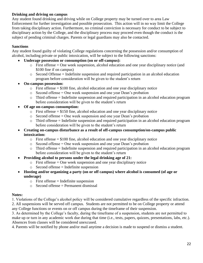## **Drinking and driving on campus**

Any student found drinking and driving while on College property may be turned over to area Law Enforcement for further investigation and possible prosecution. This action will in no way limit the College from taking disciplinary action. Furthermore, no criminal conviction is necessary for conduct to be subject to disciplinary action by the College, and the disciplinary process may proceed even though the conduct is the subject of pending criminal charges. Parents or legal guardians may also be contacted.

## **Sanctions**

Any student found guilty of violating College regulations concerning the possession and/or consumption of alcohol, including private or public intoxication, will be subject to the following sanctions:

- **Underage possession or consumption (on or off-campus):**
	- $\circ$  First offense = One week suspension, alcohol education and one year disciplinary notice (and \$100 fine if on campus)
	- o Second Offense = Indefinite suspension and required participation in an alcohol education program before consideration will be given to the student's return
- **On-campus possession:**
	- $\circ$  First offense = \$100 fine, alcohol education and one year disciplinary notice
	- $\circ$  Second offense = One week suspension and one year Dean's probation
	- $\circ$  Third offense = Indefinite suspension and required participation in an alcohol education program before consideration will be given to the student's return
- **Of age on-campus consumption:**
	- $\circ$  First offense = \$150 fine, alcohol education and one year disciplinary notice
	- o Second offense = One week suspension and one year Dean's probation
	- o Third offense = Indefinite suspension and required participation in an alcohol education program before consideration will be given to the student's return
- **Creating on-campus disturbance as a result of off-campus consumption/on-campus public intoxication:**
	- $\circ$  First offense = \$100 fine, alcohol education and one year disciplinary notice
	- $\circ$  Second offense = One week suspension and one year Dean's probation
	- o Third offense = Indefinite suspension and required participation in an alcohol education program before consideration will be given to the student's return
- **Providing alcohol to persons under the legal drinking age of 21:**
	- o First offense = One week suspension and one year disciplinary notice
	- o Second offense = Indefinite suspension
- **Hosting and/or organizing a party (on or off campus) where alcohol is consumed (of age or underage)**
	- $\circ$  First offense = Indefinite suspension
	- o Second offense = Permanent dismissal

## **Notes:**

1. Violations of the College's alcohol policy will be considered cumulative regardless of the specific infraction. 2. All suspensions will be served off campus. Students are not permitted to be on College property or attend any College functions or events on or off campus during the timeframe of their suspension.

3. As determined by the College's faculty, during the timeframe of a suspension, students are not permitted to make up or turn in any academic work due during that time (i.e., tests, papers, quizzes, presentations, labs, etc.). Absences from classes will be considered unexcused.

4. Parents will be notified by phone and/or mail anytime a decision is made to suspend or dismiss a student.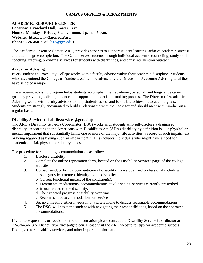## **CAMPUS OFFICES & DEPARTMENTS**

#### **ACADEMIC RESOURCE CENTER Location: Crawford Hall, Lower Level Hours: Monday – Friday, 8 a.m. – noon, 1 p.m. – 5 p.m. Website: http://www2.gcc.edu/arc/ Phone: 724-458-2586 [\(arc@gcc.edu\)](mailto:arc@gcc.edu)**

The Academic Resource Center (ARC) provides services to support student learning, achieve academic success, and attain degree completion. The Center serves students through individual academic counseling, study skills coaching, tutoring, providing services for students with disabilities, and early intervention outreach.

## **Academic Advising:**

Every student at Grove City College works with a faculty advisor within their academic discipline. Students who have entered the College as "undeclared" will be advised by the Director of Academic Advising until they have selected a major.

The academic advising program helps students accomplish their academic, personal, and long-range career goals by providing holistic guidance and support in the decision-making process. The Director of Academic Advising works with faculty advisors to help students assess and formulate achievable academic goals. Students are strongly encouraged to build a relationship with their advisor and should meet with him/her on a regular basis.

#### **Disability Services (disabilityservices@gcc.edu):**

The ARC's Disability Services Coordinator (DSC) works with students who self-disclose a diagnosed disability. According to the Americans with Disabilities Act (ADA) disability by definition is – "a physical or mental impairment that substantially limits one or more of the major life activities, a record of such impairment or being regarded as having such an impairment." This includes individuals who might have a need for academic, social, physical, or dietary needs.

The procedure for obtaining accommodations is as follows:

- 1. Disclose disability
- 2. Complete the online registration form, located on the Disability Services page, of the college website
- 3. Upload, send, or bring documentation of disability from a qualified professional including: a. A diagnostic statement identifying the disability.
	- b. Current functional impact of the condition(s).
	- c. Treatments, medications, accommodations/auxiliary aids, services currently prescribed or in use related to the disability.
	- d. The expected progress or stability over time.
	- e. Recommended accommodations or services
- 4. Set up a meeting either in-person or via telephone to discuss reasonable accommodations.
- 5. The DSC, will assist the student with navigating their responsibilities, based on the approved accommodations.

If you have questions or would like more information please contact the Disability Service Coordinator at 724.264.4673 or DisabilityServices@gcc.edu. Please visit the ARC website for tips for academic success, finding a tutor, disability services, and other important information.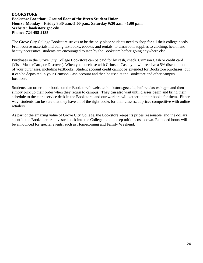#### **BOOKSTORE Bookstore Location: Ground floor of the Breen Student Union Hours: Monday – Friday 8:30 a.m.-5:00 p.m., Saturday 9:30 a.m. - 1:00 p.m. Website: bookstore.gcc.edu Phone: 724-458-2135**

The Grove City College Bookstore strives to be the only place students need to shop for all their college needs. From course materials including textbooks, ebooks, and rentals, to classroom supplies to clothing, health and beauty necessities, students are encouraged to stop by the Bookstore before going anywhere else.

Purchases in the Grove City College Bookstore can be paid for by cash, check, Crimson Cash or credit card (Visa, MasterCard, or Discover). When you purchase with Crimson Cash, you will receive a 5% discount on all of your purchases, including textbooks. Student account credit cannot be extended for Bookstore purchases, but it can be deposited in your Crimson Cash account and then be used at the Bookstore and other campus locations.

Students can order their books on the Bookstore's website, bookstore.gcc.edu, before classes begin and then simply pick up their order when they return to campus. They can also wait until classes begin and bring their schedule to the clerk service desk in the Bookstore, and our workers will gather up their books for them. Either way, students can be sure that they have all of the right books for their classes, at prices competitive with online retailers.

As part of the amazing value of Grove City College, the Bookstore keeps its prices reasonable, and the dollars spent in the Bookstore are invested back into the College to help keep tuition costs down. Extended hours will be announced for special events, such as Homecoming and Family Weekend.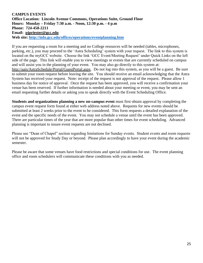#### **CAMPUS EVENTS Office Location: Lincoln Avenue Commons, Operations Suite, Ground Floor Hours: Monday – Friday 7:30 a.m. - Noon, 12:30 p.m. - 4 p.m Phone: 724-458-2211 Email: pjpriester@gcc.edu Web site:<http://info.gcc.edu/offices/operations/eventplanning.htm>**

If you are requesting a room for a meeting and no College resources will be needed (tables, microphones, parking, etc.), you may proceed to the 'Astra Scheduling' system with your request. The link to this system is located on the myGCC website. Choose the link 'GCC Event/Meeting Request' under Quick Links on the left side of the page. This link will enable you to view meetings or events that are currently scheduled on campus and will assist you in the planning of your event. You may also go directly to this system at: http://aais/AstraSchedule/Portal/GuestPortal.aspx. Do not log into this system, as you will be a guest. Be sure to submit your room request before leaving the site. You should receive an email acknowledging that the Astra System has received your request. Note: receipt of the request is not approval of the request. Please allow 1 business day for notice of approval. Once the request has been approved, you will receive a confirmation your venue has been reserved. If further information is needed about your meeting or event, you may be sent an email requesting further details or asking you to speak directly with the Event Scheduling Office.

**Students and organizations planning a new on-campus event** must first obtain approval by completing the campus event request form found at either web address noted above. Requests for new events should be submitted at least 2 weeks prior to the event to be considered. This form requests a detailed explanation of the event and the specific needs of the event. You may not schedule a venue until the event has been approved. There are particular times of the year that are more popular than other times for event scheduling. Advanced planning is important to insure event requests are not declined.

Please see "Dean of Chapel" section regarding limitations for Sunday events. Student events and room requests will not be approved for Study Day or beyond. Please plan accordingly to have your event during the academic semester.

Please be aware that some venues have food restrictions and special conditions for use. The event planning office and room schedulers will communicate these conditions with you as needed.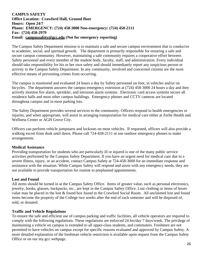## **CAMPUS SAFETY Office Location: Crawford Hall, Ground floor Hours: Open 24/7 Phone: EMERGENCY: (724) 458-3000 Non-emergency: (724) 458-2111 Fax: (724) 458-2979 Email: campussafety@gcc.edu (Not for emergency reporting)**

The Campus Safety Department mission is to maintain a safe and secure campus environment that is conducive to academic, social, and spiritual growth. The department is primarily responsible for ensuring a safe and secure campus community. However, maintaining a safe community requires a cooperative effort between Safety personnel and every member of the student body, faculty, staff, and administration. Every individual should take responsibility for his or her own safety and should immediately report any suspicious person or activity to the Campus Safety Department. In any community, involved and concerned citizens are the most effective means of preventing crimes from occurring.

The campus is monitored and evaluated 24 hours a day by Safety personnel on foot, in vehicles and/or on bicycles. The department answers the campus emergency extension at (724) 458-3000 24 hours a day and they actively monitor fire alarm, sprinkler, and intrusion alarm systems. Electronic card access systems secure all residence halls and most other campus buildings. Emergency phones and CCTV cameras are located throughout campus and in most parking lots.

The Safety Department provides several services to the community. Officers respond to health emergencies or injuries, and when appropriate, will assist in arranging transportation for medical care either at Zerbe Health and Wellness Center or AGH Grove City.

Officers can perform vehicle jumpstarts and lockouts on most vehicles. If requested, officers will also provide a walking escort from dusk until dawn. Please call 724-458-2111 or use outdoor emergency phones to make arrangements.

## **Medical Assistance**

Providing transportation for students who are particularly ill or injured is one of the many public service activities performed by the Campus Safety Department. If you have an urgent need for medical care due to a severe illness, injury, or an accident, contact Campus Safety at 724-458-3000 for an immediate response and assistance with the situation. While Campus Safety will respond and assist with any emergency needs, they are not available to provide transportation for routine to preplanned appointments.

## **Lost and Found**

All items should be turned in at the Campus Safety Office. Items of greater value, such as personal electronics, jewelry, books, glasses, backpacks, etc., are kept in the Campus Safety Office. Lost clothing or items of lesser value may be placed in the lost & found box found in the Crawford Social Room. All unclaimed lost and found items become the property of the College two weeks after the end of each semester and will be disposed of, sold, or donated.

## **Traffic and Vehicle Regulations**

To ensure the safe and efficient use of campus parking and traffic facilities, all vehicle operators are required to comply with the following regulations. These regulations are enforced 24 hrs/day 7 days/week. The privilege of maintaining a vehicle on campus is extended to all upper-class students, and commuters. Freshmen are not permitted to have vehicles on campus except for specific reasons evaluated and approved by Campus Safety. A more detailed explanation of the freshman vehicle restriction is available upon request from the Campus Safety Office or on our my.gcc webpage.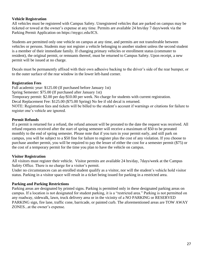## **Vehicle Registration**

All vehicles must be registered with Campus Safety. Unregistered vehicles that are parked on campus may be ticketed or towed at the owner's expense at any time. Permits are available 24 hrs/day 7 days/week via the Parking Permit Application on https://mygcc.edu/ICS.

Students are permitted only one vehicle on campus at any time, and permits are not transferable between vehicles or persons. Students may not register a vehicle belonging to another student unless the second student is a member of their immediate family. If changing primary vehicles or enrollment status (commuter to resident), the original permit, or remnants thereof, must be returned to Campus Safety. Upon receipt, a new permit will be issued at no charge.

Decals must be permanently affixed with their own adhesive backing to the driver's side of the rear bumper, or to the outer surface of the rear window in the lower left-hand corner.

#### **Registration Fees**

Full academic year: \$125.00 (If purchased before January 1st) Spring Semester: \$75.00 (If purchased after January 1st) Temporary permit: \$2.00 per day/\$10.00 per week. No charge for students with current registration. Decal Replacement Fee: \$125.00 (\$75.00 Spring) No fee if old decal is returned. NOTE: Registration fees and tickets will be billed to the student's account if warnings or citations for failure to register one's vehicle are ignored.

## **Permit Refunds**

If a permit is returned for a refund, the refund amount will be prorated to the date the request was received. All refund requests received after the start of spring semester will receive a maximum of \$50 to be prorated monthly to the end of spring semester. Please note that if you turn in your permit early, and still park on campus, you will be subject to a \$50 fine for failure to register plus the cost of any violation. If you choose to purchase another permit, you will be required to pay the lesser of either the cost for a semester permit (\$75) or the cost of a temporary permit for the time you plan to have the vehicle on campus.

## **Visitor Registration**

All visitors must register their vehicle. Visitor permits are available 24 hrs/day, 7days/week at the Campus Safety Office. There is no charge for a visitor's permit.

Under no circumstances can an enrolled student qualify as a visitor, nor will the student's vehicle hold visitor status. Parking in a visitor space will result in a ticket being issued for parking in a restricted area.

#### **Parking and Parking Restrictions**

Parking areas are designated by printed signs. Parking is permitted only in these designated parking areas on campus. If a location is not designated for student parking, it is a "restricted area." Parking is not permitted on any roadway, sidewalk, lawn, truck delivery area or in the vicinity of a NO PARKING or RESERVED PARKING sign, fire lane, traffic cone, barricade, or painted curb. The aforementioned areas are TOW AWAY ZONES...at the owner's expense.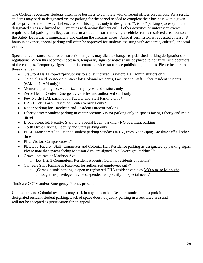The College recognizes students often have business to complete with different offices on campus. As a result, students may park in designated visitor parking for the period needed to complete their business with a given office provided their 4-way flashers are on. This applies only in designated "Visitor" parking spaces (all other designated areas are limited to 15 minutes with 4-way flashers on). If other activities or unforeseen events require special parking privileges or prevent a student from removing a vehicle from a restricted area, contact the Safety Department immediately and explain the circumstances. Also, if permission is requested at least 48 hours in advance, special parking will often be approved for students assisting with academic, cultural, or social events.

Special circumstances such as construction projects may dictate changes to published parking designations or regulations. When this becomes necessary, temporary signs or notices will be placed to notify vehicle operators of the changes. Temporary signs and traffic control devices supersede published guidelines. Please be alert to these changes.

- Crawford Hall Drop-off/pickup: visitors & authorized Crawford Hall administrators only
- Colonial/Field house/Main Street lot: Colonial residents, Faculty and Staff; Other resident students  $(6AM to 12AM only)*$
- Memorial parking lot: Authorized employees and visitors only
- Zerbe Health Center: Emergency vehicles and authorized staff only
- Pew North/ HAL parking lot: Faculty and Staff Parking only\*
- HAL Circle: Early Education Center vehicles only\*
- Ketler parking lot: Handicap and Resident Director parking
- Liberty Street/ Student parking in center section: Visitor parking only in spaces facing Liberty and Main Street
- Broad Street lot: Faculty, Staff, and Special Event parking NO overnight parking
- North Drive Parking: Faculty and Staff parking only
- PFAC Main Street lot: Open to student parking Sunday ONLY, from Noon-9pm; Faculty/Staff all other times
- PLC Visitor: Campus Guests\*
- PLC Lot: Faculty, Staff, Commuter and Colonial Hall Residence parking as designated by parking signs. Please note that spaces facing Madison Ave. are signed "No Overnight Parking."\*
- Gravel lots east of Madison Ave:
	- o Lot 1, 2, 3 Commuters, Resident students, Colonial residents & visitors\*
- Carnegie Staff Parking is Reserved for authorized employees only\*
	- o (Carnegie staff parking is open to registered CHA resident vehicles 5:30 p.m. to Midnight, although this privilege may be suspended temporarily for special needs)

\*Indicate CCTV and/or Emergency Phones present

Commuters and Colonial residents may park in any student lot. Resident students must park in designated resident student parking. Lack of space does not justify parking in a restricted area and will not be accepted as justification for an appeal.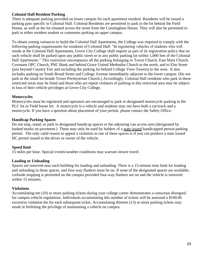## **Colonial Hall Resident Parking**

There is adequate parking provided on lower campus for each apartment resident. Residents will be issued a parking pass specific to Colonial Hall. Colonial Residents are permitted to park in the lot behind the Field House, as well as the lot situated across the street from the Cunningham House. They will also be permitted to park in either resident student or commuter parking on upper campus.

To obtain zoning variances to build the Colonial Hall Apartments, the College was required to comply with the following parking requirements for residents of Colonial Hall: "In registering vehicles of students who will reside at the Colonial Hall Apartments, Grove City College shall require as part of its registration policy that no such vehicle shall be parked upon any public street or in any public parking lot within 1,000 feet of the Colonial Hall Apartments." This restriction encompasses all the parking belonging to Tower Church, East Main Church, Covenant OPC Church, PNC Bank and behind Grace United Methodist Church to the north, and to Elm Street (just beyond Country Fair and including the parking lot behind College View Towers) to the west. It also includes parking on South Broad Street and College Avenue immediately adjacent to the lower campus. (Do not park in the small lot beside Tower Presbyterian Church.) Accordingly, Colonial Hall residents who park in these restricted areas may be fined and those who are repeat violators of parking in this restricted area may be subject to loss of their vehicle privileges at Grove City College.

## **Motorcycles**

Motorcycles must be registered and operators are encouraged to park in designated motorcycle parking in the PLC lot or Field house lot. A motorcycle is a vehicle and students may not have both a car/truck and a motorcycle. If you have a question about placement of your permit, please contact the Safety Office.

## **Handicap Parking Spaces**

Do not stop, stand, or park in designated handicap spaces or the adjoining van access area (designated by hashed marks on pavement.) These may only be used by holders of a state issued handicapped person parking permit. The only valid reason to appeal a violation in one of these spaces is if you can produce a state issued HC permit issued to the driver or owner of the vehicle.

## **Speed limit**

15 miles per hour. Special events/weather conditions may warrant slower travel.

## **Loading or Unloading**

Spaces are reserved near each building for loading and unloading. There is a 15-minute time limit for loading and unloading in these spaces, and four-way flashers must be on. If none of the designated spaces are available, curbside stopping is permitted on the campus provided four-way flashers are on and the vehicle is removed within 15 minutes.

#### **Violations**

Accumulating ten (10) or more parking tickets during your college career demonstrates a conscious disregard for campus vehicle regulations. Individuals accumulating this number of tickets will be assessed a \$100.00 excessive violation fee for each subsequent ticket. Accumulating thirteen (13) or more parking tickets may result in forfeiting the privilege of maintaining a vehicle on campus.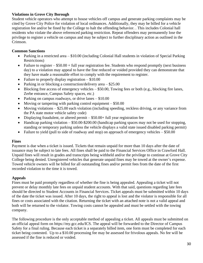## **Violations in Grove City Borough**

Student vehicle operators who attempt to house vehicles off campus and generate parking complaints may be cited by Grove City Police for violation of local ordinances. Additionally, they may be billed for a vehicle registration fee and/or be fined by the College to halt the offending behavior. . This includes Colonial hall residents who violate the above referenced parking restriction. Repeat offenders may permanently lose the privilege to register a vehicle on campus and may be subject to further disciplinary action as outlined in the Crimson.

## **Common Sanctions**

- Parking in a restricted area \$10.00 (including Colonial Hall students in violation of Special Parking Restrictions)
- Failure to register  $-$  \$50.00  $+$  full year registration fee. Students who respond promptly (next business day) to a violation may appeal to have the fine reduced or voided provided they can demonstrate that they have made a reasonable effort to comply with the requirement to register.
- Failure to properly display registration  $$10.00$
- Parking in or blocking a construction/delivery area \$25.00
- Blocking free access of emergency vehicles  $-$  \$50.00, Towing fees or both (e.g., blocking fire lanes, Zerbe entrance, Campus Safety spaces, etc.)
- Parking on campus roadways, or drive lanes \$10.00
- Moving or tampering with parking control equipment  $-$  \$50.00
- Moving violations \$25.00 each violation (including speeding, reckless driving, or any variance from the PA state motor vehicle safety code)
- Displaying fraudulent, or altered permit \$50.00+ full year registration fee
- Handicap parking violation \$50.00-\$200.00 (handicap parking spaces may not be used for stopping, standing or temporary parking unless the vehicle displays a valid state issued disabled parking permit)
- Failure to yield (pull to side of roadway and stop) on approach of emergency vehicles \$50.00

## **Fines**

Payment is due when a ticket is issued. Tickets that remain unpaid for more than 10 days after the date of issuance may be subject to late fees. All fines shall be paid to the Financial Services Office in Crawford Hall. Unpaid fines will result in grades and transcripts being withheld and/or the privilege to continue at Grove City College being denied. Unregistered vehicles that generate unpaid fines may be towed at the owner's expense. Towed vehicle owners will be billed for all outstanding fines and/or permit fees from the date of the first recorded violation to the time it is towed.

## **Appeals**

Fines must be paid promptly regardless of whether the fine is being appealed. Appealing a ticket will not prevent or delay monthly late fees on unpaid student accounts. With that said, questions regarding late fees should be directed to Student Accounts in Financial Services. Ticket appeals must be submitted within 10 days of the date the ticket was issued. After 10 days, the right to appeal is lost and the violator is responsible for all fines or costs associated with the citation. Returning the ticket with an attached note is not a valid appeal and both will be returned to the violator. Towing costs cannot be appealed and must be settled with the towing company.

The following procedure is the only acceptable method of appealing a ticket. All appeals must be submitted on an official appeal form on https://my.gcc.edu/ICS. The appeal will be forwarded to the Director of Campus Safety for a final ruling. Because each ticket is a separately billed item, one form must be completed for each ticket being contested. Up to a \$10.00 processing fee may be assessed for frivolous appeals. No fee will be assessed if the fine is reduced or voided.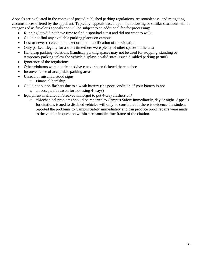Appeals are evaluated in the context of posted/published parking regulations, reasonableness, and mitigating circumstances offered by the appellant. Typically, appeals based upon the following or similar situations will be categorized as frivolous appeals and will be subject to an additional fee for processing:

- Running late/did not have time to find a spot/had a test and did not want to walk
- Could not find any available parking places on campus
- Lost or never received the ticket or e-mail notification of the violation
- Only parked illegally for a short time/there were plenty of other spaces in the area
- Handicap parking violations (handicap parking spaces may not be used for stopping, standing or temporary parking unless the vehicle displays a valid state issued disabled parking permit)
- Ignorance of the regulations
- Other violators were not ticketed/have never been ticketed there before
- Inconvenience of acceptable parking areas
- Unread or misunderstood signs
	- o Financial hardship
- Could not put on flashers due to a weak battery (the poor condition of your battery is not
	- o an acceptable reason for not using 4-ways)
- Equipment malfunction/breakdown/forgot to put 4-way flashers on\*
	- o \*Mechanical problems should be reported to Campus Safety immediately, day or night. Appeals for citations issued to disabled vehicles will only be considered if there is evidence the student reported the problems to Campus Safety immediately and can produce proof repairs were made to the vehicle in question within a reasonable time frame of the citation.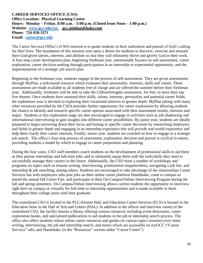#### **CAREER SERVICES OFFICE (CSO) Office Location: Physical Learning Center Hours: Monday – Friday, 8:00 a.m. - 5:00 p.m. (Closed from Noon – 1:00 p.m.) Website: [www.gcc.edu/cso](http://www.gcc.edu/cso) gcc.joinhandshake.com Phone: 724-458-3371 Email: [career@gcc.edu](mailto:career@gcc.edu)**

The Career Services Office's (CSO) mission is to guide students in their realization and pursuit of God's calling for their lives. The foundation of this mission rests upon a desire for students to discover, exercise and steward their God-given talents, interests, and abilities so that they will ultimately thrive and glorify God in their work. A four-step career development plan, beginning freshman year, intentionally focuses on self-assessment, career exploration, career decision-making through participation in an internship or experiential opportunity, and the implementation of a strategic job search plan.

Beginning in the freshman year, students engage in the process of self-assessment. They are given assessments through MyPlan, a web-based resource which evaluates their personality, interests, skills and values. These assessments are made available to all students free of charge and are offered the summer before their freshman year. Additionally, freshmen will be able to take the CliftonStrengths assessment, for free, to learn their top five themes. Once students have assessed their skills, values, interests, personality and potential career fields, the sophomore year is devoted to exploring their vocational interests in greater depth. MyPlan (along with many other resources provided by the CSO) provides further opportunity for career exploration by allowing students the chance to identify and research specific career options associated with their assessment results, interests and major. Students at this exploration stage are also encouraged to engage in activities such as job shadowing and informational interviewing to gain insights into different career possibilities. By junior year, students are ideally prepared to begin narrowing down their focus and honing in specific career decisions by researching employers and fields in greater depth and engaging in an internship experience that will provide real-world experience and help them clarify their career interests. Finally, senior year, students are coached on how to engage in a strategic job search. The office's four-step process of assessment, exploration, decision and pursuit is cyclical in nature, providing students a model by which to engage in career preparation and planning.

During the four years, CSO staff members coach students on the development of professional skills to aid them as they pursue internships and full-time jobs, and to ultimately equip them with the tools/skills they need to successfully manage their careers in the future. Additionally, the CSO hosts a number of workshops and programs on topics such as resume writing, interviewing, professional etiquette/dress, navigating a job fair, and internship & job searching, among others. Students are encouraged to take advantage of the relationships Career Services has with employers who post jobs on their online career platform Handshake, come to campus to attend the annual fall Career Fair, and participate in their On-Campus/Online Interviewing Program during the fall and spring semesters. On-Campus/Online Interviewing allows current students the opportunity to interview right here on campus or virtually for full-time or internship opportunities and is made available to them throughout their college years until they graduate.

The centralized CSO is located in the PLC/Alumni Hall, and Education Career Services (ECS) is housed in the Education Suite in the Hall of Arts and Letters (HAL). In addition to the offices and interview rooms of the centralized CSO, the facility houses a library offering various resources including event directories, career exploration books, and specialized publications to aid students in the job or internship search process. The office also offers students robust online career resources and guides on various topics (resume/cover letter writing, interviewing, the job and internship search, and more) which are accessible on myGCC ("Career Services" tab), and Handshake (in the "Resources" section under "Career Center").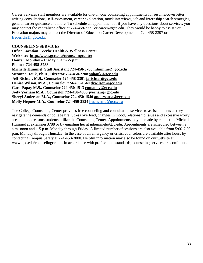Career Services staff members are available for one-on-one counseling appointments for resume/cover letter writing consultations, self-assessment, career exploration, mock interviews, job and internship search strategies, general career guidance and more. To schedule an appointment or if you have any questions about services, you may contact the centralized office at 724-458-3371 or career@gcc.edu. They would be happy to assist you. Education majors may contact the Director of Education Career Development at 724-458-3397 or [fredericksl@gcc.edu.](mailto:fredericksl@gcc.edu)

#### **COUNSELING SERVICES**

**Office Location: Zerbe Health & Wellness Center Web site: http://www.gcc.edu/counselingcenter Hours: Monday – Friday, 9 a.m.-5 p.m. Phone: 724-458-3788 Michelle Hummel, Staff Assistant 724-458-3788 mhummel@gcc.edu Suzanne Houk, Ph.D., Director 724-458-2208 snhouk@gcc.edu Jeff Richter, M.S., Counselor 724-458-3391 jarichter@gcc.edu Denise Wilson, M.A., Counselor 724-450-1540 drwilson@gcc.edu Cara Papay M.S., Counselor 724-450-1513 cmpapay@gcc.edu Jody Vernam M.A., Counselor 724-450-4003 jvernam@gcc.edu Sheryl Anderson M.A., Counselor 724-450-1540 andersonsa@gcc.edu Molly Hepner M.A., Counselor 724-450-3834 [hepnerma@gcc.edu](mailto:hepnerma@gcc.edu)**

The College Counseling Center provides free counseling and consultation services to assist students as they navigate the demands of college life. Stress overload, changes in mood, relationship issues and excessive worry are common reasons students utilize the Counseling Center. Appointments may be made by contacting Michelle Hummel at extension 3788 or by emailing her at mhummel@gcc.edu. Appointments are scheduled between 9 a.m.-noon and 1-5 p.m. Monday through Friday. A limited number of sessions are also available from 5:00-7:00 p.m. Monday through Thursday. In the case of an emergency or crisis, counselors are available after hours by contacting Campus Safety at 724-458-3000. Helpful information may also be found on our website at www.gcc.edu/counselingcenter. In accordance with professional standards, counseling services are confidential.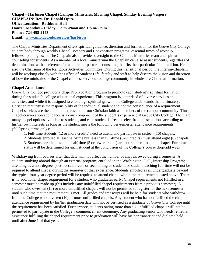**Chapel – Harbison Chapel (Campus Ministries, Morning Chapel, Sunday Evening Vespers) CHAPLAIN: Rev. Dr. Donald Opitz Office Location: Rathburn Hall Hours: Monday – Friday, 8 a.m.-Noon and 1 p.m-5 p.m. Phone: 724-458-2143 Email: [www.info.gcc.edu/services/harbison](http://www.info.gcc.edu/services/harbison)**

The Chapel Ministries Department offers spiritual guidance, direction and formation for the Grove City College student body through weekly Chapel, Vespers and Convocation programs, essential times of worship, fellowship and growth. The Chaplain also provides oversight to the Campus Ministries team and spiritual counseling for students. As a member of a local ministerium the Chaplain can also assist students, regardless of denomination, with a reference for a church or pastoral counseling that fits their particular faith tradition. He is also the Chairman of the Religious Activities Committee. During this transitional period, the Interim-Chaplain will be working closely with the Office of Student Life, faculty and staff to help discern the vision and direction of how the ministries of the Chapel can best serve our college community in whole-life Christian formation.

## **Chapel Attendance**

Grove City College provides a chapel/convocation program to promote each student's spiritual formation during the student's college educational experience. This program is comprised of diverse services and activities, and while it is designed to encourage spiritual growth, the College understands that, ultimately, Christian maturity is the responsibility of the individual student and not the consequence of a requirement. Chapel services are the common expression of our Christian faith as members of the campus community. Thus, chapel/convocation attendance is a core component of the student's experience at Grove City College. There are many chapel options available to students, and each student is free to select from these options according to his/her own interests as long as the student meets the following per-semester attendance requirements (fall/spring terms only):

- 1. Full-time students (12 or more credits) need to attend and participate in sixteen (16) chapels.
- 2. Students enrolled at least half-time but less than full-time (6-11 credits) must attend eight (8) chapels.
- 3. Students enrolled less than half-time (5 or fewer credits) are not required to attend chapel. Enrollment
- status will be determined for each student at the conclusion of the College's course drop/add week.

Withdrawing from courses after that date will not affect the number of chapels owed during a semester. A student studying abroad through an external program; enrolled in the Washington, D.C., Internship Program; attending as a non-degree, post-baccalaureate or second degree student; or student teaching full-time will not be required to attend chapel during the semester of that experience. Students enrolled as an undergraduate beyond the typical four-year degree period will be required to attend chapel within the requirements listed above. There is no additional chapel requirement for a student who graduates early. Chapel requirements not fulfilled in a semester must be made up (this includes any unfulfilled chapel requirements from a previous semester). A student who owes ten (10) or more unfulfilled chapels will not be permitted to register for the next semester until such time that the requirement is met. All grades and transcripts will be held for students who withdraw from the College who have ten (10) or more unfulfilled chapels. Any student who has not fulfilled the chapel attendance requirement by his/her graduation date will not be certified as a graduate of Grove City College until the requirement has been satisfied. Furthermore, students owing more than six unfulfilled chapels will not be permitted to participate in the College's commencement ceremony. Any graduating senior who needs remedial assistance fulfilling the chapel requirement prior to graduation will have his/her transcript and diploma held until after June 1 of that year.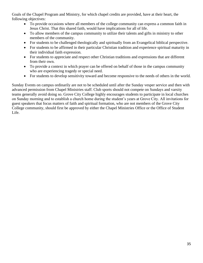Goals of the Chapel Program and Ministry, for which chapel credits are provided, have at their heart, the following objectives:

- To provide occasions where all members of the college community can express a common faith in Jesus Christ. That this shared faith, would have implications for all of life.
- To allow members of the campus community to utilize their talents and gifts in ministry to other members of the community.
- For students to be challenged theologically and spiritually from an Evangelical biblical perspective.
- For students to be affirmed in their particular Christian tradition and experience spiritual maturity in their individual faith expression.
- For students to appreciate and respect other Christian traditions and expressions that are different from their own.
- To provide a context in which prayer can be offered on behalf of those in the campus community who are experiencing tragedy or special need.
- For students to develop sensitivity toward and become responsive to the needs of others in the world.

Sunday Events on campus ordinarily are not to be scheduled until after the Sunday vesper service and then with advanced permission from Chapel Ministries staff. Club sports should not compete on Sundays and varsity teams generally avoid doing so. Grove City College highly encourages students to participate in local churches on Sunday morning and to establish a church home during the student's years at Grove City. All invitations for guest speakers that focus matters of faith and spiritual formation, who are not members of the Grove City College community, should first be approved by either the Chapel Ministries Office or the Office of Student Life.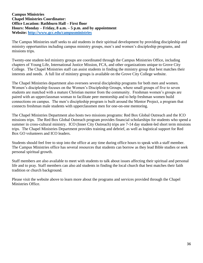#### **Campus Ministries Chapel Ministries Coordinator: Office Location: Rathburn Hall – First floor Hours: Monday – Friday, 8 a.m. – 5 p.m. and by appointment Website:<http://www.gcc.edu/campusministries>**

The Campus Ministries staff seeks to aid students in their spiritual development by providing discipleship and ministry opportunities including campus ministry groups, men's and women's discipleship programs, and missions trips.

Twenty-one student-led ministry groups are coordinated through the Campus Ministries Office, including chapters of Young Life, International Justice Mission, FCA, and other organizations unique to Grove City College. The Chapel Ministries staff can assist students in finding the ministry group that best matches their interests and needs. A full list of ministry groups is available on the Grove City College website.

The Chapel Ministries department also oversees several discipleship programs for both men and women. Women's discipleship focuses on the Women's Discipleship Groups, where small groups of five to seven students are matched with a mature Christian mentor from the community. Freshman women's groups are paired with an upperclassman woman to facilitate peer mentorship and to help freshman women build connections on campus. The men's discipleship program is built around the Mentor Project, a program that connects freshman male students with upperclassmen men for one-on-one mentoring.

The Chapel Ministries Department also hosts two missions programs: Red Box Global Outreach and the ICO missions trips. The Red Box Global Outreach program provides financial scholarships for students who spend a summer in cross-cultural ministry. ICO (Inner City Outreach) trips are 7-14 day student-led short term missions trips. The Chapel Ministries Department provides training and debrief, as well as logistical support for Red Box GO volunteers and ICO leaders.

Students should feel free to stop into the office at any time during office hours to speak with a staff member. The Campus Ministries office has several resources that students can borrow as they lead Bible studies or seek personal spiritual growth.

Staff members are also available to meet with students to talk about issues affecting their spiritual and personal life and to pray. Staff members can also aid students in finding the local church that best matches their faith tradition or church background.

Please visit the website above to learn more about the programs and services provided through the Chapel Ministries Office.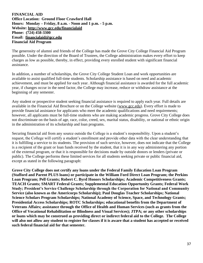#### **FINANCIAL AID Office Location: Ground Floor Crawford Hall Hours: Monday – Friday, 8 a.m. - Noon and 1 p.m. - 5 p.m. Website: http://www.gcc.edu/financialaid Phone: (724) 458-3300 Email: financialaid@gcc.edu Financial Aid Program**

The generosity of alumni and friends of the College has made the Grove City College Financial Aid Program possible. Under the direction of the Board of Trustees, the College administration makes every effort to keep charges as low as possible, thereby, in effect, providing every enrolled student with significant financial assistance.

In addition, a number of scholarships, the Grove City College Student Loan and work opportunities are available to assist qualified full-time students. Scholarship assistance is based on need and academic achievement, and must be applied for each year. Although financial assistance is awarded for the full academic year, if changes occur in the need factor, the College may increase, reduce or withdraw assistance at the beginning of any semester.

Any student or prospective student seeking financial assistance is required to apply each year. Full details are available in the Financial Aid Brochure or on the College website (www.gcc.edu). Every effort is made to provide financial assistance for applicants who meet the academic qualifications and need requirements; however, all applicants must be full-time students who are making academic progress. Grove City College does not discriminate on the basis of age, race, color, creed, sex, marital status, disability, or national or ethnic origin in the administration of its scholarship and loan programs.

Securing financial aid from any source outside the College is a student's responsibility. Upon a student's request, the College will certify a student's enrollment and provide other data with the clear understanding that it is fulfilling a service to its students. The provision of such service, however, does not indicate that the College is a recipient of the grant or loan funds received by the student, that it is in any way administering any portion of the external program, or that it is responsible for decisions made by outside donors or lenders (private or public). The College performs these limited services for all students seeking private or public financial aid, except as stated in the following paragraph:

**Grove City College does not certify any loans under the Federal Family Education Loan Program (Stafford and Parent PLUS loans) or participate in the William Ford Direct Loan Program; the Perkins Loan Program; Pell Grants; Robert C. Byrd Honors Scholarships; Academic Competitiveness Grants; TEACH Grants; SMART Federal Grants; Supplemental Education Opportunity Grants; Federal Work Study; President's Service Challenge Scholarship through the Corporation for National and Community Service (also known as the Americorps Scholarship); Paul Douglas Teacher Scholarships; National Science Scholars Program Scholarships; National Academy of Science, Space, and Technology Grants; Presidential Access Scholarships; ROTC Scholarships; educational benefits from the Department of Veterans Affairs; assistance through the Office of Health and Human Services (such as grants from the Office of Vocational Rehabilitation or Blindness and Visual Services); JTPA; or any other scholarships or loans which may be construed as providing direct or indirect federal aid to the College. The College will also not allow any student to register for classes if it is aware that a student has accepted or received such federal financial aid for that semester.**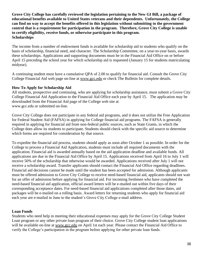**Grove City College has carefully reviewed the legislation pertaining to the New GI Bill, a package of educational benefits available to United States veterans and their dependents. Unfortunately, the College can find no way to accept the benefits offered in this legislation without submitting to the government control that is a requirement for participation in the program. Therefore, Grove City College is unable to certify eligibility, receive funds, or otherwise participate in this program. Scholarships**

The income from a number of endowment funds is available for scholarship aid to students who qualify on the basis of scholarship, financial need, and character. The Scholarship Committee, on a year-to-year basis, awards these scholarships. Applications and supporting documents must be in the Financial Aid Office on or before April 15 preceding the school year for which scholarship aid is requested (January 15 for students matriculating midyear).

A continuing student must have a cumulative QPA of 2.00 to qualify for financial aid. Consult the Grove City College Financial Aid web page on-line at www.gcc.edu or check The Bulletin for complete details.

# **How To Apply for Scholarship Aid**

All students, prospective and continuing, who are applying for scholarship assistance, must submit a Grove City College Financial Aid Application to the Financial Aid Office each year by April 15. The application may be downloaded from the Financial Aid page of the College web site at www.gcc.edu or submitted on-line.

Grove City College does not participate in any federal aid programs, and it does not utilize the Free Application for Federal Student Aid (FAFSA) in applying for College financial aid programs. The FAFSA is generally required in applying for financial aid from non-federal public sources, such as State Grants, in which the College does allow its students to participate. Students should check with the specific aid source to determine which forms are required for consideration by that source.

To expedite the financial aid process, students should apply as soon after October 1 as possible. In order for the College to process a Financial Aid Application, students must include all required documents with the application. Financial aid is awarded annually based on the aid application deadline and available funds. All applications are due in the Financial Aid Office by April 15. Applications received from April 16 to July 1 will receive 50% of the scholarship that otherwise would be awarded. Applications received after July 1 will not receive a scholarship award. Transfer applicants should contact the Financial Aid Office regarding deadlines. Financial aid decisions cannot be made until the student has been accepted for admission. Although applicants must be offered admission to Grove City College to receive need-based financial aid, applicants should not wait for an offer of admission before applying for financial aid. For incoming freshmen who have completed the need-based financial aid application, official award letters will be e-mailed out within five days of their corresponding acceptance dates. For need-based financial aid applications completed after those dates, aid packages will be e-mailed on a rolling basis. Award letters for returning students who apply for financial aid each year are e-mailed in June to the student's Grove City College e-mail address.

### **Loan Funds**

Students who need help in meeting their educational expenses may apply for the Grove City College Student Loan program or any other private loan program of their choice. Grove City College student loan applications will be available on-line at www.gcc.edu on April 1st each year. Please contact the Financial Aid Office to verify the College's participation in the program before applying for other private loan funds.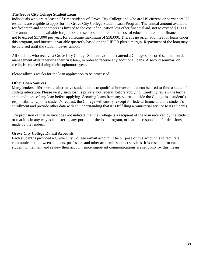## **The Grove City College Student Loan**

Individuals who are at least half-time students of Grove City College and who are US citizens or permanent US residents are eligible to apply for the Grove City College Student Loan Program. The annual amount available for freshmen and sophomores is limited to the cost of education less other financial aid, not to exceed \$12,000. The annual amount available for juniors and seniors is limited to the cost of education less other financial aid, not to exceed \$17,000 per year, for a lifetime maximum of \$58,000. There is no origination fee for loans under this program, and interest is variable quarterly based on the LIBOR plus a margin. Repayment of the loan may be deferred until the student leaves school.

All students who receive a Grove City College Student Loan must attend a College sponsored seminar on debt management after receiving their first loan, in order to receive any additional loans. A second seminar, on credit, is required during their sophomore year.

Please allow 3 weeks for the loan application to be processed.

#### **Other Loan Sources**

Many lenders offer private, alternative student loans to qualified borrowers that can be used to fund a student's college education. Please verify such loan is private, not federal, before applying. Carefully review the terms and conditions of any loan before applying. Securing loans from any source outside the College is a student's responsibility. Upon a student's request, the College will certify, except for federal financial aid, a student's enrollment and provide other data with an understanding that it is fulfilling a ministerial service to its students.

The provision of that service does not indicate that the College is a recipient of the loan received by the student or that it is in any way administering any portion of the loan program, or that it is responsible for decisions made by the lenders.

### **Grove City College E-mail Accounts**

Each student is provided a Grove City College e-mail account. The purpose of this account is to facilitate communication between students, professors and other academic support services. It is essential for each student to maintain and review their account since important communications are sent only by this means.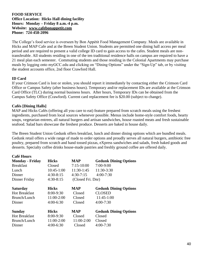## **FOOD SERVICE Office Location: Hicks Hall dining facility Hours: Monday – Friday 8 a.m.-4 p.m. Website: www.cafebonappetit.com Phone: 724-458-2096**

The College's food service is overseen by Bon Appétit Food Management Company. Meals are available in Hicks and MAP Cafe and at the Breen Student Union. Students are permitted one dining hall access per meal period and are required to present a valid college ID card to gain access to the cafes. Student meals are nontransferable. All students residing in one of the ten traditional residence halls on campus are required to have a 21 meal plan each semester. Commuting students and those residing in the Colonial Apartments may purchase meals by logging onto myGCC.edu and clicking on "Dining Options" under the "Sign-Up" tab, or by visiting the student accounts office, 2nd floor Crawford Hall.

# **ID Card**

If your Crimson Card is lost or stolen, you should report it immediately by contacting either the Crimson Card Office or Campus Safety (after business hours). Temporary and/or replacement IDs are available at the Crimson Card Office (TLC) during normal business hours. After hours, Temporary IDs can be obtained from the Campus Safety Office (Crawford). Current card replacement fee is \$20.00 (subject to change).

# **Cafés [Dining Halls]**

MAP and Hicks Cafés (offering all you care to eat) feature prepared from scratch meals using the freshest ingredients, purchased from local sources whenever possible. Menus include home-style comfort foods, hearty soups, vegetarian entrees, all natural burgers and artisan sandwiches, house roasted meats and fresh sustainable seafood. Salad bars showcase the freshest produce. Desserts are baked in house daily.

The Breen Student Union Gedunk offers breakfast, lunch and dinner dining options which are bundled meals. Gedunk retail offers a wide range of made to order options and proudly serves all natural burgers, antibiotic free poultry, prepared from scratch and hand tossed pizzas, eXpress sandwiches and salads, fresh baked goods and desserts. Specialty coffee drinks house-made pastries and freshly ground coffee are offered daily.

| <b>Café Hours</b>      |               |                   |                              |
|------------------------|---------------|-------------------|------------------------------|
| <b>Monday - Friday</b> | <b>Hicks</b>  | MAP               | <b>Gedunk Dining Options</b> |
| <b>Breakfast</b>       | Closed        | $7:15-10:00$      | 7:00-9:00                    |
| Lunch                  | $10:45-1:00$  | 11:30-1:45        | 11:30-3:30                   |
| Dinner                 | $4:30-8:15$   | $4:30-7:15$       | $4:00 - 7:30$                |
| Dinner Friday          | $4:30-8:15$   | (Closed Fri. Dnr) |                              |
| <b>Saturday</b>        | <b>Hicks</b>  | MAP               | <b>Gedunk Dining Options</b> |
| <b>Hot Breakfast</b>   | $8:00-9:30$   | Closed            | <b>CLOSED</b>                |
| Brunch/Lunch           | 11:00-2:00    | Closed            | $11:45-1:00$                 |
| Dinner                 | $4:00-6:30$   | Closed            | $4:00 - 7:30$                |
| <b>Sunday</b>          | <b>Hicks</b>  | MAP               | <b>Gedunk Dining Options</b> |
| <b>Hot Breakfast</b>   | $8:00 - 9:30$ | Closed            | Closed                       |
| Brunch/Lunch           | 11:00-2:00    | 11:00-2:00        | Closed                       |
| Dinner                 | $4:00-6:30$   | Closed            | $4:00 - 7:30$                |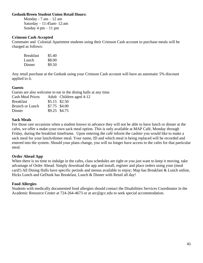#### **Gedunk/Breen Student Union Retail Hours:**

Monday -  $7 \text{ am} - 12 \text{ am}$  Saturday – 11:45am- 12:am Sunday  $4 \text{ pm} - 11 \text{ pm}$ 

#### **Crimson Cash Accepted**

Commuter and Colonial Apartment students using their Crimson Cash account to purchase meals will be charged as follows:

| Breakfast | \$5.40 |
|-----------|--------|
| Lunch     | \$8.00 |
| Dinner    | \$9.50 |

Any retail purchase at the Gedunk using your Crimson Cash account will have an automatic 5% discount applied to it.

#### **Guests**

Guests are also welcome to eat in the dining halls at any time. Cash Meal Prices Adult Children aged 4-12

| Casii nical Prices |                | Adult Children aged 4 |
|--------------------|----------------|-----------------------|
| <b>Breakfast</b>   | $$5.15$ \$2.50 |                       |
| Brunch or Lunch    | \$7.75 \$4.00  |                       |
| Dinner             | \$9.25 \$4.75  |                       |

#### **Sack Meals**

For those rare occasions when a student knows in advance they will not be able to have lunch or dinner at the cafes, we offer a make-your-own sack meal option. This is only available at MAP Café, Monday through Friday, during the breakfast timeframe. Upon entering the café inform the cashier you would like to make a sack meal for your lunch/dinner meal. Your name, ID and which meal is being replaced will be recorded and entered into the system. Should your plans change, you will no longer have access to the cafes for that particular meal.

#### **Order Ahead App**

When there is no time to indulge in the cafes, class schedules are tight or you just want to keep it moving, take advantage of Order Ahead. Simply download the app and install, register and place orders using your (meal card!) All Dining Halls have specific periods and menus available to enjoy; Map has Breakfast & Lunch online, Hicks Lunch and GeDunk has Breakfast, Lunch & Dinner with Retail all day!

#### **Food Allergies**

Students with medically documented food allergies should contact the Disabilities Services Coordinator in the Academic Resource Center at 724-264-4673 or at arc@gcc.edu to seek special accommodation.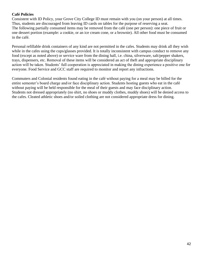# **Café Policies**

Consistent with ID Policy, your Grove City College ID must remain with you (on your person) at all times. Thus, students are discouraged from leaving ID cards on tables for the purpose of reserving a seat. The following partially consumed items may be removed from the café (one per person): one piece of fruit or one dessert portion (example: a cookie, or an ice cream cone, or a brownie). All other food must be consumed in the café.

Personal refillable drink containers of any kind are not permitted in the cafes. Students may drink all they wish while in the cafes using the cups/glasses provided. It is totally inconsistent with campus conduct to remove any food (except as noted above) or service ware from the dining hall, i.e. china, silverware, salt/pepper shakers, trays, dispensers, etc. Removal of these items will be considered an act of theft and appropriate disciplinary action will be taken. Students' full cooperation is appreciated in making the dining experience a positive one for everyone. Food Service and GCC staff are required to monitor and report any infractions.

Commuters and Colonial residents found eating in the café without paying for a meal may be billed for the entire semester's board charge and/or face disciplinary action. Students hosting guests who eat in the café without paying will be held responsible for the meal of their guests and may face disciplinary action. Students not dressed appropriately (no shirt, no shoes or muddy clothes, muddy shoes) will be denied access to the cafes. Cleated athletic shoes and/or soiled clothing are not considered appropriate dress for dining.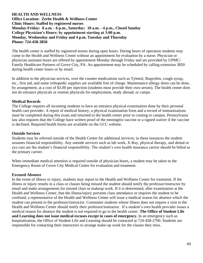#### **HEALTH AND WELLNESS Office Location: Zerbe Health & Wellness Center Clinic Hours: Staffed by registered nurses Monday-Friday: 8 a.m. - 6 p.m., Saturday: 10 a.m. - 4 p.m., Closed Sunday College Physician's Hours: by appointment starting at 3:00 p.m. Monday, Wednesday and Friday and 4 p.m. Tuesday and Thursday Phone: 724-458-3850**

The health center is staffed by registered nurses during open hours. During hours of operation students may come to the Health and Wellness Center without an appointment for evaluation by a nurse. Physician or physician assistant hours are offered by appointment Monday through Friday and are provided by UPMC/ Family Healthcare Partners of Grove City, PA. An appointment may be scheduled by calling extension 3850 during health center hours or by email.

In addition to the physician services, over the counter medications such as Tylenol, Ibuprofen, cough syrup, etc., first aid, and some orthopedic supplies are available free of charge. Maintenance allergy shots can be done, by arrangement, at a cost of \$3.00 per injection (students must provide their own serum). The health center does not do entrance physicals or routine physicals for employment, study abroad, or camps.

### **Medical Records**

The College requires all incoming students to have an entrance physical examination done by their personal health care provider. A report of medical history, a physical examination form and a record of immunizations must be completed during this exam and returned to the health center prior to coming to campus. Pennsylvania law also requires that the College have written proof of the meningitis vaccine or a signed waiver if the vaccine is declined. Required health forms are available on the GCC website.

#### **Outside Services**

Students may be referred outside of the Health Center for additional services; in these instances the student assumes financial responsibility. Any outside services such as lab work, X-Ray, physical therapy, and dental or eye care are the student's financial responsibility. The student's own health insurance carrier should be billed as the primary carrier.

When immediate medical attention is required outside of physician hours, a student may be taken to the Emergency Room of Grove City Medical Center for evaluation and treatment.

#### **Excused Absence**

In the event of illness or injury, students may report to the Health and Wellness Center for treatment. If the illness or injury results in a class or classes being missed the student should notify the professor/instructor by email and make arrangements for missed class or makeup work. If it is determined, after examination at the Health and Wellness Center, that the illness/injury prevents class attendance or requires the student to be confined, a representative of the Health and Wellness Center will issue a medical reason for absence which the student can present to the professor/instructor. Commuter students whose illness does not require a visit to the Health and Wellness Center should notify their professor/instructor. If a student's own health provider issues a medical reason for absence the student is not required to go to the health center. **The Office of Student Life and Learning does not issue medical excuses except in cases of emergency.** In an emergency such as hospitalization, the Office of Student Life and Learning should be contacted at 724-458-2700. Students are responsible for contacting their instructors to arrange make-up work for the classes they miss.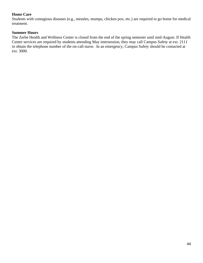# **Home Care**

Students with contagious diseases (e.g., measles, mumps, chicken pox, etc.) are required to go home for medical treatment.

# **Summer Hours**

The Zerbe Health and Wellness Center is closed from the end of the spring semester until mid-August. If Health Center services are required by students attending May intersession, they may call Campus Safety at ext. 2111 to obtain the telephone number of the on-call nurse. In an emergency, Campus Safety should be contacted at ext. 3000.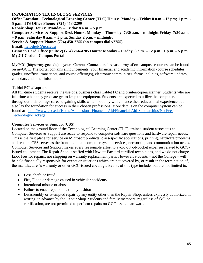**INFORMATION TECHNOLOGY SERVICES Office Location: Technological Learning Center (TLC) Hours: Monday – Friday 8 a.m. –12 pm; 1 p.m. - 5 p.m. ITS Office Phone: (724) 458-2299 Repair Shop Hours: Monday – Friday 8 a.m. – 5 p.m. Computer Services & Support Desk Hours: Monday – Thursday 7:30 a.m. – midnight Friday 7:30 a.m. – 9 p.m. Saturday 8 a.m. – 5 p.m. Sunday 2 p.m. – midnight Service & Support Phone: (724) 458-2255 (on campus dial x2255) Email: [helpdesk@gcc.edu](mailto:helpdesk@gcc.edu) Crimson Card Office (Suite 2) (724) 264-4705 Hours: Monday – Friday 8 a.m. – 12 p.m.; 1 p.m. – 5 p.m. My.GCC.edu – Campus Portal** 

MyGCC (https://my.gcc.edu) is your "Campus Connection." A vast array of on-campus resources can be found on myGCC. The portal contains announcements, your financial and academic information (course schedules, grades, unofficial transcripts, and course offerings), electronic communities, forms, policies, software updates, calendars and other information.

### **Tablet PC's/Laptops**

All full-time students receive the use of a business class Tablet PC and printer/copier/scanner. Students who are full-time when they graduate get to keep the equipment. Students are expected to utilize the computers throughout their college careers, gaining skills which not only will enhance their educational experience but also lay the foundation for success in their chosen professions. More details on the computer system can be found at - [http://www.gcc.edu/Home/Admissions-Financial-Aid/Financial-Aid-Scholarships/No-Fee-](https://nam10.safelinks.protection.outlook.com/?url=http%3A%2F%2Fwww.gcc.edu%2FHome%2FAdmissions-Financial-Aid%2FFinancial-Aid-Scholarships%2FNo-Fee-Technology-Package&data=04%7C01%7CGordonST%40GCC.EDU%7C2344ca7c329649046f8008d94c697d2b%7C8391896022184cd381fe302a8e771da9%7C0%7C0%7C637624838230239283%7CUnknown%7CTWFpbGZsb3d8eyJWIjoiMC4wLjAwMDAiLCJQIjoiV2luMzIiLCJBTiI6Ik1haWwiLCJXVCI6Mn0%3D%7C1000&sdata=IJbmKqNOprSxcdHxD2WjC5Mu%2BYeDjlnttshqg3fT%2BpU%3D&reserved=0)[Technology-Package](https://nam10.safelinks.protection.outlook.com/?url=http%3A%2F%2Fwww.gcc.edu%2FHome%2FAdmissions-Financial-Aid%2FFinancial-Aid-Scholarships%2FNo-Fee-Technology-Package&data=04%7C01%7CGordonST%40GCC.EDU%7C2344ca7c329649046f8008d94c697d2b%7C8391896022184cd381fe302a8e771da9%7C0%7C0%7C637624838230239283%7CUnknown%7CTWFpbGZsb3d8eyJWIjoiMC4wLjAwMDAiLCJQIjoiV2luMzIiLCJBTiI6Ik1haWwiLCJXVCI6Mn0%3D%7C1000&sdata=IJbmKqNOprSxcdHxD2WjC5Mu%2BYeDjlnttshqg3fT%2BpU%3D&reserved=0)

#### **Computer Services & Support (CSS)**

Located on the ground floor of the Technological Learning Center (TLC), trained student associates at Computer Services & Support are ready to respond to computer software questions and hardware repair needs. This is the first place for service on Microsoft products, class-specific applications, printing, hardware problems and repairs. CSS serves as the front-end to all computer system services, networking and communication needs. Computer Services and Support makes every reasonable effort to avoid out-of-pocket expenses related to GCCissued equipment. The Repair Shop is staffed with Hewlett-Packard certified technicians, and we do not charge labor fees for repairs, nor shipping on warranty replacement parts. However, students – not the College – will be held financially responsible for events or situations which are not covered by, or result in the termination of, the manufacturer's warranty or other GCC-issued coverage. Events of this type include, but are not limited to:

- Loss, theft, or fraud
- Fire, Flood or damage caused in vehicular accidents
- Intentional misuse or abuse
- Failure to enact repairs in a timely fashion
- Disassembly or attempted repair by any entity other than the Repair Shop, unless expressly authorized in writing, in advance by the Repair Shop. Students and family members, regardless of skill or certification, are not permitted to perform repairs on GCC-issued hardware.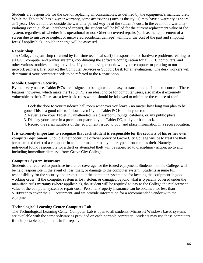Students are responsible for the cost of replacing all consumables, as defined by the equipment's manufacturer. While the Tablet PC has a 4-year warranty, some accessories (such as the stylus) may have a warranty as short as 1 year. Device failures outside the warranty period *may* be at the student's cost. In the event of a warrantyviolating event (such as unauthorized repair), the student will be billed for the current replacement value of the system, regardless of whether it is operational or not. Other uncovered repairs (such as the replacement of a screen due to misuse or neglect or uncovered accidental damage) will incur the cost of the part and shipping fees (if applicable) – no labor charge will be assessed.

## **Repair Shop**

The College's repair shop (manned by full-time technical staff) is responsible for hardware problems relating to all GCC computer and printer systems, coordinating the software configuration for all GCC computers, and other various troubleshooting activities. If you are having trouble with your computer or printing to our network printers, first contact the Computer Services & Support Desk for an evaluation. The desk workers will determine if your computer needs to be referred to the Repair Shop.

# **Mobile Computer Security**

By their very nature, Tablet PC's are designed to be lightweight, easy to transport and simple to conceal. These features, however, which make the Tablet PC's an ideal choice for computer users, also make it extremely vulnerable to theft. There are a few basic rules which should be followed to minimize the chance of theft:

1. Lock the door to your residence hall room whenever you leave - no matter how long you plan to be gone. This is a good rule to follow, even if your Tablet PC is not in your room.

- 2. Never leave your Tablet PC unattended in a classroom, lounge, cafeteria, or any public place.
- 3. Display your name in a prominent place on your Tablet PC, and your backpack.
- 4. Record the serial numbers of the equipment issued to you, and place information in a secure location.

**It is extremely important to recognize that each student is responsible for the security of his or her own computer equipment.** Should a theft occur, the official policy of Grove City College will be to treat the theft (or attempted theft) of a computer in a similar manner to any other type of on campus theft. Namely, an individual found responsible for a theft or attempted theft will be subjected to disciplinary action, up to and including immediate dismissal from Grove City College.

# **Computer System Insurance**

Students are required to purchase insurance coverage for the issued equipment. Students, not the College, will be held responsible in the event of loss, theft, or damage to the computer system. Students assume full responsibility for the security and protection of the computer system and for keeping the equipment in good working order. If the computer system is lost, stolen, or damaged beyond what is typically covered under the manufacturer's warranty (where applicable), the student will be required to pay to the College the replacement value of the computer system or repair cost. Personal Property Insurance can be obtained for less than \$100/year to cover the ITP equipment, and we provide information for a recommended vendor with the equipment.

### **Technological Learning Center Computer Lab**

The Technological Learning Center Computer Lab is open to all students. Microsoft Windows based systems are available with the same software as provided on each portable computer. Students may use these computers if their portable equipment is in for repair.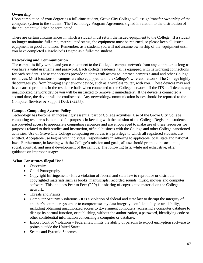# **Ownership**

Upon completion of your degree as a full-time student, Grove City College will assign/transfer ownership of the computer system to the student. The Technology Program Agreement signed in relation to the distribution of the equipment will then be terminated.

There are certain circumstances in which a student must return the issued equipment to the College. If a student no longer maintains full-time, matriculated status, the equipment must be returned, so please keep all issued equipment in good condition. Remember, as a student, you will not assume ownership of the equipment until you have completed a Bachelor's Degree as a full-time student.

# **Networking and Communication**

The campus is fully wired, and you can connect to the College's campus network from any computer as long as you have a valid username and password. Each college residence hall is equipped with networking connections for each resident. These connections provide students with access to Internet, campus e-mail and other College resources. Most locations on campus are also equipped with the College's wireless network. The College highly discourages you from bringing any network device, such as a wireless router, with you. These devices may and have caused problems in the residence halls when connected to the College network. If the ITS staff detects any unauthorized network device you will be instructed to remove it immediately. If the device is connected a second time, the device will be confiscated. Any networking/communication issues should be reported to the Computer Services & Support Desk (x2255).

# **Campus Computing System Policy**

Technology has become an increasingly essential part of College activities. Use of the Grove City College computing resources is intended for purposes in keeping with the mission of the College. Registered students are provided access to appropriate computing resources and are encouraged to make use of these resources for purposes related to their studies and instruction, official business with the College and other College-sanctioned activities. Use of Grove City College computing resources is a privilege to which all registered students are entitled. Acceptable use begins with individual responsibility in adhering to applicable local, state and national laws. Furthermore, in keeping with the College's mission and goals, all use should promote the academic, social, spiritual, and moral development of the campus. The following lists, while not exhaustive, offer guidance on improper usage:

# **What Constitutes Illegal Use?**

- Obscenity
- Child Pornography
- Copyright Infringement It is a violation of federal and state law to reproduce or distribute copyrighted materials such as books, manuscripts, recorded sounds, music, movies and computer software. This includes Peer to Peer (P2P) file sharing of copyrighted material on the College network.
- Threats and Pranks
- Computer Security Violations It is a violation of federal and state law to disrupt the integrity of another's computer system or to compromise any data integrity, confidentiality or availability, including obtaining unauthorized access to government computers, accessing a computer database to disrupt its normal function, or publishing, without the authorization, a password, identifying code or other confidential information concerning a computer or database.
- Export Control Violations Federal law limits the ability of persons to export encryption software to points outside the United States.
- Scams and Pyramid Schemes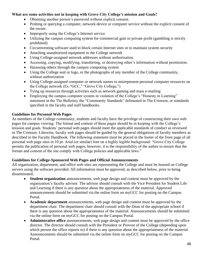# **What are some activities not in keeping with Grove City College's mission and Goals?**

- Obtaining another person's password without explicit consent.
- Probing or querying a computer, network device or computer service without the explicit consent of the owner.
- Improperly using the College's Internet service
- Utilizing the campus computing system for commercial gain or private profit (gambling is strictly prohibited)
- Circumventing software used to block certain Internet sites or to maintain system security
- Attaching unauthorized equipment to the College network
- Using College-assigned network addresses without authorization
- Accessing, copying, modifying, transferring, or destroying other's information without permission.
- Harassing others through the campus computing system
- Using the College seal or logo, or the photographs of any member of the College community, without authorization
- Using College-assigned computer or network names to misrepresent personal computer resources on the College network (Ex."GCC," "Grove City College,")
- Tying up resources through activities such as network gaming and mass e-mailing
- Employing the campus computer system in violation of the College's "Honesty in Learning" statement in the The Bulletin), the "Community Standards" delineated in The Crimson, or standards specified in the faculty and staff handbooks.

# **Guidelines for Personal Web Pages**

As members of the College community, students and faculty have the privilege of constructing their own web pages for campus viewing. The format and content of these pages should be in keeping with the College's mission and goals. Students' personal web pages should meet the applicable standards of conduct as reviewed in The Crimson. Likewise, faculty web pages should be guided by the general obligations of faculty members as described in the Faculty Handbook. The following statement must be placed in the footer of the front page of all personal web page sites in 10 pt. Arial (or similar) font on a highly legible background: "Grove City College permits the publication of personal web pages; however, it is the responsibility of the author to ensure that the format and content of the site comply with College policies and applicable laws."

### **Guidelines for College-Sponsored Web Pages and Official Announcements**

All organization, department, and office web sites are representing the College and must be housed on College servers using the software provided. All information must be approved, as described below, prior to being disseminated.

- **Student organization** announcements, web page design and content must be approved by the organization's faculty advisor. The advisor should consult with the Vice President for Student Life and Learning if there is any question about the appropriateness of the material. Approved announcements should be submitted via the online form on myGCC for posting on the Campus Portal.
- **Academic department** announcements, web page design and content must be approved by the department chair. The department chair should consult with the Dean of the appropriate school if there is any question about the appropriateness of the material. Announcements should be submitted via the online form on myGCC for posting on the Campus Portal.
- **Administrative office** announcements, web page design and content must be approved by the office director. The director should consult with the President or Provost of the College (depending upon which person the office reports to) if there is any question about the appropriateness of the material. Announcements should be submitted via the online form on myGCC for posting on the Campus Portal.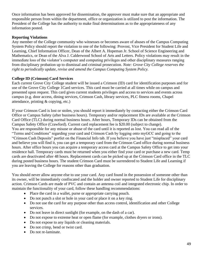Once information has been approved for dissemination, the approver must make sure that an appropriate and responsible person from within the department, office or organization is utilized to post the information. The President of the College has the authority to make final determinations as to the appropriateness of any information posted.

## **Reporting Violations**

Any member of the College community who witnesses or becomes aware of abuses of the Campus Computing System Policy should report the violation to one of the following: Provost, Vice President for Student Life and Learning, Chief Information Officer, Dean of the Albert A. Hopeman Jr. School of Science Engineering and Mathematics, or Dean of the Alva J. Calderwood School of Arts and Letters. Policy violations may result in the immediate loss of the violator's computer and computing privileges and other disciplinary measures ranging from disciplinary probation up to dismissal and criminal prosecution. *Note: Grove City College reserves the right to periodically update, revise and amend the Campus Computing System Policy.* 

# **College ID (Crimson) Card Services**

Each current Grove City College student will be issued a Crimson (ID) card for identification purposes and for use of the Grove City College 1Card services. This card must be carried at all times while on campus and presented upon request. This card gives current students privileges and access to services and events across campus (e.g. door access, dining services, Crimson Cash, library services, PLC fitness rooms, Chapel attendance, printing & copying, etc.)

If your Crimson Card is lost or stolen, you should report it immediately by contacting either the Crimson Card Office or Campus Safety (after business hours). Temporary and/or replacement IDs are available at the Crimson Card Office (TLC) during normal business hours. After hours, Temporary IDs can be obtained from the Campus Safety Office (Crawford). Current card replacement fee is \$20.00 (subject to change). You are responsible for any misuse or abuse of the card until it is reported as lost. You can read all of the "Terms and Conditions" regarding your card and Crimson Cash by logging onto myGCC and going to the "Crimson Cash Deposits" portlet on the Financial Info tab. If you believe you have just "misplaced" your card and believe you will find it, you can get a temporary card from the Crimson Card office during normal business hours. After office hours you can acquire a temporary access card at the Campus Safety Office to get into your residence hall. Temporary cards must be returned when you either find your card or purchase a new card. Temp cards are deactivated after 48 hours. Replacement cards can be picked up at the Crimson Card office in the TLC during posted business hours. The student Crimson Card must be surrendered to Student Life and Learning if you are leaving the College for reasons other than graduation.

You should never allow anyone else to use your card. Any card found in the possession of someone other than its owner, will be immediately confiscated and the holder and owner reported to Student Life for disciplinary action. Crimson Cards are made of PVC and contain an antenna coil and integrated electronic chip. In order to maintain the functionality of your card, follow these handling recommendations:

- Place the card in a wallet, purse or appropriate carrying pouch.
- Do not punch a slot or hole in your card or place it on a key ring.
- Do not use the card for any purpose other than access control, identification and other College services.
- Do not leave in direct sunlight (for example, on the dash of a car).
- Do not expose to extreme heat or open flame (for example, clothes dryers or irons).
- Do not expose to any liquids or cleaning materials.
- Do not crimp, bend or twist card.
- Do not re-laminate.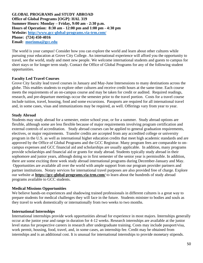**GLOBAL PROGRAMS and STUDY ABROAD Office of Global Programs [OGP]: HAL 319 Summer Hours: Monday – Friday, 9:00 am - 2:30 p.m. Hours of Operation: 8:30 am - 12:00 pm and 1:00 pm - 4:30 pm Website:<http://www.gcc-global-programs.via-trm.com/> Phone: (724) 450-4016 Email: [morinma@gcc.edu](mailto:morinma@gcc.edu)**

The world is your campus! Consider how you can explore the world and learn about other cultures while pursuing your education at Grove City College. An international experience will afford you the opportunity to travel, see the world, study and meet new people. We welcome international students and guests to campus for short stays or for longer term study. Contact the Office of Global Programs for any of the following student opportunities.

#### **Faculty Led Travel Courses**

Grove City faculty lead travel courses in January and May-June Intersessions to many destinations across the globe. This enables students to explore other cultures and receive credit hours at the same time. Each course meets the requirements of an on-campus course and may be taken for credit or audited. Required readings, research, and pre-departure meetings occur the semester prior to the travel portion. Costs for a travel course include tuition, travel, housing, food and some excursions. Passports are required for all international travel and, in some cases, visas and immunizations may be required, as well. Offerings vary from year to year.

#### **Study Abroad**

Students may study abroad for a semester, entire school year, or for a summer. Study abroad options are flexible, although some are less flexible because of major requirements involving program certification and external controls of accreditation. Study abroad courses can be applied to general graduation requirements, electives, or major requirements. Transfer credits are accepted from any accredited college or university program in the U.S. as well as international higher education credits that meet high academic standards and are approved by the Office of Global Programs and the GCC Registrar. Many program fees are comparable to oncampus expenses and GCC financial aid and scholarships are usually applicable. In addition, many programs provide scholarships and financial aid or grants for study abroad. Students typically study abroad in their sophomore and junior years, although doing so in first semester of the senior year is permissible. In addition, there are some exciting three week study abroad international programs during December-January and May. Opportunities are available all over the world with ample support from our program provider partners and partner institutions. Notary services for international travel purposes are also provided free of charge. Explore our website at **<https://gcc-global-programs.via-trm.com/>** to learn about the hundreds of study abroad programs available to GCC students.

#### **Medical Missions Opportunities**

We believe hands-on experiences and shadowing trained professionals in different cultures is a great way to prepare students for medical challenges they will face in the future. Students minister to bodies and souls as they travel to work domestically or internationally from two weeks to two months.

#### **International Internships**

International internships provide work opportunities abroad for experience in most majors. Internships generally occur at the junior year and range in duration for 4-12 weeks. Research internships are available at the junior level status for prospective careers in research after undergraduate training. Costs may include passport/visa, work permit, housing, food, travel, and, in some cases, an internship fee. Credit may be obtained from internships and is an additional cost. It is unusual for international internships to provide monetary stipends.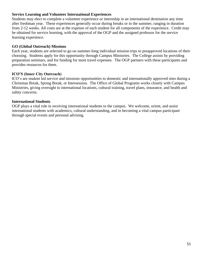## **Service Learning and Volunteer International Experiences**

Students may elect to complete a volunteer experience or internship in an international destination any time after freshman year. These experiences generally occur during breaks or in the summer, ranging in duration from 2-12 weeks. All costs are at the expense of each student for all components of the experience. Credit may be obtained for service learning, with the approval of the OGP and the assigned professor for the service learning experience.

## **GO (Global Outreach) Missions**

Each year, students are selected to go on summer-long individual mission trips to preapproved locations of their choosing. Students apply for this opportunity through Campus Ministries. The College assists by providing preparation seminars, and for funding for most travel expenses. The OGP partners with these participants and provides resources for them.

# **ICO'S (Inner City Outreach)**

ICO's are student led service and missions opportunities to domestic and internationally approved sites during a Christmas Break, Spring Break, or Intersession. The Office of Global Programs works closely with Campus Ministries, giving oversight to international locations, cultural training, travel plans, insurance, and health and safety concerns.

### **International Students**

OGP plays a vital role in receiving international students to the campus. We welcome, orient, and assist international students with academics, cultural understanding, and in becoming a vital campus participant through special events and personal advising.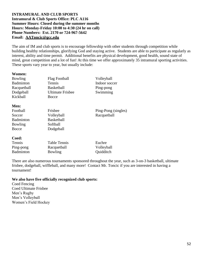#### **INTRAMURAL AND CLUB SPORTS Intramural & Club Sports Office: PLC A116 Summer Hours: Closed during the summer months Hours: Monday-Friday 10:00 to 4:30 (24 hr on call) Phone Numbers: Ext. 2170 or 724-967-5642 Email: AAToncic@gcc.edu**

The aim of IM and club sports is to encourage fellowship with other students through competition while building healthy relationships, glorifying God and staying active. Students are able to participate as regularly as interest, ability and time permit. Additional benefits are physical development, good health, sound state of mind, great competition and a lot of fun! At this time we offer approximately 35 intramural sporting activities. These sports vary year to year, but usually include:

#### **Women:**

| Bowling          | Flag Football           | Volleyball          |
|------------------|-------------------------|---------------------|
| <b>Badminton</b> | Tennis                  | Indoor soccer       |
| Racquetball      | <b>Basketball</b>       | Ping-pong           |
| Dodgeball        | <b>Ultimate Frisbee</b> | Swimming            |
| Kickball         | <b>Bocce</b>            |                     |
| Men:             |                         |                     |
| Football         | Frisbee                 | Ping-Pong (singles) |
| Soccer           | Volleyball              | Racquetball         |
| <b>Badminton</b> | <b>Basketball</b>       |                     |
| Bowling          | Softball                |                     |
| Bocce            | Dodgeball               |                     |
| Coed:            |                         |                     |
| Tennis           | Table Tennis            | Euchre              |
| Ping-pong        | Racquetball             | Volleyball          |
| <b>Badminton</b> | Bowling                 | Quidditch           |
|                  |                         |                     |

There are also numerous tournaments sponsored throughout the year, such as 3-on-3 basketball, ultimate frisbee, dodgeball, wiffleball, and many more! Contact Mr. Toncic if you are interested in having a tournament!

#### **We also have five officially recognized club sports:**

Coed Fencing Coed Ultimate Frisbee Men's Rugby Men's Volleyball Women's Field Hockey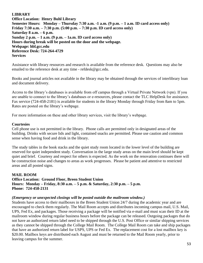## **LIBRARY**

**Office Location: Henry Buhl Library Semester Hours: Monday – Thursday 7:30 a.m. -1 a.m. (9 p.m. – 1 a.m. ID card access only) Friday 7:30 a.m. – 7:30 p.m. (5:00 p.m. – 7:30 p.m. ID card access only) Saturday 8 a.m. – 6 p.m. Sunday 2 p.m. – 1 a.m. (9 p.m. – 1a.m. ID card access only) Hours during break will be posted on the door and the webpage. Webpage: hbl.gcc.edu Reference Desk: 724-264-4729 Services**

Assistance with library resources and research is available from the reference desk. Questions may also be emailed to the reference desk at any time - refdesk@gcc.edu.

Books and journal articles not available in the library may be obtained through the services of interlibrary loan and document delivery.

Access to the library's databases is available from off campus through a Virtual Private Network (vpn). If you are unable to connect to the library's databases or e-resources, please contact the TLC HelpDesk for assistance. Fax service (724-458-2181) is available for students in the library Monday through Friday from 8am to 5pm. Rates are posted on the library's webpage.

For more information on these and other library services, visit the library's webpage.

#### **Courtesies**

Cell phone use is not permitted in the library. Phone calls are permitted only in designated areas of the building. Drinks with secure lids and light, contained snacks are permitted. Please use caution and common sense when having food and drink in the library.

The study tables in the book stacks and the quiet study room located in the lower level of the building are reserved for quiet independent study. Conversation in the large study areas on the main level should be kept quiet and brief. Courtesy and respect for others is expected. As the work on the renovation continues there will be construction noise and changes to areas as work progresses. Please be patient and attentive to restricted areas and all posted signs.

#### **MAIL ROOM Office Location: Ground Floor, Breen Student Union Hours: Monday – Friday, 8:30 a.m. – 5 p.m. & Saturday, 2:30 p.m. – 5 p.m. Phone: 724-458-2131**

#### *(Emergency or unexpected closings will be posted outside the mailroom window.)*

Students have access to their mailboxes in the Breen Student Union 24/7 during the academic year and are encouraged to check them regularly. The Mail Room accepts and distributes incoming campus mail, U.S. Mail, UPS, Fed Ex, and packages. Those receiving a package will be notified via e-mail and must scan their ID at the mailroom window during regular business hours before the package can be released. Outgoing packages that do not have an authorized return label need to be shipped through the U.S. Post Office or similar shipping services as they cannot be shipped through the College Mail Room. The College Mail Room can take and ship packages that have an authorized return label for USPS, UPS or Fed Ex. The replacement cost for a lost mailbox key is \$20.00. Mailbox keys are distributed each August and must be returned to the Mail Room yearly, prior to leaving campus for the summer.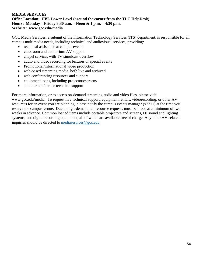### **MEDIA SERVICES Office Location: HBL Lower Level (around the corner from the TLC HelpDesk) Hours: Monday – Friday 8:30 a.m. – Noon & 1 p.m. – 4:30 p.m. Website: www.gcc.edu/media**

GCC Media Services, a subunit of the Information Technology Services (ITS) department, is responsible for all campus multimedia needs, including technical and audiovisual services, providing:

- technical assistance at campus events
- classroom and auditorium AV support
- chapel services with TV simulcast overflow
- audio and video recording for lectures or special events
- Promotional/informational video production
- web-based streaming media, both live and archived
- web conferencing resources and support
- equipment loans, including projectors/screens
- summer conference technical support

For more information, or to access on-demand streaming audio and video files, please visit www.gcc.edu/media. To request live technical support, equipment rentals, videorecording, or other AV resources for an event you are planning, please notify the campus events manager (x2211) at the time you reserve the campus venue. Due to high-demand, all resource requests must be made at a minimum of two weeks in advance. Common loaned items include portable projectors and screens, DJ sound and lighting systems, and digital recording equipment, all of which are available free of charge. Any other AV-related inquiries should be directed to [mediaservices@gcc.edu.](mailto:mediaservices@gcc.edu)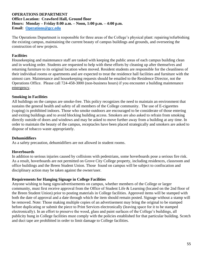#### **OPERATIONS DEPARTMENT Office Location: Crawford Hall, Ground floor Hours: Monday – Friday 8:00 a.m. – Noon, 1:00 p.m. – 4:00 p.m. Email: [Operations@gcc.edu](mailto:Operations@gcc.edu)**

The Operations Department is responsible for three areas of the College's physical plant: repairing/refurbishing the existing campus, maintaining the current beauty of campus buildings and grounds, and overseeing the construction of new projects.

### **Facilities**

Housekeeping and maintenance staff are tasked with keeping the public areas of each campus building clean and in working order. Students are requested to help with these efforts by cleaning up after themselves and returning furniture to its original location when moved. Resident students are responsible for the cleanliness of their individual rooms or apartments and are expected to treat the residence hall facilities and furniture with the utmost care. Maintenance and housekeeping requests should be emailed to the Residence Director, not the Operations Office. Please call 724-458-3000 (non-business hours) if you encounter a building maintenance emergency.

### **Smoking in Facilities**

All buildings on the campus are smoke-free. This policy recognizes the need to maintain an environment that sustains the general health and safety of all members of the College community. The use of E-cigarettes (vaping) is prohibited indoors. Those who smoke outdoors are encouraged to be considerate of those entering and exiting buildings and to avoid blocking building access. Smokers are also asked to refrain from smoking directly outside of doors and windows and may be asked to move further away from a building at any time. In order to maintain the beauty of the campus, receptacles have been placed strategically and smokers are asked to dispose of tobacco waste appropriately.

### **Dehumidifiers**

As a safety precaution, dehumidifiers are not allowed in student rooms.

### **Hoverboards**

In addition to serious injuries caused by collisions with pedestrians, some hoverboards pose a serious fire risk. As a result, hoverboards are not permitted on Grove City College property, including residences, classroom and office buildings and the Breen Student Union. Those found on campus will be subject to confiscation and disciplinary action may be taken against the owner/user.

### **Requirements for Hanging Signage in College Facilities**

Anyone wishing to hang signs/advertisements on campus, whether members of the College or larger community, must first receive approval from the Office of Student Life & Learning (located on the 2nd floor of the Breen Student Union) prior to posting materials in College facilities. Approved items will be stamped with both the date of approval and a date through which the item should remain posted. Signage without a stamp will be removed. Note: Those making multiple copies of an advertisement may bring the original to be stamped before duplicating or submit the piece to Print Services electronically (leaving space for it to be stamped electronically). In an effort to preserve the wood, glass and paint surfaces of the College's buildings, all publicity hung in College facilities must comply with the policies established for that particular building. Scotch and duct tape are prohibited in order to limit damage to College facilities.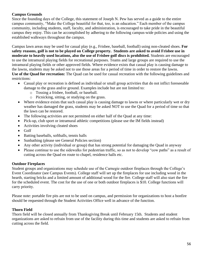# **Campus Grounds**

Since the founding days of the College, this statement of Joseph N. Pew has served as a guide to the entire campus community, "Make the College beautiful for that, too, is an education." Each member of the campus community, including students, staff, faculty, and administration, is encouraged to take pride in the beautiful campus they enjoy. This can be accomplished by adhering to the following campus-wide policies and using the established walkways throughout the campus.

Campus lawn areas may be used for casual play (e.g., Frisbee, baseball, football) using non-cleated shoes. **For safety reasons, golf is not to be played on College property. Students are asked to avoid Frisbee use in moderate to heavily used locations, also the use of Frisbee golf discs is prohibited.** Students are encouraged to use the intramural playing fields for recreational purposes. Teams and large groups are required to use the intramural playing fields or other approved fields. Where evidence exists that casual play is causing damage to the lawns, students may be asked not to use those areas for a period of time in order to restore the lawns. **Use of the Quad for recreation:** The Quad can be used for casual recreation with the following guidelines and restrictions:

- Casual play or recreation is defined as individual or small group activities that do not inflict foreseeable damage to the grass and/or ground. Examples include but are not limited to:
	- o Tossing a frisbee, football, or baseball.
	- o Picnicking, sitting, or studying on the grass.
- Where evidence exists that such casual play is causing damage to lawns or where particularly wet or dry weather has damaged the grass, students may be asked NOT to use the Quad for a period of time so that the lawn can be restored.
- The following activities are not permitted on either half of the Quad at any time:
- Pick-up, club sport or intramural athletic competitions (please use the IM fields instead)
- Activities involving cleated shoes
- Golf
- Batting baseballs, softballs, tennis balls
- Sunbathing (please see General Policies section)
- Any other activity (individual or group) that has strong potential for damaging the Quad in anyway
- Please continue to use the sidewalks for pedestrian traffic, so as not to develop "cow paths" as a result of cutting across the Quad en route to chapel, residence halls etc.

### **Outdoor Fireplaces**

Student groups and organizations may schedule use of the Carnegie outdoor fireplaces through the College's Event Coordinator (see Campus Events). College staff will set up the fireplaces for use including wood in the hearth, starting bricks and a limited amount of additional wood for the fire. College staff will also start the fire for the scheduled event. The cost for the use of one or both outdoor fireplaces is \$10. College functions will carry priority.

Please note: portable fire pits are not to be used on campus, and permission for organizations to host a bonfire should be requested through the Student Activities Office well in advance of the function.

### **Thorn Field**

Thorn field will be closed annually from Thanksgiving Break until February 15th. Students and student organizations are asked to refrain from use of the facility during this time and students are asked to refrain from cutting across the field.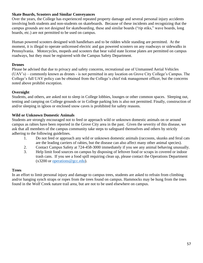# **Skate Boards, Scooters and Similar Conveyances**

Over the years, the College has experienced repeated property damage and several personal injury accidents involving both students and non-students on skateboards. Because of these incidents and recognizing that the campus grounds are not designed for skateboarding, these and similar boards ("rip stiks," wave boards, long boards, etc.) are not permitted to be used on campus.

Human powered scooters designed with handlebars and to be ridden while standing are permitted. At the moment, it is illegal to operate unlicensed electric and gas powered scooters on any roadways or sidewalks in Pennsylvania. Motorcycles, mopeds and scooters that bear valid state license plates are permitted on campus roadways, but they must be registered with the Campus Safety Department.

# **Drones**

Please be advised that due to privacy and safety concerns, recreational use of Unmanned Aerial Vehicles (UAV's) – commonly known as drones - is not permitted in any location on Grove City College's Campus. The College's full UAV policy can be obtained from the College's chief risk management officer, but the concerns noted above prohibit exception.

# **Overnight**

Students, and others, are asked not to sleep in College lobbies, lounges or other common spaces. Sleeping out, tenting and camping on College grounds or in College parking lots is also not permitted. Finally, construction of and/or sleeping in igloos or enclosed snow caves is prohibited for safety reasons.

# **Wild or Unknown Domestic Animals**

Students are strongly encouraged not to feed or approach wild or unknown domestic animals on or around campus as rabies have been reported in the Grove City area in the past. Given the severity of this disease, we ask that all members of the campus community take steps to safeguard themselves and others by strictly adhering to the following guidelines.

- 1. Do not feed or approach any wild or unknown domestic animals (raccoons, skunks and feral cats are the leading carriers of rabies, but the disease can also affect many other animal species).
- 2. Contact Campus Safety at 724-458-3000 immediately if you see any animal behaving unusually.
- 3. Help limit food sources on campus by disposing of leftover food or scraps in covered or indoor trash cans. If you see a food spill requiring clean up, please contact the Operations Department (x3200 or [operations@gcc.edu\)](mailto:operations@gcc.edu).

### **Trees**

In an effort to limit personal injury and damage to campus trees, students are asked to refrain from climbing and/or hanging synch straps or ropes from the trees found on campus. Hammocks may be hung from the trees found in the Wolf Creek nature trail area, but are not to be used elsewhere on campus.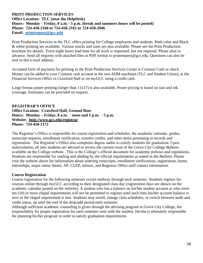#### **PRINT PRODUCTION SERVICES Office Location: TLC (near the HelpDesk) Hours: Monday – Friday, 8 a.m.– 5 p.m. (break and summers hours will be posted) Phone: 724-458-2160 or 724-458-2161 or 724-458-2046 Email: [printrequest@gcc.edu](mailto:printrequest@gcc.edu)**

Print Production Services in the TLC offers printing for College employees and students. Both color and Black & white printing are available. Various stocks and sizes are also available. Please see the Print Production brochure for details. Forty-eight hours lead time for all work is requested, but not required. Please plan in advance. Send all requests with attached files in PDF format to printrequest@gcc.edu. Questions can also be sent to this e-mail address.

Accepted form of payment for printing in the Print Production Services Center is Crimson Cash or check. Money can be added to your Crimson cash account at the two ADM machines (TLC and Student Union), at the Financial Services Office in Crawford Hall or on myGCC using a credit card.

Large format poster printing (larger than 11x17) is also available. Poster pricing is based on size and ink coverage. Estimates can be provided on request.

#### **REGISTRAR'S OFFICE Office Location: Crawford Hall, Ground floor Hours: Monday – Friday, 8 a.m. - noon and 1 p.m. - 5 p.m. Website: http://www.gcc.edu/registrar Phone: 724-458-2172**

The Registrar's Office is responsible for course registration and schedules, the academic calendar, grades, transcript requests, enrollment verification, transfer credits, and other items pertaining to records and registration. The Registrar's Office also completes degree audits to certify students for graduation. Upon matriculation, all new students are advised to review the current issue of the Grove City College *Bulletin* available on the College website. This is the College's official document for academic policies and regulations. Students are responsible for reading and abiding by the official requirements as stated in the *Bulletin*. Please visit the website above for information about ordering transcripts, enrollment verifications, registration, forms, internships, major status sheets, AP, CLEP, minors, and Registrar Office staff contact information.

### **Course Registration**

Course registration for the following semester occurs midway through each semester. Students register for courses online through myGCC according to their designated class day (registration days are shown on the academic calendar posted on the website). A student who has a balance on his/her student account or who owes ten (10) or more chapel requirements will not be permitted to register until such time his/her account balance is zero or the chapel requirement is met. Students may enroll, change class schedules, or switch between audit and credit status, up until the end of the drop/add period each semester.

Although sufficient academic counseling is given through the advising program at Grove City College, the responsibility for proper registration for each semester rests with the student. He/she is ultimately responsible for planning his/her program in order to satisfy graduation requirements.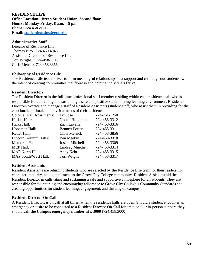**RESIDENCE LIFE Office Location: Breen Student Union, Second floor Hours: Monday-Friday, 8 a.m. – 5 p.m. Phone: 724.458.2171 Email: [studenthousing@gcc.edu](mailto:studenthousing@gcc.edu)**

#### **Administrative Staff**

Director of Residence Life: Thomas Biro 724.450.4045 Assistant Directors of Residence Life: Tori Wright 724-458-3317 Chris Merrick 724.458.3356

#### **Philosophy of Residence Life**

The Residence Life team strives to form meaningful relationships that support and challenge our students, with the intent of creating communities that flourish and helping individuals thrive.

#### **Resident Directors**

The Resident Director is the full-time professional staff member residing within each residence hall who is responsible for cultivating and sustaining a safe and positive student living learning environment. Residence Directors oversee and manage a staff of Resident Assistants (student staff) who assist them in providing for the emotional, spiritual, and physical needs of their residents.

| <b>Colonial Hall Apartments:</b> | Liz Jose              | 724-264-1250 |
|----------------------------------|-----------------------|--------------|
| Harker Hall:                     | Naomi Hollgrath       | 724-458-3312 |
| <b>Hicks Hall:</b>               | Zach Lavalla          | 724-458-3316 |
| Hopeman Hall:                    | <b>Bennett Potter</b> | 724-458-3311 |
| Ketler Hall:                     | Chris Merrick         | 724-458-3856 |
| Lincoln, Alumni Halls:           | Ben Meekin            | 724-458-3310 |
| <b>Memorial Hall:</b>            | Josiah Mitchell       | 724-458-3309 |
| <b>MEP Hall:</b>                 | Lindsey Minchen       | 724-458-3314 |
| <b>MAP North Hall:</b>           | Abby Kehr             | 724-458-3315 |
| <b>MAP South/West Hall:</b>      | Tori Wright           | 724-458-3317 |

#### **Resident Assistants**

Resident Assistants are returning students who are selected by the Residence Life team for their leadership, character, maturity, and commitment to the Grove City College community. Resident Assistants aid the Resident Director in cultivating and sustaining a safe and supportive atmosphere for all students. They are responsible for maintaining and encouraging adherence to Grove City College's Community Standards and creating opportunities for student learning, engagement, and thriving on campus.

#### **Resident Director On Call**

A Resident Director, is on call at all times, when the residence halls are open. Should a student encounter an emergency or desire to be connected to a Resident Director On-Call for emotional or in-person support, they should **call the Campus emergency number at x 3000** (724.458.3000).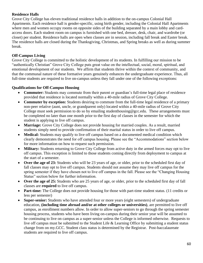# **Residence Halls**

Grove City College has eleven traditional residence halls in addition to the on-campus Colonial Hall Apartments. Each residence hall is gender-specific, using birth gender, including the Colonial Hall Apartments where men and women occupy rooms on opposite sides of the building separated by a main lobby and cardaccess doors. Each student room on campus is furnished with one bed, dresser, desk, chair, and wardrobe (or closet) per student. Residence halls are open when classes are in session, including fall break and Easter break. The residence halls are closed during the Thanksgiving, Christmas, and Spring breaks as well as during summer break.

# **Off-Campus Living**

Grove City College is committed to the holistic development of its students. In fulfilling our mission to be "authentically Christian" Grove City College puts great value on the intellectual, social, moral, spiritual, and emotional development of our students. We affirm that students thrive within the context of community, and that the communal nature of these formative years genuinely enhances the undergraduate experience. Thus, all full-time students are required to live on-campus unless they fall under one of the following exceptions:

# **Qualifications for Off-Campus Housing**

- **Commuter:** Students may commute from their parent or guardian's full-time legal place of residence provided that residence is located normally within a 40-mile radius of Grove City College.
- **Commuter by exception:** Students desiring to commute from the full-time legal residence of a primary non-peer relative (aunt, uncle, or grandparent only) located within a 40-mile radius of Grove City College must seek permission to do so by emailing studenthousing@gcc.edu. These arrangements must be completed no later than one month prior to the first day of classes in the semester for which the student is applying to live off campus.
- Marriage: Grove City College does not provide housing for married couples. As a result, married students simply need to provide confirmation of their marital status in order to live off campus.
- **Medical:** Students may qualify to live off campus based on a documented medical condition which clearly demonstrates the need for off campus housing. Please see the "Accommodations" section below for more information on how to request such permission.
- **Military:** Students returning to Grove City College from active duty in the armed forces may opt to live off campus. This exception is limited to those students coming directly from deployment to campus at the start of a semester.
- **Over the age of 23:** Students who will be 23 years of age, or older, prior to the scheduled first day of fall classes may opt to live off campus. Students should not assume they may live off campus for the spring semester if they have chosen not to live off campus in the fall. Please see the "Changing Housing Status" section below for further information.
- **Over the age of 25:** Students who are 25 years of age, or older, prior to the scheduled first day of fall classes are **required** to live off campus.
- **Part-time:** The College does not provide housing for those with part-time student status. (11 credits or less per semester)
- **Super-senior:** Students who have attended four or more years (eight semesters) of undergraduate education, **(including time abroad and/or at other colleges or universities)**, are permitted to live off campus, as enrollment numbers allow. In order to allow super-seniors to go through the spring semester housing process, students who have been living on-campus during their senior year will be assumed to be continuing to live on campus as a super-senior unless the College is informed otherwise. Requests to live off campus must be submitted to the Student Life & Learning Office by submitting a student status change from on my.GCC. Student class status is determined by the Registrar. Post-baccalaureate students are required to live off campus.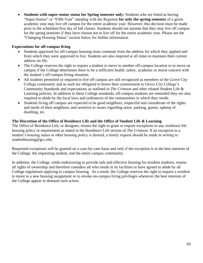**Students with super-senior status for Spring semester only:** Students who are listed as having "Super-Senior" or "Fifth-Year" standing with the Registrar **for only the spring semester** of a given academic year may live off campus for the entire academic year. However, this decision must be made prior to the scheduled first day of fall classes. Students should not assume that they may live off campus for the spring semester if they have chosen not to live off for the entire academic year. Please see the "Changing Housing Status" section below for further information.

# **Expectations for off-campus living**

- Students approved for off-campus housing must commute from the address for which they applied and from which they were approved to live. Students are also required at all times to maintain their current address on file.
- The College reserves the right to require a student to move to another off-campus location or to move on campus if the College determines there to be a sufficient health, safety, academic or moral concern with the student's off-campus living situation.
- All students permitted or required to live off campus are still recognized as members of the Grove City College community and as such are obligated to honor their commitment to Grove City College's Community Standards and expectations as outlined in *The Crimson* and other related Student Life & Learning policies. In addition to these College standards, off-campus students are reminded they are also required to abide by the local laws and ordinances of the communities in which they reside.
- Students living off campus are expected to be good neighbors, respectful and considerate of the rights and needs of their neighbors, and sensitive to issues regarding noise, parking, guests, upkeep of dwelling, etc.

# **The Discretion of the Office of Residence Life and the Office of Student Life & Learning**

The Office of Residence Life, or designee, retains the right to grant or require exceptions to any residence life housing policy or requirement as stated in the Residence Life section of *The Crimson*. If an exception to a student's housing status or other housing policy is desired, a timely request should be made in writing to studenthousing@gcc.edu.

Requested exceptions will be granted on a case-by-case basis and only if the exception is in the best interests of the College, the requesting student, and the entire campus community.

In addition, the College, while endeavoring to provide safe and effective housing for resident students, retains all rights of ownership and therefore considers all who reside in its facilities to have agreed to abide by all College regulations applying to campus housing. As a result, the College reserves the right to require a resident to move to a new housing assignment or to revoke on-campus living privileges whenever the best interests of the College appear to demand such action.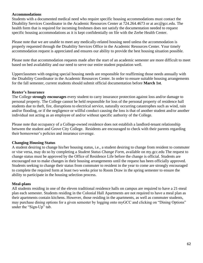#### **Accommodations**

Students with a documented medical need who require specific housing accommodations must contact the Disability Services Coordinator in the Academic Resources Center at 724.264.4673 or at arc@gcc.edu. The health form that is required for incoming freshmen does not satisfy the documentation needed to request specific housing accommodations as it is kept confidentially on file with the Zerbe Health Center.

Please note that we are unable to meet any medically-related housing need unless the accommodation is properly requested through the Disability Services Office in the Academic Resources Center. Your timely accommodation request is appreciated and ensures our ability to provide the best housing situation possible.

Please note that accommodation requests made after the start of an academic semester are more difficult to meet based on bed availability and our need to serve our entire student population well.

Upperclassmen with ongoing special housing needs are responsible for reaffirming those needs annually with the Disability Coordinator in the Academic Resources Center. In order to ensure suitable housing arrangements for the fall semester, current students should submit official documentation before **March 1st**.

### **Renter's Insurance**

The College **strongly encourages** every student to carry insurance protection against loss and/or damage to personal property. The College cannot be held responsible for loss of the personal property of residence hall students due to theft, fire, disruptions to electrical service, naturally occurring catastrophes such as wind, rain and/or flooding, or if the negligence or willful conduct causing the loss is that of another student and/or another individual not acting as an employee of and/or without specific authority of the College.

Please note that occupancy of a College-owned residence does not establish a landlord-tenant relationship between the student and Grove City College. Residents are encouraged to check with their parents regarding their homeowner's policies and insurance coverage.

### **Changing Housing Status**

A student desiring to change his/her housing status, i.e., a student desiring to change from resident to commuter or vise versa, may do so by completing a *Student Status Change Form*, available on my.gcc.edu The request to change status must be approved by the Office of Residence Life before the change is official. Students are encouraged not to make changes in their housing arrangements until the request has been officially approved. Students seeking to change their status from commuter to resident in the year to come are strongly encouraged to complete the required form at least two weeks prior to Room Draw in the spring semester to ensure the ability to participate in the housing selection process.

### **Meal-plans**

All students residing in one of the eleven traditional residence halls on campus are required to have a 21-meal plan each semester. Students residing in the Colonial Hall Apartments are not required to have a meal plan as their apartments contain kitchens. However, those residing in the apartments, as well as commuter students, may purchase dining options for a given semester by logging onto myGCC and clicking on "Dining Options" under the "Sign-Up" tab.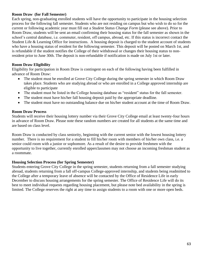### **Room Draw (for Fall Semester)**

Each spring, non-graduating enrolled students will have the opportunity to participate in the housing selection process for the following fall semester. Students who are not residing on campus but who wish to do so for the current or following academic year must fill out a *Student Status Change Form* (please see above). Prior to Room Draw, students will be sent an email confirming their housing status for the fall semester as shown in the school's central database, i.e. commuter, resident, off campus, abroad, etc. If this status is incorrect contact the Student Life & Learning Office for instructions. A housing deposit is charged to the student account of students who have a housing status of resident for the following semester. This deposit will be posted on March 1st, and is refundable if the student notifies the College of their withdrawal or changes their housing status to nonresident prior to June 30th. The deposit is non-refundable if notification is made on July 1st or later.

#### **Room Draw Eligibility**

Eligibility for participation in Room Draw is contingent on each of the following having been fulfilled in advance of Room Draw:

- The student must be enrolled at Grove City College during the spring semester in which Room Draw takes place. Students who are studying abroad or who are enrolled in a College approved internship are eligible to participate
- The student must be listed in the College housing database as "resident" status for the fall semester.
- The student must have his/her fall housing deposit paid by the appropriate deadline.
- The student must have no outstanding balance due on his/her student account at the time of Room Draw.

#### **Room Draw Process**

Students will receive their housing lottery number via their Grove City College email at least twenty-four hours in advance of Room Draw. Please note these random numbers are created for all students at the same time and are based on class level.

Room Draw is conducted by class seniority, beginning with the current senior with the lowest housing lottery number. There is no requirement for a student to fill his/her room with members of his/her own class, i.e. a senior could room with a junior or sophomore. As a result of the desire to provide freshmen with the opportunity to live together, currently enrolled upperclassmen may not choose an incoming freshman student as a roommate.

#### **Housing Selection Process (for Spring Semester)**

Students entering Grove City College in the spring semester, students returning from a fall semester studying abroad, students returning from a fall off-campus College-approved internship, and students being readmitted to the College after a temporary leave of absence will be contacted by the Office of Residence Life in early December to discuss housing arrangements for the spring semester. The Office of Residence Life will do its best to meet individual requests regarding housing placement, but please note bed availability in the spring is limited. The College reserves the right at any time to assign students to a room with one or more open beds.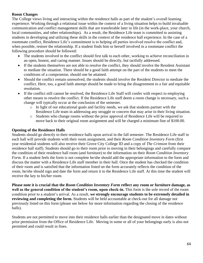# **Room Changes**

The College views living and interacting within the residence halls as part of the student's overall learning experience. Working through a relational issue within the context of a living situation helps to build invaluable communication and conflict management skills that are transferable later in life (in the work-place, your church, local communities, and other relationships). As a result, the Residence Life team is committed to assisting students in developing and utilizing these skills in the context of the residence hall experience. In the case of a roommate conflict, Residence Life's commitment is to helping all parties involved resolve the conflict and, when possible, restore the relationship. If a student finds him or herself involved in a roommate conflict the following procedure should be followed:

- The students involved in the conflict should first talk to each other, working to achieve reconciliation in an open, honest, and caring manner. Issues should be directly, but tactfully addressed.
- If the students themselves are not able to resolve the conflict, they should involve the Resident Assistant to mediate the situation. There should be a good faith attempt on the part of the students to meet the conditions of a compromise, should one be attained.
- Should the conflict remain unresolved, the students should involve the Resident Director to mediate the conflict. Here, too, a good faith attempt should be made to bring the disagreement to a fair and equitable resolution.
- If the conflict still cannot be resolved, the Residence Life Staff will confer with respect to employing other means to resolve the conflict. If the Residence Life staff deem a room change is necessary, such a change will typically occur at the conclusion of the semester.
	- o In light of our educational goals and facility needs, we ask that students partner with the Residence Life team in addressing any struggle or concern that may arise in their living situation.
	- o Students who change rooms without the prior approval of Residence Life will be required to move back to their original room assignment and will be charged a minimum fine of \$100.00.

# **Opening of the Residence Halls**

Students should go directly to their residence halls upon arrival in the fall semester. The Residence Life staff in each hall will provide students with their room assignment, and their *Room Condition Inventory Form* (first year residential students will also receive their Grove City College ID and a copy of *The Crimson* from their residence hall staff). Students should go to their room prior to moving in their belongings and carefully compare the condition of their residence hall room (and furniture) to the information on their *Room Condition Inventory Form*. If a student feels the form is not complete he/she should add the appropriate information to the form and discuss the matter with a Residence Life staff member in their hall. Once the student has checked the condition of their room and is satisfied that the information listed on the form accurately reflects the condition of the room, he/she should sign and date the form and return it to the Residence Life staff. At this time the student will receive the key to his/her room.

**Please note it is crucial that the** *Room Condition Inventory Form* **reflect any room or furniture damage, as well as the general condition of the student's room, upon check-in.** This form is the sole record of the room condition prior to a student's arrival. As a result, **we strongly encourage students to be extremely detailed in reviewing and completing the form.** Students will be held accountable at check-out for all damage not previously listed on this form (please see below for more information regarding the closing of the residence halls).

Students are not permitted to move into their residence halls earlier than the designated move in dates without prior permission from the Office of Residence Life. Moving in some or all of your belongings early is also not permitted and could result in fines.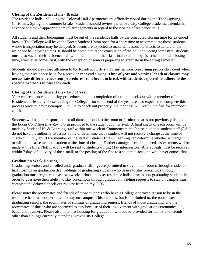### **Closing of the Residence Halls - Breaks**

The residence halls, including the Colonial Hall Apartments are officially closed during the Thanksgiving, Christmas, Spring, and summer breaks. Students should review the Grove City College academic calendar in advance and make appropriate travel arrangements in regard to the closing of residence halls.

All students and their belongings must be out of the residence halls by the scheduled closing time for extended breaks. The College will leave the Breen Student Union open for a short time to accommodate those students whose transportation may be delayed. Students are expected to make all reasonable efforts to adhere to the residence hall closing times. It should be noted that at the conclusion of the Fall and Spring semesters, students must also vacate their residence hall within 24 hours of their last final exam, or by the scheduled hall closing time, whichever comes first, with the exception of seniors preparing to graduate in the spring semester.

Students should pay close attention to the Residence Life staff's instructions concerning proper check-out when leaving their residence halls for a break or year-end closing. **Time of year and varying length of closure may necessitate different check-out procedures from break to break with students expected to adhere to the specific protocols in place for each.**

# **Closing of the Residence Halls - End of Year**

Year-end residence hall closing procedures include completion of a room check-out with a member of the Residence Life staff. Those leaving the College prior to the end of the year are also expected to complete this process prior to leaving campus. Failure to check out properly in either case will result in a fine for improper check-out.

Students will be held responsible for all damage found to the room or furniture that is not previously listed on the *Room Condition Inventory Form* provided to the student upon arrival. A final check of each room will be made by Student Life & Learning staff within one week of Commencement. Please note that student staff (RAs) do not have the authority to assess a fine or determine that a student will not receive a charge at the time of check-out. Only an RD or member of the staff of Student Life & Learning can determine whether a charge will or will not be assessed to a student at the time of closing. Further damage or cleaning needs assessments will be made at this time. Notifications will be sent to students during May intersession. Any appeals must be received within 7 days of delivery of the e-mail, or the posting of the fine to a student's account, whichever comes first.

# **Graduation Week Housing**

Graduating seniors and enrolled undergraduate siblings are permitted to stay in their rooms through residence hall closings on graduation day. Siblings of graduating students who desire to stay on-campus through graduation must register at least two weeks prior to the day residence halls close to non-graduating students in order to guarantee their ability to stay on-campus through graduation. Sibling requests to stay on campus must complete the delayed check-out request from on my.GCC.

Please note: the roommates and friends of those students who have a College-approved reason to be in the residence halls are not permitted to stay on-campus. This includes, but is not limited to, the roommates of graduating seniors, the roommates of siblings of graduating seniors, friends of those graduating, and the roommates of those who are approved to stay because of their involvement with graduation ceremonies, i.e., band, choir, ushers. Please also note that housing for graduation will not be provided for family and friends other than siblings currently attending Grove City College.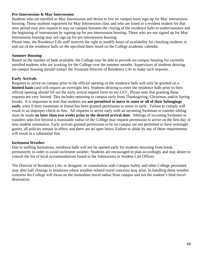## **Pre-Intersession & May Intersession**

Students who are enrolled in May Intersession and desire to live on campus must sign-up for May intersession housing. Those students registered for May Intersession class and who are listed as a resident student for that time period may also request to stay on campus between the closing of the residence halls to underclassmen and the beginning of intersession by signing-up for pre-intersession housing. Those who are not signed up for May Intersession housing may not sign up for pre-intersession housing.

Please note, the Residence Life staff reserves the right to modify hours of availability for checking students in and out of the residence halls on the specified dates listed on the College academic calendar.

#### **Summer Housing**

Based on the number of beds available, the College may be able to provide on-campus housing for currently enrolled students who are working for the College over the summer months. Supervisors of students desiring on-campus housing should contact the Assistant Director of Residence Life to make such requests.

#### **Early Arrivals**

Requests to arrive on campus prior to the official opening of the residence halls will only be granted on a **limited basis** (and will require an overnight fee). Students desiring to enter the residence halls prior to their official opening should fill out the early arrival request form on my.GCC. Please note that granting these requests are very limited. This includes returning to campus early from Thanksgiving, Christmas, and/or Spring breaks. It is important to note that students are **not permitted to move in some or all of their belongings early**, even if their roommate or friend has been granted permission to move in early. Failure to comply will result in an improper check-in fine. All requests to arrive early with an incoming freshman or transfer sibling must be made **no later than two weeks prior to the desired arrival date**. Siblings of incoming freshmen or transfers who live beyond a reasonable radius of the College may request permission to arrive on the first day of new student orientation. Early arrivals granted permission to be on campus are not permitted to have overnight guests, all policies remain in effect, and there are no open hours. Failure to abide by any of these requirements will result in a substantial fine.

#### **Inclement Weather**

Due to staffing limitations, residence halls will not be opened early for students returning from break prematurely in order to avoid inclement weather. Students are encouraged to plan accordingly and may desire to consult the list of local accommodations found in the Admissions or Student Life Offices.

The Director of Residence Life, or designee, in consultation with Campus Safety and other College personnel, may alter hall closings in situations where weather-related travel concerns may arise. In handling these weather concerns the College will focus on the immediate travel radius from campus and not the student's final travel destination.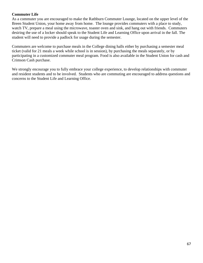## **Commuter Life**

As a commuter you are encouraged to make the Rathburn Commuter Lounge, located on the upper level of the Breen Student Union, your home away from home. The lounge provides commuters with a place to study, watch TV, prepare a meal using the microwave, toaster oven and sink, and hang out with friends. Commuters desiring the use of a locker should speak to the Student Life and Learning Office upon arrival in the fall. The student will need to provide a padlock for usage during the semester.

Commuters are welcome to purchase meals in the College dining halls either by purchasing a semester meal ticket (valid for 21 meals a week while school is in session), by purchasing the meals separately, or by participating in a customized commuter meal program. Food is also available in the Student Union for cash and Crimson Cash purchase.

We strongly encourage you to fully embrace your college experience, to develop relationships with commuter and resident students and to be involved. Students who are commuting are encouraged to address questions and concerns to the Student Life and Learning Office.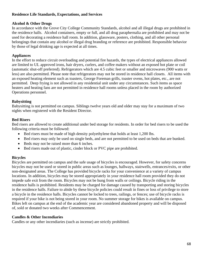## **Residence Life Standards, Expectations, and Services**

# **Alcohol & Other Drugs**

In accordance with the Grove City College Community Standards, alcohol and all illegal drugs are prohibited in the residence halls. Alcohol containers, empty or full, and all drug paraphernalia are prohibited and may not be used for decorating a residence hall room. In addition, glassware, posters, clothing, and all other personal belongings that contain any alcohol or illegal drug branding or reference are prohibited. Responsible behavior by those of legal drinking age is expected at all times.

# **Appliances**

In the effort to reduce circuit overloading and potential fire hazards, the types of electrical appliances allowed are limited to UL approved irons, hair dryers, curlers, and coffee makers without an exposed hot plate or coil (automatic shut-off preferred). Refrigerators which are 4.5 cubic feet or smaller and microwaves (900 watts or less) are also permitted. Please note that refrigerators may not be stored in residence hall closets. All items with an exposed heating element such as toasters, George Foreman grills, toaster ovens, hot plates, etc., are not permitted. Deep frying is not allowed in any residential unit under any circumstances. Such items as space heaters and heating fans are not permitted in residence hall rooms unless placed in the room by authorized Operations personnel.

# **Babysitting**

Babysitting is not permitted on campus. Siblings twelve years old and older may stay for a maximum of two nights when registered with the Resident Director.

# **Bed Risers**

Bed risers are allowed to create additional under bed storage for residents. In order for bed risers to be used the following criteria must be followed:

- Bed risers must be made of high density polyethylene that holds at least 1,200 lbs.
- Bed risers may only be used on single beds, and are not permitted to be used on beds that are bunked.
- Beds may not be raised more than 6 inches.
- Bed risers made out of plastic, cinder block or PVC pipe are prohibited.

# **Bicycles**

Bicycles are permitted on campus and the safe usage of bicycles is encouraged. However, for safety concerns bicycles may not be used or stored in public areas such as lounges, hallways, stairwells, entrances/exits, or other non-designated areas. The College has provided bicycle racks for your convenience at a variety of campus locations. In addition, bicycles may be stored appropriately in your residence hall room provided they do not impede safe exit from the room. Bicycles may not be hung from walls or ceilings. Bicycle riding in the residence halls is prohibited. Residents may be charged for damage caused by transporting and storing bicycles in the residence halls. Failure to abide by these bicycle policies could result in fines or loss of privilege to store a bicycle in the residence halls. Bicycles cannot be locked to trees, railings, or fences; use of bicycle racks is required if your bike is not being stored in your room. No summer storage for bikes is available on campus. Bikes left on campus at the end of the academic year are considered abandoned property and will be disposed of, sold or donated two weeks after Commencement.

### **Candles & Other Incendiaries**

Candles or any other incendiaries (such as incense) are strictly prohibited.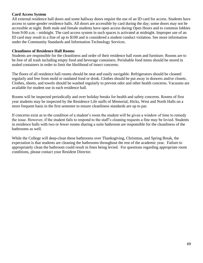# **Card Access System**

All external residence hall doors and some hallway doors require the use of an ID card for access. Students have access to same-gender residence halls. All doors are accessible by card during the day; some doors may not be accessible at night. Both male and female students have open access during Open Hours and to common lobbies from 9:00 a.m. - midnight. The card access system in such spaces is activated at midnight. Improper use of an ID card may result in a fine of up to \$100 and is considered a student conduct violation. See more information under the Community Standards and Information Technology Services.

### **Cleanliness of Residence Hall Rooms**

Students are responsible for the cleanliness and order of their residence hall room and furniture. Rooms are to be free of all trash including empty food and beverage containers. Perishable food items should be stored in sealed containers in order to limit the likelihood of insect concerns.

The floors of all residence hall rooms should be neat and easily navigable. Refrigerators should be cleaned regularly and free from mold or outdated food or drink. Clothes should be put away in drawers and/or closets. Clothes, sheets, and towels should be washed regularly to prevent odor and other health concerns. Vacuums are available for student use in each residence hall.

Rooms will be inspected periodically and over holiday breaks for health and safety concerns. Rooms of first year students may be inspected by the Residence Life staffs of Memorial, Hicks, West and North Halls on a more frequent basis in the first semester to ensure cleanliness standards are up to par.

If concerns exist as to the condition of a student's room the student will be given a window of time to remedy the issue. However, if the student fails to respond to the staff's cleaning requests a fine may be levied. Students in residence halls with two or fewer rooms sharing a suite bathroom are responsible for the cleanliness of the bathrooms as well.

While the College will deep-clean these bathrooms over Thanksgiving, Christmas, and Spring Break, the expectation is that students are cleaning the bathrooms throughout the rest of the academic year. Failure to appropriately clean the bathroom could result in fines being levied. For questions regarding appropriate room conditions, please contact your Resident Director.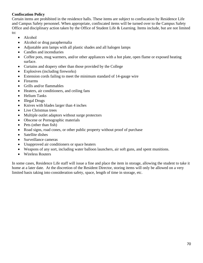# **Confiscation Policy**

Certain items are prohibited in the residence halls. These items are subject to confiscation by Residence Life and Campus Safety personnel. When appropriate, confiscated items will be turned over to the Campus Safety Office and disciplinary action taken by the Office of Student Life & Learning. Items include, but are not limited to:

- Alcohol
- Alcohol or drug paraphernalia
- Adjustable arm lamps with all plastic shades and all halogen lamps
- Candles and incendiaries
- Coffee pots, mug warmers, and/or other appliances with a hot plate, open flame or exposed heating surface.
- Curtains and drapery other than those provided by the College
- Explosives (including fireworks)
- Extension cords failing to meet the minimum standard of 14-gauge wire
- Firearms
- Grills and/or flammables
- Heaters, air conditioners, and ceiling fans
- Helium Tanks
- Illegal Drugs
- Knives with blades larger than 4 inches
- Live Christmas trees
- Multiple outlet adaptors without surge protectors
- Obscene or Pornographic materials
- Pets (other than fish)
- Road signs, road cones, or other public property without proof of purchase
- Satellite dishes
- Surveillance cameras
- Unapproved air conditioners or space heaters
- Weapons of any sort, including water balloon launchers, air soft guns, and spent munitions.
- Wireless Routers

In some cases, Residence Life staff will issue a fine and place the item in storage, allowing the student to take it home at a later date. At the discretion of the Resident Director, storing items will only be allowed on a very limited basis taking into consideration safety, space, length of time in storage, etc.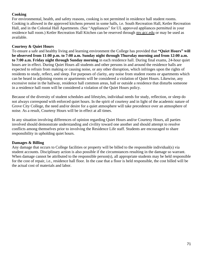# **Cooking**

For environmental, health, and safety reasons, cooking is not permitted in residence hall student rooms. Cooking is allowed in the approved kitchens present in some halls, i.e. South Recreation Hall, Ketler Recreation Hall, and in the Colonial Hall Apartments. (See "Appliances" for UL approved appliances permitted in your residence hall room.) Ketler Recreation Hall Kitchen can be reserved through my.gcc.edu or may be used as available.

# **Courtesy & Quiet Hours**

To ensure a safe and healthy living and learning environment the College has provided that **"Quiet Hours" will be observed from 11:00 p.m. to 7:00 a.m. Sunday night through Thursday morning and from 12:00 a.m. to 7:00 a.m. Friday night through Sunday morning** in each residence hall. During final exams, 24-hour quiet hours are in effect. During Quiet Hours all students and other persons in and around the residence halls are expected to refrain from making or causing noise, or any other disruption, which infringes upon the rights of residents to study, reflect, and sleep. For purposes of clarity, any noise from student rooms or apartments which can be heard in adjoining rooms or apartments will be considered a violation of Quiet Hours. Likewise, any excessive noise in the hallway, residence hall common areas, hall or outside a residence that disturbs someone in a residence hall room will be considered a violation of the Quiet Hours policy.

Because of the diversity of student schedules and lifestyles, individual needs for study, reflection, or sleep do not always correspond with enforced quiet hours. In the spirit of courtesy and in light of the academic nature of Grove City College, the need and/or desire for a quiet atmosphere will take precedence over an atmosphere of noise. As a result, Courtesy Hours will be in effect at all times.

In any situation involving differences of opinion regarding Quiet Hours and/or Courtesy Hours, all parties involved should demonstrate understanding and civility toward one another and should attempt to resolve conflicts among themselves prior to involving the Residence Life staff. Students are encouraged to share responsibility in upholding quiet hours.

# **Damages & Billing**

Any damage that occurs to College facilities or property will be billed to the responsible individual(s) via student accounts. Disciplinary action is also possible if the circumstances resulting in the damage so warrant. When damage cannot be attributed to the responsible person(s), all appropriate students may be held responsible for the cost of repair, i.e., residence hall floor. In the case that a floor is held responsible, the cost billed will be the actual cost of materials and labor.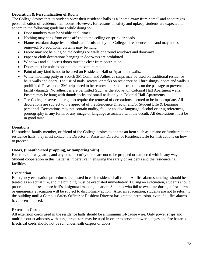## **Decoration & Personalization of Room**

The College desires that its students view their residence halls as a "home away from home" and encourages personalization of residence hall rooms. However, for reasons of safety and upkeep students are expected to adhere to the following guidelines while doing so:

- Door numbers must be visible at all times.
- Nothing may hang from or be affixed to the ceiling or sprinkler heads.
- Flame retardant draperies or blinds are furnished by the College in residence halls and may not be removed. No additional curtains may be hung.
- Fabric may not be hung on the ceilings or walls or around windows and doorways.
- Paper or cloth decorations hanging in doorways are prohibited.
- Windows and all access doors must be clear from obstruction.
- Doors must be able to open to the maximum radius.
- Paint of any kind is not to be used on Residence Hall or Apartment walls.
- White mounting putty or Scotch 3M Command Adhesive strips may be used on traditional residence halls walls and doors. The use of nails, screws, or tacks on residence hall furnishings, doors and walls is prohibited. Please note 3M strips need to be removed per the instructions on the package to prevent facility damage. No adhesives are permitted (such as the above) on Colonial Hall Apartment walls. Posters may be hung with thumb-tacks and small nails only in Colonial Hall Apartments.
- The College reserves the right to require the removal of decorations deemed to be inappropriate. All decorations are subject to the approval of the Residence Director and/or Student Life & Learning personnel. Decorations may not contain nudity, foul or abusive language, alcohol or drug references, pornography in any form, or any image or language associated with the occult. All decorations must be in good taste.

#### **Donations**

If a student, family member, or friend of the College desires to donate an item such as a piano or furniture to the residence halls, they must contact the Director or Assistant Director of Residence Life for instructions on how to proceed.

## **Doors, (unauthorized propping, or tampering with)**

Exterior, stairway, attic, and any other security doors are not to be propped or tampered with in any way. Student cooperation in this matter is imperative in ensuring the safety of residents and the residence hall facilities.

## **Evacuation**

Emergency evacuation procedures are posted in each residence hall room. All fire alarm soundings should be treated as an actual fire, and the building must be evacuated immediately. During an evacuation, students should proceed to their residence hall's designated meeting location. Students who fail to evacuate during a fire alarm or emergency evacuation will be subject to disciplinary action. After an evacuation, students are not to return to the building until a Campus Safety Officer or Resident Director has granted permission, even if all fire alarms have been silenced.

## **Extension Cords**

All extension cords used in the residence halls should be a minimum 14-gauge wire. Only power strips and multiple outlet adaptors with surge protectors may be used in order to prevent power outages and fire hazards. Electrical cords should not be run underneath carpets or doors.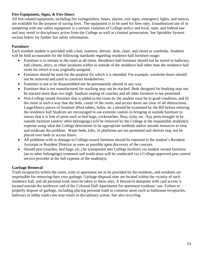# **Fire Equipment, Signs, & Fire Doors**

All fire-related equipment, including fire extinguishers, hoses, alarms, exit signs, emergency lights, and notices are available for the purpose of saving lives. The equipment is to be used for fires only. Unauthorized use of or tampering with any safety equipment is a serious violation of College policy and local, state, and federal law and may result in disciplinary action from the College as well as criminal prosecution. See Sprinkler System section below for further fire safety information.

## **Furniture**

Each resident student is provided with a bed, mattress, dresser, desk, chair, and closet or wardrobe. Students will be held accountable for the following standards regarding residence hall furniture usage:

- Furniture is to remain in the room at all times. Residence hall furniture should not be stored in hallways, hall closets, attics, or other locations within or outside of the residence hall other than the residence hall room for which it was originally assigned.
- Furniture should be used for the purpose for which it is intended. For example, wardrobe doors should not be removed and used to construct bookshelves.
- Furniture is not to be disassembled nor be permanently altered in any way.
- Furniture that is not manufactured for stacking may not be stacked. Beds designed for bunking may not be stacked more than two high. Stadium seating of couches and all other furniture is not permitted.
- Non-College issued furniture that is added to the room by the student must be in good condition, and fit the room in such a way that the beds, center of the room, and access doors are clear of all obstructions. Large/Heavy pieces of furniture (Pool tables, Safes, etc.) should be examined by the RD before entering the residence hall Students are encouraged to use extreme caution in bringing in outside furniture to ensure that it is free of pests such as bed bugs, cockroaches, fleas, ticks, etc. Any pests brought in by outside furniture (and/or other belongings) will be removed by the College at the responsible student(s) expense using what the College determines to be appropriate methods and/or outside resources to treat and eradicate the problem. Water beds, lofts, or platforms are not permitted and shelves may not be placed over beds or access doors.
- All problems with or damage to College-issued furniture should be reported to the student's Resident Assistant or Resident Director as soon as possible upon discovery of the concern.
- Should pest (roaches, bed bugs, etc.) be transported into College facilities via student owned furniture (an or other belongings) treatment and eradication will be conducted via a College-approved pest control service provider at the full expense of the student(s).

## **Garbage Removal**

Trash receptacles within the room, suite or apartment are to be provided by the residents, and residents are responsible for removing their own garbage. Garbage disposal sites are located within the vicinity of each residence hall, and all personal trash must be taken to these sites. A fenced-in dumpster with card access is located outside the northwest end of the Colonial Hall Apartments for apartment residents' use. Failure to properly dispose of garbage, including placing personal trash in common areas such as bathroom receptacles, hallways or lobby trash cans may result in disciplinary action. See also recycling.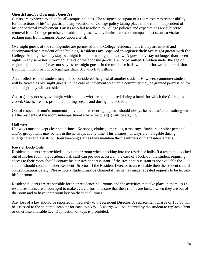## **Guest(s) and/or Overnight Guest(s)**

Guests are expected to abide by all campus policies. The assigned occupant of a room assumes responsibility for the actions of his/her guests and any violation of College policy taking place in the room independent of his/her personal involvement. Guests who fail to adhere to College policies and expectations are subject to removal from College premises. In addition, guests with vehicles parked on campus must secure a visitor's parking pass from Campus Safety upon arrival.

Overnight guests of the same gender are permitted in the College residence halls if they are invited and accompanied by a resident of the building. **Residents are required to register their overnight guests with the College.** Adult guests may stay overnight for up to two nights in a row. A guest may stay no longer than seven nights in any semester. Overnight guests of the opposite gender are not permitted. Children under the age of eighteen (legal minor) may not stay as overnight guests in the residence halls without prior written permission from the minor's parent or legal guardian. See also Babysitting.

An enrolled resident student may not be considered the guest of another student. However, commuter students will be treated as overnight guests. In the case of inclement weather, a commuter may be granted permission for a one-night stay with a resident.

Guest(s) may not stay overnight with students who are being housed during a break for which the College is closed. Guests are also prohibited during breaks and during Intersession.

Out of respect for one's roommates, invitations to overnight guests should always be made after consulting with all the residents of the room/suite/apartment where the guest(s) will be staying.

# **Hallways**

Hallways must be kept clear at all times. No shoes, clothes, umbrellas, trash, rugs, furniture or other personal and/or group items may be left in the hallways at any time. This ensures hallways are navigable during emergencies and assists our housekeeping staff as they maintain the cleanliness of the residence halls.

# **Keys & Lock-Outs**

Resident students are provided a key to their room when checking into the residence halls. If a resident is locked out of his/her room, the residence hall staff can provide access. In the case of a lock-out the student requiring access to their room should contact his/her Resident Assistant. If the Resident Assistant is not available the student should contact his/her Resident Director. If the Resident Director is unreachable then the student should contact Campus Safety. Please note a student may be charged if he/she has made repeated requests to be let into his/her room.

Resident students are responsible for their residence hall rooms and the activities that take place in them. As a result, residents are encouraged to make every effort to ensure that their rooms are locked when they are out of the room and to have their room key on them at all times.

Any loss of a key should be reported immediately to the Resident Director. A replacement charge of \$50.00 will be assessed to the student's account for each lost key. A charge will be incurred by the student to replace a bent or otherwise unusable key. Duplication of keys is prohibited.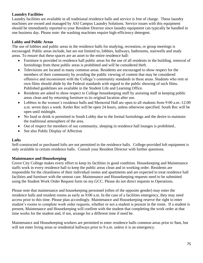# **Laundry Facilities**

Laundry facilities are available in all traditional residence halls and service is free of charge. These laundry machines are owned and managed by ASI Campus Laundry Solutions. Service issues with this equipment should be immediately reported to your Resident Director since laundry equipment can typically be handled in one business day. Please note: the washing machines require high-efficiency detergent.

# **Lobby and Public Areas**

The use of lobbies and public areas in the residence halls for studying, recreation, or group meetings is encouraged. Public areas include, but are not limited to, lobbies, hallways, bathrooms, stairwells and study areas. To ensure that these spaces are an asset to the entire residence hall:

- Furniture is provided in residence hall public areas for the use of all residents in the building. removal of furnishings from these public areas is prohibited and will be considered theft.
- Televisions are located in many common areas. Residents are encouraged to show respect for the members of their community by avoiding the public viewing of content that may be considered offensive and inconsistent with the College's community standards in these areas. Students who rent or own films should abide by the Federal standards with regard to the public showing of such films. Published guidelines are available in the Student Life and Learning Office.
- Residents are asked to show respect to College housekeeping staff by assisting staff in keeping public areas clean and by returning furniture to its original location after use.
- Lobbies in the women's residence halls and Memorial Hall are open to all students from 9:00 a.m.-12:00 a.m. seven days a week. Ketler Rec will be open 24 hours, unless otherwise specified. South Rec will be open until midnight.
- No food or drink is permitted in South Lobby due to the formal furnishings and the desire to maintain the traditional atmosphere of the area.
- Out of respect for members of our community, sleeping in residence hall lounges is prohibited..
- See also Public Display of Affection

# **Lofts**

Self-constructed or purchased lofts are not permitted in the residence halls. College-provided loft equipment is only available in certain residence halls. Consult your Resident Director with further questions.

# **Maintenance and Housekeeping**

Grove City College makes every effort to keep its facilities in good condition. Housekeeping and Maintenance staffs work in every residence hall to keep the public areas clean and in working order. Residents are responsible for the cleanliness of their individual rooms and apartments and are expected to treat residence hall facilities and furniture with the utmost care. Maintenance and Housekeeping requests need to be submitted using the Student Work Order Request form on my.GCC. Please do not direct requests to Operations.

Please note that maintenance and housekeeping personnel (often of the opposite gender) may enter the residence halls and resident rooms as early as 9:00 a.m. In the case of a facilities emergency, they may need access prior to this time. Please plan accordingly. Maintenance and Housekeeping reserve the right to enter student's rooms to complete work order requests, whether or not a student is present in the room. If a student is present, Maintenance and Housekeeping will confirm with the student that completing the work order at that time works for the student and, if not, arrange for a different time if need be.

Maintenance and Housekeeping workers are permitted to enter residence halls common areas prior to 9am, but will not enter living areas or residential hallways prior to 9 a.m. unless it is an emergency.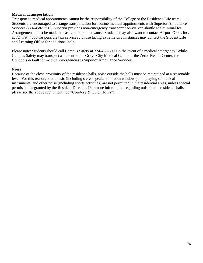## **Medical Transportation**

Transport to medical appointments cannot be the responsibility of the College or the Residence Life team. Students are encouraged to arrange transportation for routine medical appointments with Superior Ambulance Services (724-458-5350). Superior provides non-emergency transportation via van shuttle at a minimal fee. Arrangements must be made at least 24 hours in advance. Students may also want to contact Airport Orbit, Inc. at 724.794.4833 for possible taxi services . Those facing extreme circumstances may contact the Student Life and Learning Office for additional help.

Please note: Students should call Campus Safety at 724-458-3000 in the event of a medical emergency. While Campus Safety may transport a student to the Grove City Medical Center or the Zerbe Health Center, the College's default for medical emergencies is Superior Ambulance Services.

#### **Noise**

Because of the close proximity of the residence halls, noise outside the halls must be maintained at a reasonable level. For this reason, loud music (including stereo speakers in room windows), the playing of musical instruments, and other noise (including sports activities) are not permitted in the residential areas, unless special permission is granted by the Resident Director. (For more information regarding noise in the residence halls please see the above section entitled "Courtesy & Quiet Hours").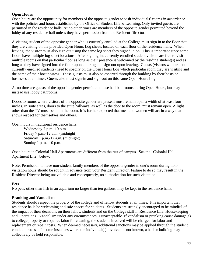# **Open Hours**

Open hours are the opportunity for members of the opposite gender to visit individuals' rooms in accordance with the policies and hours established by the Office of Student Life & Learning. Only invited guests are permitted in the residence halls. At no other times are members of the opposite gender permitted beyond the lobby of any residence hall unless they have permission from the Resident Director.

A visiting student of the opposite gender who is currently enrolled at the College must sign in to the floor that they are visiting on the provided Open Hours Log sheets located on each floor of the residence halls. When leaving, the visitor must also sign out using the same log sheet they signed in on. This is important since some floors have multiple log sheet locations. After signing in, currently enrolled student visitors are free to visit multiple rooms on that particular floor as long as their presence is welcomed by the residing student(s) and as long as they have signed into the floor upon entering and sign out upon leaving. Guests (visitors who are not currently enrolled students) need to specify on the Open Hours Log which particular room they are visiting and the name of their host/hostess. These guests must also be escorted through the building by their hosts or hostesses at all times. Guests also must sign-in and sign-out on this same Open Hours Log.

At no time are guests of the opposite gender permitted to use hall bathrooms during Open Hours, but may instead use lobby bathrooms.

Doors to rooms where visitors of the opposite gender are present must remain open a width of at least four inches. In suite areas, doors to the suite hallways, as well as the door to the room, must remain open. A light other than the TV must be on in the room. It is further expected that men and women will act in a way that shows respect for themselves and others.

Open hours in traditional residence halls:

Wednesday 7 p.m.-10 p.m. Friday 7 p.m.-12 a.m. (midnight) Saturday 1 p.m.-12 a.m. (midnight) Sunday 1 p.m.- 10 p.m.

Open hours in Colonial Hall Apartments are different from the rest of campus. See the "Colonial Hall Apartment Life" below.

Note: Permission to have non-student family members of the opposite gender in one's room during nonvisitation hours should be sought in advance from your Resident Director. Failure to do so may result in the Resident Director being unavailable and consequently, no authorization for such visitation.

## **Pets**

No pets, other than fish in an aquarium no larger than ten gallons, may be kept in the residence halls.

## **Pranking and Vandalism**

Students should respect the property of the college and of fellow students at all times. It is important that residence halls be welcoming and safe spaces for students. Students are strongly encouraged to be mindful of the impact of their decisions on their fellow students and on the College staff in Residence Life, Housekeeping and Operations. Vandalism under any circumstances is unacceptable. If vandalism or pranking cause damage(s) to college property or requires labor for cleaning, the students involved will be charged for labor and replacement or repair costs. When deemed necessary, additional sanctions may be applied through the student conduct process. In some instances where the individual(s) involved is not known, a hall or building may collectively be held responsible.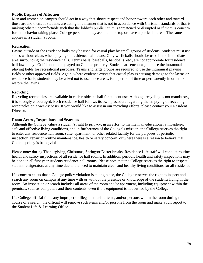## **Public Displays of Affection**

Men and women on campus should act in a way that shows respect and honor toward each other and toward those around them. If students are acting in a manner that is not in accordance with Christian standards or that is making others uncomfortable such that the lobby's public nature is threatened or disrupted or if there is concern for the behavior taking place, College personnel may ask them to stop or leave a particular area. The same applies in a student's room.

# **Recreation**

Lawns outside of the residence halls may be used for casual play by small groups of students. Students must use shoes without cleats when playing on residence hall lawns. Only wiffleballs should be used in the immediate area surrounding the residence halls. Tennis balls, baseballs, handballs, etc., are not appropriate for residence hall lawn play. Golf is not to be played on College property. Students are encouraged to use the intramural playing fields for recreational purposes. Teams and large groups are required to use the intramural playing fields or other approved fields. Again, where evidence exists that casual play is causing damage to the lawns or residence halls, students may be asked not to use those areas, for a period of time or permanently in order to restore the lawns.

# **Recycling**

Recycling receptacles are available in each residence hall for student use. Although recycling is not mandatory, it is strongly encouraged. Each residence hall follows its own procedure regarding the emptying of recycling receptacles on a weekly basis. If you would like to assist in our recycling efforts, please contact your Resident Director.

## **Room Access, Inspections and Searches**

Although the College values a student's right to privacy, in an effort to maintain an educational atmosphere, safe and effective living conditions, and in furtherance of the College's mission, the College reserves the right to enter any residence hall room, suite, apartment, or other related facility for the purposes of periodic inspection, repair or routine maintenance, health or safety concern, or where there is a reason to believe that College policy is being violated.

Please note: during Thanksgiving, Christmas, Spring/or Easter breaks, Residence Life staff will conduct routine health and safety inspections of all residence hall rooms. In addition, periodic health and safety inspections may be done in all first year students residence hall rooms. Please note that the College reserves the right to inspect student refrigerators at any time due to the need to maintain clean and healthy living conditions for all residents.

If a concern exists that a College policy violation is taking place, the College reserves the right to inspect and search any room on campus at any time with or without the presence or knowledge of the students living in the room. An inspection or search includes all areas of the room and/or apartment, including equipment within the premises, such as computers and their contents, even if the equipment is not owned by the College.

If a College official finds any improper or illegal material, items, and/or persons within the room during the course of a search, the official will remove such items and/or persons from the room and make a full report to the Student Life & Learning Office.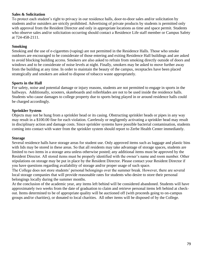## **Sales & Solicitation**

To protect each student's right to privacy in our residence halls, door-to-door sales and/or solicitation by students and/or outsiders are strictly prohibited. Advertising of private products by students is permitted only with approval from the Resident Director and only in appropriate locations as time and space permit. Students who observe sales and/or solicitation occurring should contact a Residence Life staff member or Campus Safety at 724-458-2111.

# **Smoking**

Smoking and the use of e-cigarettes (vaping) are not permitted in the Residence Halls. Those who smoke outdoors are encouraged to be considerate of those entering and exiting Residence Hall buildings and are asked to avoid blocking building access. Smokers are also asked to refrain from smoking directly outside of doors and windows and to be considerate of noise levels at night. Finally, smokers may be asked to move further away from the building at any time. In order to maintain the beauty of the campus, receptacles have been placed strategically and smokers are asked to dispose of tobacco waste appropriately.

# **Sports in the Hall**

For safety, noise and potential damage or injury reasons, students are not permitted to engage in sports in the hallways. Additionally, scooters, skateboards and rollerblades are not to be used inside the residence halls. Students who cause damages to college property due to sports being played in or around residence halls could be charged accordingly.

# **Sprinkler System**

Objects may not be hung from a sprinkler head or its casing. Obstructing sprinkler heads or pipes in any way may result in a \$100.00 fine for each violation. Carelessly or negligently activating a sprinkler head may result in disciplinary action and damage costs. Since sprinkler systems have possible bacterial contamination, students coming into contact with water from the sprinkler system should report to Zerbe Health Center immediately.

# **Storage**

Several residence halls have storage areas for student use. Only approved items such as luggage and plastic bins with lids may be stored in these areas. So that all residents may take advantage of storage spaces, students are limited to two items in a storage area unless otherwise posted; any additional items must be approved by the Resident Director. All stored items must be properly identified with the owner's name and room number. Other stipulations on storage may be put in place by the Resident Director. Please contact your Resident Director if you have questions regarding availability of storage and/or proper usage of such space.

The College does not store students' personal belongings over the summer break. However, there are several local storage companies that will provide reasonable rates for students who desire to store their personal belongings locally during the summer months.

At the conclusion of the academic year, any items left behind will be considered abandoned. Students will have approximately two weeks from the date of graduation to claim and retrieve personal items left behind at checkout. Items determined to be of appropriate quality will be auctioned off (with proceeds going to on-campus groups and/or charities), or donated to local charities. All other items will be disposed of by the College.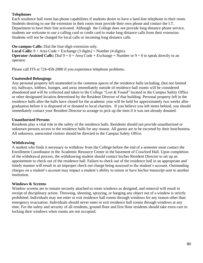## **Telephones**

Each residence hall room has phone capabilities if students desire to have a land-line telephone in their room. Students desiring to use the extension in their room must provide their own phone and contact the I.T. Department to have their line activated. Although the College does not provide long distance phone service, students are welcome to use a calling card or credit card to make long distance calls from their extension. Students will not be charged for local calls or incoming long distance calls.

**On-campus Calls:** Dial the four-digit extension only.

**Local Calls:** 9 + Area Code + Exchange (3 digits) + Number (4 digits). **Operator-Assisted Calls:** Dial  $9 + 0 +$  Area Code + Exchange + Number or  $9 + 0$  to speak directly to an operator.

Please call ITS at 724-458-2080 if you experience telephone problems.

# **Unattended Belongings**

Any personal property left unattended in the common spaces of the residence halls including, (but not limited to), hallways, lobbies, lounges, and areas immediately outside of residence hall rooms will be considered abandoned and will be collected and taken to the College "Lost & Found" located in the Campus Safety Office or other designated location determined by the Resident Director of that building. Personal property left in the residence halls after the halls have closed for the academic year will be held for approximately two weeks after graduation before it is disposed of or donated to local charities. If you believe you left items behind, you should immediately contact your Resident Director to arrange to pick up the item if it was not already donated.

# **Unauthorized Persons**

Residents play a vital role in the safety of the residence halls. Residents should not provide unauthorized or unknown persons access to the residence halls for any reason. All guests are to be escorted by their host/hostess. All unknown, unescorted visitors should be directed to the Campus Safety Office.

# **Withdrawing**

A student who finds it necessary to withdraw from the College before the end of a semester must contact the Enrollment Coordinator in the Academic Resource Center in the basement of Crawford Hall. Upon completion of the withdrawal process, the withdrawing student should contact his/her Resident Director to set up an appointment to check out of the residence hall. Failure to check out of the residence hall in an appropriate and timely manner will result in an improper check out charge being assessed to the student's account. Outstanding charges on a student's account may impact a student's ability to return or have his/her transcript sent to another institution.

## **Windows & Screens**

Window screens are to remain securely attached to room windows as designed, and removal will result in receipt of disciplinary action. Throwing, shooting, spraying, or hanging any object out of a window is strictly prohibited. Individuals may not enter or exit residence hall rooms through windows for any reason other than emergency evacuation. Individuals should never enter or exit residence hall rooms through windows at any time. For the safety and security of all residents, ground floor and first floor residents should take extra care in locking their windows when rooms are not occupied.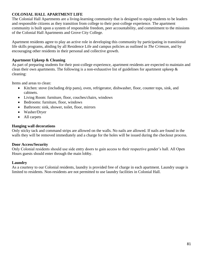# **COLONIAL HALL APARTMENT LIFE**

The Colonial Hall Apartments are a living-learning community that is designed to equip students to be leaders and responsible citizens as they transition from college to their post-college experience. The apartment community is built upon a system of responsible freedom, peer accountability, and commitment to the missions of the Colonial Hall Apartments and Grove City College.

Apartment residents agree to play an active role in developing this community by participating in transitional life skills programs, abiding by all Residence Life and campus policies as outlined in *The Crimson*, and by encouraging other residents in their personal and collective growth.

# **Apartment Upkeep & Cleaning**

As part of preparing students for their post-college experience, apartment residents are expected to maintain and clean their own apartments. The following is a non-exhaustive list of guidelines for apartment upkeep & cleaning:

Items and areas to clean:

- Kitchen: stove (including drip pans), oven, refrigerator, dishwasher, floor, counter tops, sink, and cabinets.
- Living Room: furniture, floor, couches/chairs, windows
- Bedrooms: furniture, floor, windows
- Bathroom: sink, shower, toilet, floor, mirrors
- Washer/Dryer
- All carpets

# **Hanging wall decorations**

Only sticky tack and command strips are allowed on the walls. No nails are allowed. If nails are found in the walls they will be removed immediately and a charge for the holes will be issued during the checkout process.

## **Door Access/Security**

Only Colonial residents should use side entry doors to gain access to their respective gender's hall. All Open Hours guests should enter through the main lobby.

## **Laundry**

As a courtesy to our Colonial residents, laundry is provided free of charge in each apartment. Laundry usage is limited to residents. Non-residents are not permitted to use laundry facilities in Colonial Hall.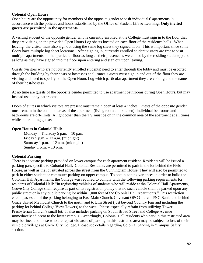## **Colonial Open Hours**

Open hours are the opportunity for members of the opposite gender to visit individuals' apartments in accordance with the policies and hours established by the Office of Student Life & Learning. **Only invited guests are permitted in the apartments.** 

A visiting student of the opposite gender who is currently enrolled at the College must sign in to the floor that they are visiting on the provided Open Hours Log sheets located on each floor of the residence halls. When leaving, the visitor must also sign out using the same log sheet they signed in on. This is important since some floors have multiple log sheet locations. After signing in, currently enrolled student visitors are free to visit multiple apartments on that particular floor as long as their presence is welcomed by the residing student(s) and as long as they have signed into the floor upon entering and sign out upon leaving.

Guests (visitors who are not currently enrolled students) need to enter through the lobby and must be escorted through the building by their hosts or hostesses at all times. Guests must sign in and out of the floor they are visiting and need to specify on the Open Hours Log which particular apartment they are visiting and the name of their host/hostess.

At no time are guests of the opposite gender permitted to use apartment bathrooms during Open Hours, but may instead use lobby bathrooms.

Doors of suites in which visitors are present must remain open at least 4 inches. Guests of the opposite gender must remain in the common areas of the apartment (living room and kitchen); individual bedrooms and bathrooms are off-limits. A light other than the TV must be on in the common area of the apartment at all times while entertaining guests.

# **Open Hours in Colonial Hall:**

Monday – Thursday 5 p.m. – 10 p.m. Friday 5 p.m.  $-12$  a.m. (midnight) Saturday 1 p.m.  $-12$  a.m. (midnight) Sunday 1 p.m. – 10 p.m.

# **Colonial Parking**

There is adequate parking provided on lower campus for each apartment resident. Residents will be issued a parking pass specific to Colonial Hall. Colonial Residents are permitted to park in the lot behind the Field House, as well as the lot situated across the street from the Cunningham House. They will also be permitted to park in either student or commuter parking on upper campus. To obtain zoning variances in order to build the Colonial Hall Apartments, the College was required to comply with the following parking requirements for residents of Colonial Hall: "In registering vehicles of students who will reside at the Colonial Hall Apartments, Grove City College shall require as part of its registration policy that no such vehicle shall be parked upon any public street or in any public parking lot within 1,000 feet of the Colonial Hall Apartments." This restriction encompasses all of the parking belonging to East Main Church, Covenant OPC Church, PNC Bank and behind Grace United Methodist Church to the north, and to Elm Street (just beyond Country Fair and including the parking lot behind College View Towers) to the west. Please especially refrain from utilizing Tower Presbyterian Church's small lot. It also includes parking on South Broad Street and College Avenue immediately adjacent to the lower campus. Accordingly, Colonial Hall residents who park in this restricted area may be fined and those who are repeat violators of parking in this restricted area may be subject to loss of their vehicle privileges at Grove City College. Please see details regarding Colonial parking in "Campus Safety" section.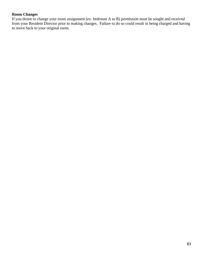## **Room Changes**

If you desire to change your room assignment (ex. bedroom A to B) permission must be sought and received from your Resident Director prior to making changes. Failure to do so could result in being charged and having to move back to your original room.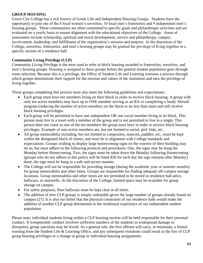# **GROUP HOUSING**

Grove City College has a rich history of Greek Life and Independent Housing Groups. Students have the opportunity to join one of the 8 local women's sororities, 10 local men's fraternities and 9 independent men's housing groups. These communities are often committed to specific goals and philanthropic activities and are evaluated on a yearly basis to ensure alignment with the educational objectives of the College. Areas of assessment include scholarship, spiritual and moral development, service and philanthropy, campus involvement, leadership, and fulfillment of the organization's mission and purpose. At the discretion of the College, sororities, fraternities, and men's housing groups may be granted the privilege of living together in a specific section of a residence hall.

# **Community Living Privilege (CLP)**

Community Living Privilege is the term used to refer to block housing awarded to fraternities, sororities, and men's housing groups. Housing is assigned to these groups before the general student population goes through room selection. Because this is a privilege, the Office of Student Life and Learning oversees a process through which groups demonstrate their support for the mission and values of the institution and earn the privilege of living together.

Those groups completing this process must also meet the following guidelines and expectations:

- Each group must have ten members living on their block in order to receive block housing. A group with only ten active members may have up to ONE member serving as an RA or completing a Study Abroad program (reducing the number of active members on the block to no less than nine) and still receive block housing privileges.
- Each group will be permitted to have one independent OR one social member living in its block. This person must live in a room with a member of the group and is not permitted to live in a single. This person does not count as one of the ten members the group must have in order to receive block housing privileges. Example of non-active members are, but not limited to social, pref. bids, etc.
- All group memorabilia including, but not limited to composites, mascots, paddles, etc., must be kept within the designated block of rooms, and must be in alignment with College standards and expectations. Groups wishing to display large homecoming signs on the exterior of their building may do so, but must adhere to the following protocol and procedures. One, the signs may be hung the Monday before Homecoming. Two, the signs must be taken down the Monday following Homecoming (groups who do not adhere to this policy will be fined \$50 for each day the sign remains after Monday) three, the sign must be hung in a safe and secure manner.
- The College will not be responsible for providing storage (during the academic year or summer months) for group memorabilia and other items. Groups are responsible for finding adequate off-campus storage locations. Group memorabilia and other items are not permitted to be stored in residence hall attics, hallways, or stairwells. At the discretion of the College, limited space may be available for group storage on campus.
- For safety purposes, floor hallways must be kept clear at all times.
- The addition of new CLP groups is simply unfeasible given the large number of groups already found on campus (27). It is also our belief that the physical constraints of our residence halls would make the addition of another CLP group detrimental to the residential experience of our independent student population.

Please note: individual students living within a CLP housing section will be held responsible for their personal conduct. If irresponsible conduct involves sufficient numbers of the students in widespread damage or disruption, group sanctions may be levied. As a general rule, the first offense will carry, at minimum, a formal warning from the Student Life & Learning Office, and any subsequent violations could result in the loss of CLP group housing privileges or a change in group or individual housing assignments.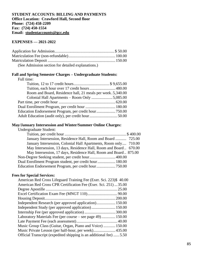#### **STUDENT ACCOUNTS: BILLING AND PAYMENTS Office Location: Crawford Hall, Second floor Phone: (724) 458-2209 Fax: (724) 450-1554 Email: studentaccounts@gcc.edu**

## **EXPENSES — 2021-2022**

| (See Admission section for detailed explanations.) |  |
|----------------------------------------------------|--|

# **Fall and Spring Semester Charges – Undergraduate Students:**

#### Full time:

| Room and Board, Residence hall, 21 meals per week. 5,340.00 |  |
|-------------------------------------------------------------|--|
|                                                             |  |
|                                                             |  |
|                                                             |  |
|                                                             |  |
|                                                             |  |
|                                                             |  |

# **May/January Intersession and Winter/Summer Online Charges:**

| Undergraduate Student: |  |
|------------------------|--|
|------------------------|--|

| January Intersession, Residence Hall, Room and Board  725.00     |  |
|------------------------------------------------------------------|--|
| January Intersession, Colonial Hall Apartments, Room only 710.00 |  |
| May Intersession, 13 days, Residence Hall, Room and Board 670.00 |  |
| May Intersession, 17 days, Residence Hall, Room and Board 875.00 |  |
|                                                                  |  |
| Dual Enrollment Program student, per credit hour 180.00          |  |
|                                                                  |  |

#### **Fees for Special Services:**

| American Red Cross Lifeguard Training Fee (Exer. Sci. 223) \$40.00  |  |
|---------------------------------------------------------------------|--|
| American Red Cross CPR Certification Fee (Exer. Sci. 251)  35.00    |  |
|                                                                     |  |
|                                                                     |  |
|                                                                     |  |
| Independent Research (per approved application) 150.00              |  |
|                                                                     |  |
|                                                                     |  |
| Laboratory Materials Fee (per course – see page 49) 150.00          |  |
|                                                                     |  |
| Music Group Class (Guitar, Organ, Piano and Voice)  150.00          |  |
|                                                                     |  |
| Official Transcript (expedited shipping is an additional fee)  5.50 |  |
|                                                                     |  |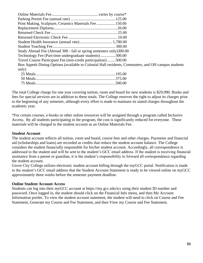| Print Making, Sculpture, Ceramics Materials Fee  150.00              |                                                                                                      |
|----------------------------------------------------------------------|------------------------------------------------------------------------------------------------------|
|                                                                      |                                                                                                      |
|                                                                      |                                                                                                      |
|                                                                      |                                                                                                      |
|                                                                      |                                                                                                      |
|                                                                      |                                                                                                      |
| Study Abroad Fee (Abroad 300 - fall or spring semesters only) 300.00 |                                                                                                      |
| Technology Fee (Part-time undergraduate students)300.00              |                                                                                                      |
| Travel Course Participant Fee (non-credit participation) 500.00      |                                                                                                      |
|                                                                      | Bon Appetit Dining Options (available to Colonial Hall residents, Commuters, and Off-campus students |
| only)                                                                |                                                                                                      |
|                                                                      |                                                                                                      |
|                                                                      |                                                                                                      |

The total College charge for one year covering tuition, room and board for new students is \$29,990. Books and fees for special services are in addition to these totals. The College reserves the right to adjust its charges prior to the beginning of any semester, although every effort is made to maintain its stated charges throughout the academic year.

75 Meals................................................................................500.00

\*For certain courses, e-books or other online resources will be assigned through a program called Inclusive Access. By all students participating in the program, the cost is significantly reduced for everyone. These materials will be charged to the student account as an Online Materials Fee.

#### **Student Account**

The student account reflects all tuition, room and board, course fees and other charges. Payments and financial aid (scholarships and loans) are recorded as credits that reduce the student account balance. The College considers the student financially responsible for his/her student account. Accordingly, all correspondence is addressed to the student and will be sent to the student's GCC email address. If the student is receiving financial assistance from a parent or guardian, it is the student's responsibility to forward all correspondence regarding the student account.

Grove City College utilizes electronic student account billing through the myGCC portal. Notification is made to the student's GCC email address that the Student Account Statement is ready to be viewed online on myGCC approximately three weeks before the semester payment deadline.

#### **Online Student Account Access**

Students can log into their myGCC account at https://my.gcc.edu/ics using their student ID number and password. Once logged in, the student should click on the Financial Info menu, and then My Account Information portlet. To view the student account statement, the student will need to click on Course and Fee Statement, Generate my Course and Fee Statement, and then View my Course and Fee Statement.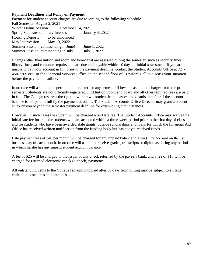## **Payment Deadlines and Policy on Payment**

Payment for student account charges are due according to the following schedule. Fall Semester August 2, 2021 Winter Online Session December 14, 2021 Spring Semester / January Intersession. January 4, 2022 Housing Deposit to be announced May Intersession May 13, 2022 Summer Session (commencing in June) June 1, 2022 Summer Session (commencing in July) July 1, 2022

Charges other than tuition and room and board that are assessed during the semester, such as security fines, library fines, and computer repairs, etc. are due and payable within 10 days of initial assessment. If you are unable to pay your account in full prior to the payment deadline, contact the Student Accounts Office at 724- 458-2209 or visit the Financial Services Office on the second floor of Crawford Hall to discuss your situation before the payment deadline.

In no case will a student be permitted to register for any semester if he/she has unpaid charges from the prior semester. Students are not officially registered until tuition, room and board and all other required fees are paid in full. The College reserves the right to withdraw a student from classes and dismiss him/her if the account balance is not paid in full by the payment deadline. The Student Accounts Office Director may grant a student an extension beyond the semester payment deadline for extenuating circumstances.

However, in such cases the student will be charged a \$40 late fee. The Student Accounts Office may waive this initial late fee for transfer students who are accepted within a three-week period prior to the first day of class and for students who have been awarded state grants, outside scholarships and loans for which the Financial Aid Office has received written notification from the funding body but has not yet received funds.

Late payment fees of \$40 per month will be charged for any unpaid balance in a student's account on the 1st business day of each month. In no case will a student receive grades, transcripts or diplomas during any period in which he/she has any unpaid student account balance.

A fee of \$25 will be charged to the issuer of any check returned by the payee's bank, and a fee of \$10 will be charged for returned electronic check (e-check) payments.

All outstanding debts to the College remaining unpaid after 30 days from billing may be subject to all legal collection costs, fees and practices.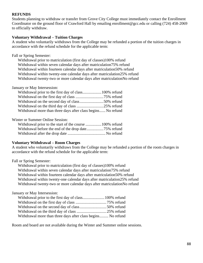#### **REFUNDS**

Students planning to withdraw or transfer from Grove City College must immediately contact the Enrollment Coordinator on the ground floor of Crawford Hall by emailing enrollment@gcc.edu or calling (724) 458-2069 to officially withdraw.

#### **Voluntary Withdrawal – Tuition Charges**

A student who voluntarily withdraws from the College may be refunded a portion of the tuition charges in accordance with the refund schedule for the applicable term:

Fall or Spring Semester:

Withdrawal prior to matriculation (first day of classes)100% refund Withdrawal within seven calendar days after matriculation75% refund Withdrawal within fourteen calendar days after matriculation50% refund Withdrawal within twenty-one calendar days after matriculation25% refund Withdrawal twenty-two or more calendar days after matriculationNo refund

#### January or May Intersession:

| Withdrawal on the second day of class50% refund              |  |
|--------------------------------------------------------------|--|
|                                                              |  |
| Withdrawal more than three days after class begins No refund |  |

Winter or Summer Online Session:

| Withdrawal prior to the start of the course  100% refund |  |
|----------------------------------------------------------|--|
|                                                          |  |
|                                                          |  |

#### **Voluntary Withdrawal – Room Charges**

A student who voluntarily withdraws from the College may be refunded a portion of the room charges in accordance with the refund schedule for the applicable term:

Fall or Spring Semester:

Withdrawal prior to matriculation (first day of classes)100% refund Withdrawal within seven calendar days after matriculation75% refund Withdrawal within fourteen calendar days after matriculation50% refund Withdrawal within twenty-one calendar days after matriculation25% refund Withdrawal twenty-two or more calendar days after matriculationNo refund

#### January or May Intersession:

| Withdrawal prior to the first day of class 100% refund       |  |
|--------------------------------------------------------------|--|
|                                                              |  |
|                                                              |  |
|                                                              |  |
| Withdrawal more than three days after class begins No refund |  |

Room and board are not available during the Winter and Summer online sessions.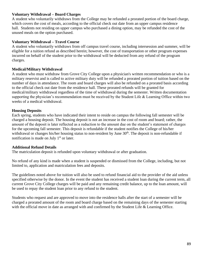## **Voluntary Withdrawal – Board Charges**

A student who voluntarily withdraws from the College may be refunded a prorated portion of the board charge, which covers the cost of meals, according to the official check out date from an upper campus residence hall. Students not residing on upper campus who purchased a dining option, may be refunded the cost of the unused meals on the option purchased.

# **Voluntary Withdrawal – Travel Course**

A student who voluntarily withdraws from off campus travel course, including intersession and summer, will be eligible for a tuition refund as described herein; however, the cost of transportation or other program expenses incurred on behalf of the student prior to the withdrawal will be deducted from any refund of the program charges.

# **Medical/Military Withdrawal**

A student who must withdraw from Grove City College upon a physician's written recommendation or who is a military reservist and is called to active military duty will be refunded a prorated portion of tuition based on the number of days in attendance. The room and board charges will also be refunded on a prorated basis according to the official check out date from the residence hall. These prorated refunds will be granted for medical/military withdrawal regardless of the time of withdrawal during the semester. Written documentation supporting the physician's recommendation must be received by the Student Life & Learning Office within two weeks of a medical withdrawal.

# **Housing Deposits**

Each spring, students who have indicated their intent to reside on campus the following fall semester will be charged a housing deposit. The housing deposit is not an increase in the cost of room and board; rather, the amount of the deposit is later reflected as a reduction to the amount due on the student's statement of charges for the upcoming fall semester. This deposit is refundable if the student notifies the College of his/her withdrawal or changes his/her housing status to non-resident by June 30<sup>th</sup>. The deposit is non-refundable if notification is made on July  $1<sup>st</sup>$  or later.

## **Additional Refund Details**

The matriculation deposit is refunded upon voluntary withdrawal or after graduation.

No refund of any kind is made when a student is suspended or dismissed from the College, including, but not limited to, application and matriculation fees and deposits.

The guidelines noted above for tuition will also be used to refund financial aid to the provider of the aid unless specified otherwise by the donor. In the event the student has received a student loan during the current term, all current Grove City College charges will be paid and any remaining credit balance, up to the loan amount, will be used to repay the student loan prior to any refund to the student.

Students who request and are approved to move into the residence halls after the start of a semester will be charged a prorated amount of the room and board charge based on the remaining days of the semester starting with the official move in date as arranged with and confirmed by the Student Life & Learning Office.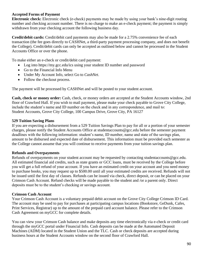## **Accepted Forms of Payment**

**Electronic check:** Electronic check (e-check) payments may be made by using your bank's nine-digit routing number and checking account number. There is no charge to make an e-check payment; the payment is simply withdrawn from your checking account the following business day.

**Credit/debit cards:** Credit/debit card payments may also be made for a 2.75% convenience fee of each transaction (the fee goes directly to CASHNet, a third-party payment processing company, and does not benefit the College). Credit/debit cards can only be accepted as outlined below and cannot be processed in the Student Accounts Office or over the phone.

To make either an e-check or credit/debit card payment:

- Log into https://my.gcc.edu/ics using your student ID number and password
- Go to the Financial Info Menu
- Under My Account Info, select Go to *CashNet*.
- Follow the checkout process.

The payment will be processed by CASHNet and will be posted to your student account.

**Cash, check or money order:** Cash, check, or money orders are accepted at the Student Accounts window, 2nd floor of Crawford Hall. If you wish to mail payment, please make your check payable to Grove City College, include the student's name and ID number on the check and in any correspondence, and mail to: Student Accounts, Grove City College, 100 Campus Drive, Grove City, PA 16127

#### **529 Tuition Saving Plans**

If you are expecting a disbursement from a 529 Tuition Savings Plan to pay for all or a portion of your semester charges, please notify the Student Accounts Office at studentaccounts@gcc.edu before the semester payment deadlines with the following information: student's name, ID number, name and state of the savings plan, amount to be disbursed and expected date of disbursement. This information must be provided each semester as the College cannot assume that you will continue to receive payments from your tuition savings plan.

#### **Refunds and Overpayments**

Refunds of overpayments on your student account may be requested by contacting studentaccounts@gcc.edu. All estimated financial aid credits, such as state grants or GCC loans, must be received by the College before you will get a full refund of your account. If you have an estimated credit on your account and you need money to purchase books, you may request up to \$500.00 until all your estimated credits are received. Refunds will not be issued until the first day of classes. Refunds can be issued via check, direct deposit, or can be placed on your Crimson Cash Account. Refund checks will be made payable to the student and /or a parent only. Direct deposits must be to the student's checking or savings account.

#### **Crimson Cash Account**

Your Crimson Cash Account is a voluntary prepaid debit account on the Grove City College Crimson ID Card. The account may be used to pay for purchases at participating campus locations (Bookstore, GeDunk, Cafes, Print Services, Registrar) up to the amount of the prepaid card account balance. Please refer to the Crimson Cash Agreement on myGCC for complete details.

You can view your Crimson Cash balance and make deposits any time electronically via e-check or credit card through the myGCC portal under Financial Info. Cash deposits can be made at the Automated Deposit Machines (ADM) located in the Student Union and the TLC. Cash or check deposits are accepted during business hours at the Student Accounts window on the second floor of Crawford Hall.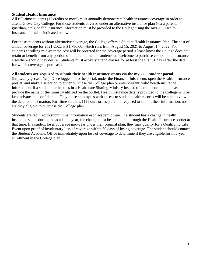#### **Student Health Insurance**

All full-time students (12 credits or more) must annually demonstrate health insurance coverage in order to attend Grove City College. For those students covered under an alternative insurance plan (via a parent, guardian, etc.), health insurance information must be provided to the College using the myGCC Health Insurance Portal as indicated below.

For those students without alternative coverage, the College offers a Student Health Insurance Plan. The cost of annual coverage for 2021-2022 is \$1,780.00, which runs from August 15, 2021 to August 14, 2022. For students enrolling mid-year the cost will be prorated for the coverage period. Please know the College does not retain or benefit from any portion of the premium, and students are welcome to purchase comparable insurance elsewhere should they desire. Students must actively attend classes for at least the first 31 days after the date for which coverage is purchased.

#### **All students are required to submit their health insurance status via the myGCC student portal**

(https://my.gcc.edu/ics). Once logged in to the portal, under the Financial Info menu, open the Health Insurance portlet, and make a selection to either purchase the College plan or enter current, valid health insurance information. If a student participates in a Healthcare Sharing Ministry instead of a traditional plan, please provide the name of the ministry utilized on the portlet. Health insurance details provided to the College will be kept private and confidential. Only those employees with access to student health records will be able to view the detailed information. Part-time students (11 hours or less) are not required to submit their information, nor are they eligible to purchase the College plan.

Students are required to submit this information each academic year. If a student has a change in health insurance status during the academic year, the change must be submitted through the Health Insurance portlet at that time. If a student loses coverage mid-year under their original plan, they may qualify for a Qualifying Life Event upon proof of involuntary loss of coverage within 30 days of losing coverage. The student should contact the Student Accounts Office immediately upon loss of coverage to determine if they are eligible for mid-year enrollment in the College plan.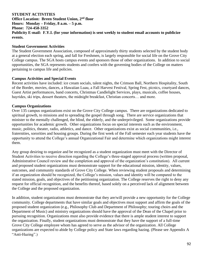# **STUDENT ACTIVITIES Office Location: Breen Student Union, 2 nd floor Hours: Monday – Friday, 8 a.m. – 5 p.m. Phone: 724-458-3352 Publicity E-mail: F.Y.I. (for your information) is sent weekly to student email accounts to publicize events.**

#### **Student Government Activities**

The Student Government Association, composed of approximately thirty students selected by the student body at a general election each spring, and fall for Freshmen, is largely responsible for social life on the Grove City College campus. The SGA hosts campus events and sponsors those of other organizations. In addition to social opportunities, the SGA represents students and confers with the governing bodies of the College on matters pertaining to campus life and policies.

#### **Campus Activities and Special Events**

Recent activities have included: ice cream socials, talent nights, the Crimson Ball, Northern Hospitality, South of the Border, movies, dances, a Hawaiian Luau, a Fall Harvest Festival, Spring Fest, picnics, courtyard dances, Guest Artist performances, band concerts, Christmas Candlelight Services, plays, musicals, coffee houses, hayrides, ski trips, dessert theaters, the midnight breakfast, Christian concerts... and more.

#### **Campus Organizations**

Over 135 campus organizations exist on the Grove City College campus. There are organizations dedicated to spiritual growth, to missions and to spreading the gospel through song. There are service organizations that minister to the mentally challenged, the blind, the elderly, and the underprivileged. Some organizations provide opportunities for academic growth. Other organizations focus on special interests such as the environment, music, politics, theater, radio, athletics, and dance. Other organizations exist as social communities, i.e., fraternities, sororities and housing groups. During the first week of the Fall semester each year students have the opportunity to attend the College's annual Organizational Fair and determine which organizations might interest them.

Any group desiring to organize and be recognized as a student organization must meet with the Director of Student Activities to receive direction regarding the College's three-staged approval process (written proposal, Administrative Council review and the completion and approval of the organization's constitution). All current and proposed student organizations must demonstrate support for the educational mission, identity, values, outcomes, and community standards of Grove City College. When reviewing student proposals and determining if an organization should be recognized, the College's mission, values and identity will be compared to the stated mission, goals, and objectives of the petitioning organization. The College reserves the right to deny any request for official recognition, and the benefits thereof, based solely on a perceived lack of alignment between the College and the proposed organization.

In addition, student organizations must demonstrate that they are/will provide a new opportunity for the College community. College departments that have similar goals and objectives must support and affirm the goals of the proposed student organization (e.g., Philosophy Club and Department of Philosophy; touring choirs and the Department of Music) and ministry organizations should have the approval of the Dean of the Chapel prior to pursuing recognition. Organizations must also provide evidence that there is ample student interest to support the organization. Finally, student organizations must demonstrate that they have the support of a full-time Grove City College employee whom has agreed to serve as the advisor of the organization. All College organizations are expected to abide by College policy and State laws regarding hazing. (Please see Appendix A "Anti-Hazing".)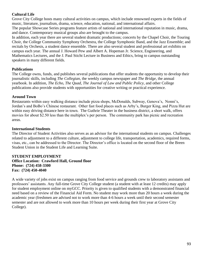# **Cultural Life**

Grove City College hosts many cultural activities on campus, which include renowned experts in the fields of music, literature, journalism, drama, science, education, national, and international affairs.

The popular Showcase Series programs feature artists of national and international reputation in music, drama, and dance. Contemporary musical groups also are brought to the campus.

In addition, each year there are several student dramatic productions; concerts by the Chapel Choir, the Touring Choir, the College Community Symphony Orchestra, the College Symphonic Band, and the Jazz Ensemble; and recitals by Orchesis, a student dance ensemble. There are also several student and professional art exhibits on campus each year. The annual J. Howard Pew and Albert A. Hopeman Jr. Science, Engineering, and Mathematics Lectures, and the J. Paul Sticht Lecture in Business and Ethics, bring to campus outstanding speakers in many different fields.

# **Publications**

The College owns, funds, and publishes several publications that offer students the opportunity to develop their journalistic skills, including *The Collegian*, the weekly campus newspaper and *The Bridge*, the annual yearbook. In addition, *The Echo*, *The Quad*, *The Journal of Law and Public Policy*, and other College publications also provide students with opportunities for creative writing or practical experience.

# **Around Town**

Restaurants within easy walking distance include pizza shops, McDonalds, Subway, Genova's, Nonni's, Jordan's and BoBo's Chinese restaurant. Other fast food places such as Arby's, Burger King, and Pizza Hut are within easy driving distance here in town. The Guthrie Theater in the business district, a short walk, offers movies for about \$2.50 less than the multiplex's per person. The community park has picnic and recreation areas.

# **International Students**

The Director of Student Activities also serves as an advisor for the international students on campus. Challenges related to adjustment to a different culture, adjustment to college life, transportation, academics, required forms, visas, etc., can be addressed to the Director. The Director's office is located on the second floor of the Breen Student Union in the Student Life and Learning Suite.

#### **STUDENT EMPLOYMENT Office Location: Crawford Hall, Ground floor Phone: (724) 458-3300 Fax: (724) 450-4040**

A wide variety of jobs exist on campus ranging from food service and grounds crew to laboratory assistants and professors' assistants. Any full-time Grove City College student (a student with at least 12 credits) may apply for student employment online on myGCC. Priority is given to qualified students with a demonstrated financial need based on a review of the Financial Aid Form. No student may work more than 20 hours a week during the academic year (freshmen are advised not to work more than 4-6 hours a week until their second semester semester and are not allowed to work more than 10 hours per week during their first year at Grove City College).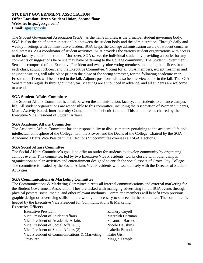#### **STUDENT GOVERNMENT ASSOCIATION Office Location: Breen Student Union, Second floor Website: http://gccsga.com/ Email: [sga@gcc.edu](mailto:sga@gcc.edu)**

The Student Government Association (SGA), as the name implies, is the principal student governing body. SGA is also the chief communication link between the student body and the administration. Through daily and weekly meetings with administrative leaders, SGA keeps the College administration aware of student concerns and interests. As a coordinator of student activities, SGA provides the various student organizations with access to the faculty and administration. Moreover, SGA serves the individual student by providing an outlet for any comments or suggestions he or she may have pertaining to the College community. The Student Government Senate is composed of the Executive President and twenty-nine voting members, including the officers from each class, adjunct officers, and the Executive Committee. Voting for all SGA members, except freshmen and adjunct positions, will take place prior to the close of the spring semester, for the following academic year. Freshman officers will be elected in the fall. Adjunct positions will also be interviewed for in the fall. The SGA Senate meets regularly throughout the year. Meetings are announced in advance, and all students are welcome to attend.

# **SGA Student Affairs Committee**

The Student Affairs Committee is a link between the administration, faculty, and students to enhance campus life. All student organizations are responsible to this committee, including the Association of Women Students, Men's Activity Board, Interfraternity Council, and Panhellenic Council. This committee is chaired by the Executive Vice President of Student Affairs.

## **SGA Academic Affairs Committee**

The Academic Affairs Committee has the responsibility to discuss matters pertaining to the academic life and intellectual atmosphere of the College, with the Provost and the Deans of the College. Chaired by the SGA Academic Affairs Vice President, the Elections Subcommittee oversees all SGA elections.

## **SGA Social Affairs Committee**

The Social Affairs Committee's goal is to offer an outlet for students to develop community by organizing campus events. This committee, led by two Executive Vice Presidents, works closely with other campus organizations to plan activities and entertainment designed to enrich the social aspect of Grove City College. The committee is headed by the Social Affairs Vice Presidents who work closely with the Director of Student Activities.

## **SGA Communications & Marketing Committee**

The Communications & Marketing Committee directs all internal communications and external marketing for the Student Government Association. They are tasked with managing advertising for all SGA events through physical posters, social media, and other relevant mediums. Committee members will benefit from previous graphic design or advertising skills, but are wholly unnecessary to succeed in the committee. The committee is headed by the Executive Vice President for Communications & Marketing.

# **Executive Officers**

| <b>Executive President</b>                   |   |
|----------------------------------------------|---|
| Vice President of Student Affairs.           | ľ |
| Vice President of Academic Affairs           |   |
| Vice President of Social Affairs (1)         | ľ |
| Vice President of Social Affairs (2)         | I |
| Vice President of Communications & Marketing |   |
| Treasurer                                    | P |

Zachery Coyell Vieredith Hartman **Susannah Barnes** Vicole Hauskins sabella Patnode Katie Gish Maggie Temple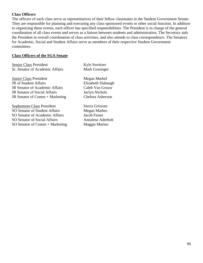#### **Class Officers**

The officers of each class serve as representatives of their fellow classmates in the Student Government Senate. They are responsible for planning and executing any class-sponsored events or other social function. In addition to organizing these events, each officer has specified responsibilities. The President is in charge of the general coordination of all class events and serves as a liaison between students and administration. The Secretary aids the President in overall coordination of class activities, and also attends to class correspondence. The Senators for Academic, Social and Student Affairs serve as members of their respective Student Government committees.

#### **Class Officers of the SGA Senate**

Senior Class President Kyle Sweitzer Sr. Senator of Academic Affairs Mark Grasinger

**Junior Class President Megan Markel** JR of Student Affairs Elizabeth Slabaugh JR Senator of Academic Affairs Caleb Van Grouw JR Senator of Social Affairs Jaclyn Nichols JR Senator of Comm + Marketing Chelsea Asherson

Sophomore Class President Sierra Grissom SO Senator of Student Affairs Megan Mathes SO Senator of Academic Affairs Jacob Feiser SO Senator of Social Affairs Annalese Aderholt  $SO$  Senator of Comm + Marketing Maggie Marino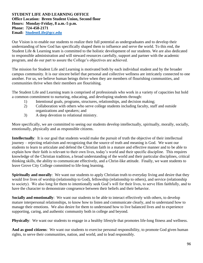#### **STUDENT LIFE AND LEARNING OFFICE Office Location: Breen Student Union, Second floor Hours: Monday-Friday, 8 a.m.-5 p.m. Phone: 724-458-2171 Email: [StudentLife@gcc.edu](mailto:StudentLife@gcc.edu)**

Our Vision is to enable our students to realize their full potential as undergraduates and to develop their understanding of how God has specifically shaped them to influence and serve the world. To this end, the Student Life & Learning team is committed to the holistic development of our students. We are also dedicated to responsible administration and will steward resources carefully, support and partner with the academic program, and do our part to assure the College's objectives are achieved.

The mission for Student Life and Learning is motivated both by each individual student and by the broader campus community. It is our sincere belief that personal and collective wellness are intricately connected to one another. For us, we believe human beings thrive when they are members of flourishing communities, and communities thrive when their members are flourishing.

The Student Life and Learning team is comprised of professionals who work in a variety of capacities but hold a common commitment to nurturing, educating, and developing students through:

- 1) Intentional goals, programs, structures, relationships, and decision making;
- 2) Collaboration with others who serve college students including faculty, staff and outside organizations and speakers; and
- 3) A deep devotion to relational ministry.

More specifically, we are committed to seeing our students develop intellectually, spiritually, morally, socially, emotionally, physically and as responsible citizens.

**Intellectually**: It is our goal that students would make the pursuit of truth the objective of their intellectual journey – rejecting relativism and recognizing that the source of truth and meaning is God. We want our students to learn to articulate and defend the Christian faith in a mature and effective manner and to be able to explain how their faith is relevant to their own lives, today's world and their specific discipline. This requires knowledge of the Christian tradition, a broad understanding of the world and their particular disciplines, critical thinking skills, the ability to communicate effectively, and a Christ-like attitude. Finally, we want students to leave Grove City College committed to life-long learning.

**Spiritually and morally:** We want our students to apply Christian truth to everyday living and desire that they would live lives of worship (relationship to God), fellowship (relationship to others), and service (relationship to society). We also long for them to intentionally seek God's will for their lives, to serve Him faithfully, and to have the character to demonstrate congruence between their beliefs and their behavior.

**Socially and emotionally**: We want our students to be able to interact effectively with others, to develop mature interpersonal relationships, to know how to listen and communicate clearly, and to understand how to manage their emotions. We also desire for them to understand how to live balanced lives and to experience supporting, caring, and authentic community both in college and beyond.

**Physically**: We want our students to engage in a healthy lifestyle that promotes life-long fitness and wellness.

**And as good citizens**: We want our students to exercise personal responsibility, to promote God given human rights, to serve their communities, nation, and world, and to lead responsibly.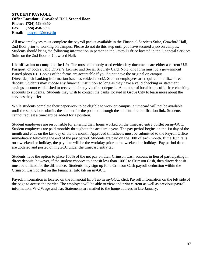#### **STUDENT PAYROLL Office Location: Crawford Hall, Second floor Phone: (724) 458-3350 Fax: (724) 458-3890 Email: [payroll@gcc.edu](mailto:payroll@gcc.edu)**

All new employees must complete the payroll packet available in the Financial Services Suite, Crawford Hall, 2nd floor prior to working on campus. Please do not do this step until you have secured a job on campus. Students should bring the following information in person to the Payroll Office located in the Financial Services Suite on the 2nd floor of Crawford Hall:

**Identification to complete the I-9:** The most commonly used evidentiary documents are either a current U.S. Passport, or both a valid Driver's License and Social Security Card. Note, one form must be a government issued photo ID. Copies of the forms are acceptable if you do not have the original on campus. Direct deposit banking information (such as voided check). Student employees are required to utilize direct deposit. Students may choose any financial institution so long as they have a valid checking or statement savings account established to receive their pay via direct deposit. A number of local banks offer free checking accounts to students. Students may wish to contact the banks located in Grove City to learn more about the services they offer.

While students complete their paperwork to be eligible to work on campus, a timecard will not be available until the supervisor submits the student for the position through the student hire notification link. Students cannot request a timecard be added for a position.

Student employees are responsible for entering their hours worked on the timecard entry portlet on myGCC. Student employees are paid monthly throughout the academic year. The pay period begins on the 1st day of the month and ends on the last day of the the month. Approved timesheets must be submitted to the Payroll Office immediately following the end of the pay period. Students are paid on the 10th of each month. If the 10th falls on a weekend or holiday, the pay date will be the workday prior to the weekend or holiday. Pay period dates are updated and posted on myGCC under the timecard entry tab.

Students have the option to place 100% of the net pay on their Crimson Cash account in lieu of participating in direct deposit; however, if the student chooses to deposit less than 100% to Crimson Cash, then direct deposit must be utilized for the difference. Students may sign up for a Crimson Cash payroll deduction within the Crimson Cash portlet on the Financial Info tab on myGCC.

Payroll information is located on the Financial Info Tab in myGCC, click Payroll Information on the left side of the page to access the portlet. The employee will be able to view and print current as well as previous payroll information. W-2 Wage and Tax Statements are mailed to the home address in late January.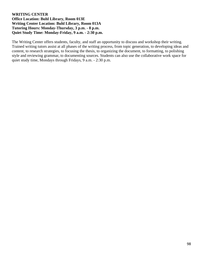## **WRITING CENTER Office Location: Buhl Library, Room 013E Writing Center Location: Buhl Library, Room 013A Tutoring Hours: Monday-Thursday, 3 p.m. - 8 p.m. Quiet Study Time: Monday-Friday, 9 a.m. - 2:30 p.m.**

The Writing Center offers students, faculty, and staff an opportunity to discuss and workshop their writing. Trained writing tutors assist at all phases of the writing process, from topic generation, to developing ideas and content, to research strategies, to focusing the thesis, to organizing the document, to formatting, to polishing style and reviewing grammar, to documenting sources. Students can also use the collaborative work space for quiet study time, Mondays through Fridays, 9 a.m. - 2:30 p.m.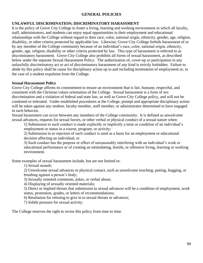## **GENERAL POLICIES**

# **UNLAWFUL DISCRIMINATION; DISCRIMINATORY HARASSMENT**

It is the policy of Grove City College to foster a living, learning and working environment in which all faculty, staff, administrators, and students can enjoy equal opportunities in their employment and educational relationships with the College without regard to their race, color, national origin, ethnicity, gender, age, religion, disability, or other criteria protected by applicable law. Likewise, Grove City College forbids harassment of or by any member of the College community because of an individual's race, color, national origin, ethnicity, gender, age, religion, disability or other criteria protected by law. This type of harassment is referred to as discriminatory harassment. Grove City College also prohibits all forms of sexual harassment, as described below under the separate Sexual Harassment Policy. The authorization of, cover-up or participation in any unlawfully discriminatory act or act of discriminatory harassment of any kind is strictly forbidden. Failure to abide by this policy shall be cause for disciplinary action up to and including termination of employment or, in the case of a student expulsion from the College.

## **Sexual Harassment Policy**

Grove City College affirms its commitment to ensure an environment that is fair, humane, respectful, and consistent with the Christian values orientation of the College. Sexual harassment is a form of sex discrimination and a violation of federal and state law, as well as Grove City College policy, and will not be condoned or tolerated. Under established procedures at the College, prompt and appropriate disciplinary action will be taken against any student, faculty member, staff member, or administrator determined to have engaged in such behavior.

Sexual harassment can occur between any members of the College community. It is defined as unwelcome sexual advances, requests for sexual favors, or other verbal or physical conduct of a sexual nature when:

1) Submission to such conduct is made explicitly or implicitly a term or condition of an individual's employment or status in a course, program, or activity;

2) Submission to or rejection of such conduct is used as a basis for an employment or educational decision affecting an individual; or

3) Such conduct has the purpose or effect of unreasonably interfering with an individual's work or educational performance or of creating an intimidating, hostile, or offensive living, learning or working environment.

Some examples of sexual harassment include, but are not limited to:

1) Sexual assault;

2) Unwelcome sexual advances or physical contact, such as unwelcome touching, patting, hugging, or brushing against a person's body;

3) Sexually oriented comments, jokes, or verbal abuse;

4) Displaying of sexually oriented materials;

5) Direct or implied threats that submission to sexual advances will be a condition of employment, work status, promotion, grades, or letters of recommendations;

6) Retaliation for refusing to give in to sexual threats or advances;

7) Subtle pressure for sexual activity.

The College reserves the right to revise this policy from time to time.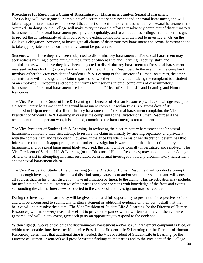#### **Procedures for Resolving a Claim of Discriminatory Harassment and/or Sexual Harassment**

The College will investigate all complaints of discriminatory harassment and/or sexual harassment, and will take all appropriate measures in the event that an act of discriminatory harassment and/or sexual harassment has occurred. In doing so, the College will make every reasonable effort to resolve any complaint of discriminatory harassment and/or sexual harassment promptly and equitably, and to conduct proceedings in a manner designed to protect the confidentiality of all involved to the extent compatible with the need to investigate. Given the College's obligation, however, to investigate all claims of discriminatory harassment and sexual harassment and to take appropriate action, confidentiality cannot be guaranteed.

Students who believe they have been subjected to discriminatory harassment and/or sexual harassment may seek redress by filing a complaint with the Office of Student Life and Learning. Faculty, staff, and administrators who believe they have been subjected to discriminatory harassment and/or sexual harassment may seek redress by filing a complaint with the Office of Human Resources. In the event that the complaint involves either the Vice President of Student Life & Learning or the Director of Human Resources, the other administrator will investigate the claim regardless of whether the individual making the complaint is a student or an employee. Procedures and complaint forms for resolving internal complaints of discriminatory harassment and/or sexual harassment are kept at both the Offices of Student Life and Learning and Human Resources.

The Vice President for Student Life & Learning (or Director of Human Resources) will acknowledge receipt of a discriminatory harassment and/or sexual harassment complaint within five (5) business days of its submission.] Upon receipt of a discriminatory harassment and/or sexual harassment complaint, the Vice President of Student Life & Learning may refer the complaint to the Director of Human Resources if the respondent (i.e., the person who, it is claimed, committed the harassment) is not a student.

The Vice President of Student Life & Learning, in reviewing the discriminatory harassment and/or sexual harassment complaint, may first attempt to resolve the claim informally by meeting separately and privately with the complainant and respondent. However, if the Vice President, in his or her discretion, determines that informal resolution is inappropriate, or that further investigation is warranted or that the discriminatory harassment and/or sexual harassment likely occurred, the claim will be formally investigated and resolved. The Vice President of Student Life & Learning (or the Director of Human Resources) may appoint another College official to assist in attempting informal resolution of, or formal investigation of, any discriminatory harassment and/or sexual harassment claim.

The Vice President of Student Life & Learning (or the Director of Human Resources) will conduct a prompt and thorough investigation of the alleged discriminatory harassment and/or sexual harassment, and will consult all sources that, in his or her discretion, have information pertinent to the claim. This investigation may include, but need not be limited to, interviews of the parties and other persons with knowledge of the facts and events surrounding the claim. Interviews conducted in the course of the investigation may be recorded.

During the investigation, each party will be given a fair and full opportunity to present their respective position, and will be encouraged to submit any written statement or additional evidence on their own behalf that they believe will help resolve the claim. The Vice President of Student Life & Learning (or the Director of Human Resources) will make every reasonable effort to provide the parties with a written summary of the evidence gathered, and will, in any event, give each party an opportunity to respond to the evidence.

Within eight (8) weeks of the date the discriminatory harassment and/or sexual harassment complaint is filed, or within a reasonable time thereafter if the Vice President of Student Life & Learning (or the Director of Human Resources) determines that additional time is needed, the Vice President of Student Life & Learning (or the Director of Human Resources) will provide written findings to the parties and to the President of the College.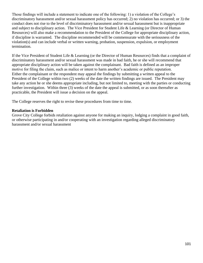Those findings will include a statement to indicate one of the following: 1) a violation of the College's discriminatory harassment and/or sexual harassment policy has occurred; 2) no violation has occurred; or 3) the conduct does not rise to the level of discriminatory harassment and/or sexual harassment but is inappropriate and subject to disciplinary action. The Vice President for Student Life & Learning (or Director of Human Resources) will also make a recommendation to the President of the College for appropriate disciplinary action, if discipline is warranted. The discipline recommended will be commensurate with the seriousness of the violation(s) and can include verbal or written warning, probation, suspension, expulsion, or employment termination.

If the Vice President of Student Life & Learning (or the Director of Human Resources) finds that a complaint of discriminatory harassment and/or sexual harassment was made in bad faith, he or she will recommend that appropriate disciplinary action will be taken against the complainant. Bad faith is defined as an improper motive for filing the claim, such as malice or intent to harm another's academic or public reputation. Either the complainant or the respondent may appeal the findings by submitting a written appeal to the President of the College within two (2) weeks of the date the written findings are issued. The President may take any action he or she deems appropriate including, but not limited to, meeting with the parties or conducting further investigation. Within three (3) weeks of the date the appeal is submitted, or as soon thereafter as practicable, the President will issue a decision on the appeal.

The College reserves the right to revise these procedures from time to time.

#### **Retaliation is Forbidden**

Grove City College forbids retaliation against anyone for making an inquiry, lodging a complaint in good faith, or otherwise participating in and/or cooperating with an investigation regarding alleged discriminatory harassment and/or sexual harassment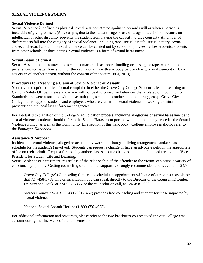## **SEXUAL VIOLENCE POLICY**

#### **Sexual Violence Defined**

Sexual Violence is defined as physical sexual acts perpetrated against a person's will or when a person is incapable of giving consent (for example, due to the student's age or use of drugs or alcohol, or because an intellectual or other disability prevents the student from having the capacity to give consent). A number of different acts fall into the category of sexual violence, including rape, sexual assault, sexual battery, sexual abuse, and sexual coercion. Sexual violence can be carried out by school employees, fellow students, students from other schools, or third parties. Sexual violence is a form of sexual harassment.

#### **Sexual Assault Defined**

Sexual Assault includes unwanted sexual contact, such as forced fondling or kissing, or rape, which is the penetration, no matter how slight, of the vagina or anus with any body part or object, or oral penetration by a sex organ of another person, without the consent of the victim (FBI, 2013).

#### **Procedures for Resolving a Claim of Sexual Violence or Assault**

You have the option to file a formal complaint in either the Grove City College Student Life and Learning or Campus Safety Office. Please know you will not be disciplined for behaviors that violated our Community Standards and were associated with the assault (i.e., sexual misconduct, alcohol, drugs, etc.). Grove City College fully supports students and employees who are victims of sexual violence in seeking criminal prosecution with local law enforcement agencies.

For a detailed explanation of the College's adjudication process, including allegations of sexual harassment and sexual violence, students should refer to the Sexual Harassment portion which immediately precedes the Sexual Violence Policy, as well as the Community Life section of this handbook. College employees should refer to the *Employee Handbook*.

#### **Assistance & Support**

Incidents of sexual violence, alleged or actual, may warrant a change in living arrangements and/or class schedule for the student(s) involved. Students can request a change or have an advocate petition the appropriate office on their behalf. Request for housing and/or class schedule changes should be funneled through the Vice President for Student Life and Learning.

Sexual violence or harassment, regardless of the relationship of the offender to the victim, can cause a variety of emotional symptoms. Getting counseling or emotional support is strongly recommended and is available 24/7:

Grove City College's Counseling Center: to schedule an appointment with one of our counselors please dial 724-458-3788. In a crisis situation you can speak directly to the Director of the Counseling Center, Dr. Suzanne Houk, at 724-967-3886, or the counselor on call, at 724-458-3000

Mercer County AWARE (1-888-981-1457) provides free counseling and support for those impacted by sexual violence

National Sexual Assault Hotline (1-800-656-4673)

For additional information and resources, please refer to the two brochures you received in your College email account during the first week of the fall semester.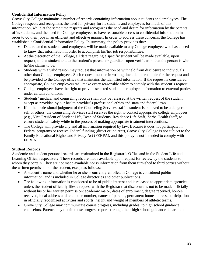# **Confidential Information Policy**

Grove City College maintains a number of records containing information about students and employees. The College respects and recognizes the need for privacy for its students and employees for much of this information, while at the same time respects and recognizes the need and desire for information by the parents of its students, and the need for College employees to have reasonable access to confidential information in order to do their jobs in an efficient and effective manner. In order to address these concerns, the College has established a Confidential Information Policy. In summary, the policy provides that:

- Data related to students and employees will be made available to any College employee who has a need to know that information in order to accomplish his/her job responsibilities.
- At the discretion of the College, all data regarding a specific student will be made available, upon request, to that student and to the student's parents or guardians upon verification that the person is who he/she claims to be.
- Students with a valid reason may request that information be withheld from disclosure to individuals other than College employees. Such request must be in writing, include the rationale for the request and be provided to the College office that maintains the identified information. If the request is considered appropriate, College employees will make every reasonable effort to comply with the student's request.
- College employees have the right to provide selected student or employee information to external parties under certain conditions.
- Students' medical and counseling records shall only be released at the written request of the student, except as provided by our health provider's professional ethics and state and federal laws.
- If in the professional judgment of the Counseling Services staff, a student is believed to be a danger to self or others, the Counseling Services staff reserves the right to contact appropriate college employees (e.g., Vice President of Student Life, Dean of Students, Residence Life Staff, Zerbe Health Staff) to ensure students' safety while in the process of making appropriate treatment interventions.
- The College will provide any and all information required by law. Because it does not participate in Federal programs or receive Federal funding (direct or indirect), Grove City College is not subject to the Family Educational Rights and Privacy Act (FERPA), and this policy is not intended to comply with FERPA.

## **Student Records**

Academic and student personal records are maintained in the Registrar's Office and in the Student Life and Learning Office, respectively. These records are made available upon request for review by the students to whom they pertain. They are not made available nor is information from them furnished to third parties without the written permission of the student, except as follows:

- A student's name and whether he or she is currently enrolled in College is considered public information, and is included in College directories and other publications.
- The following information is considered to be of public interest and is released to appropriate agencies unless the student officially files a request with the Registrar that disclosure is not to be made officially without his or her written permission: academic major, dates of enrollment, degree received, honors received, local address and telephone number, names of parents, permanent home address, participation in officially recognized activities and sports, height and weight of members of athletic teams.
- Grove City College may communicate course progress, including grades, to high school guidance counselors. Parents may obtain those progress reports through their high school guidance department.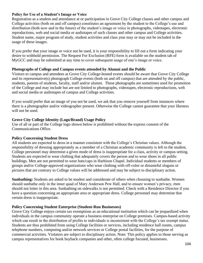## **Policy for Use of a Student's Image or Voice**

Registration as a student and attendance at or participation in Grove City College classes and other campus and College activities (both on and off campus) constitutes an agreement by the student to the College's use and distribution (both now and in the future) of the student's image or voice in photographs, videotapes, electronic reproductions, web and social media or audiotapes of such classes and other campus and College activities. Student name, major program of study, student activities and class year may or may not be included in the usage of these images.

If you prefer that your image or voice not be used, it is your responsibility to fill out a form indicating your desire to withhold permission. The Request For Exclusion (RFE) form is available on the student tab of MyGCC and may be submitted at any time to cover subsequent usage of one's image or voice.

## **Photographs of College and Campus events attended by Alumni and the Public**

Visitors to campus and attendees at Grove City College-hosted events should be aware that Grove City College and its representative(s) photograph College events (both on and off campus) that are attended by the public, students, parents of students, faculty, staff and/or alumni. These photographs are sometimes used for promotion of the College and may include but are not limited to photographs, videotapes, electronic reproductions, web and social media or audiotapes of campus and College activities.

If you would prefer that an image of you not be used, we ask that you remove yourself from instances where there is a photographer and/or videographer present. Otherwise the College cannot guarantee that your likeness will not be used.

## **Grove City College Identity (Logo/Brand) Usage Policy**

Use of all or part of the College logo shown below is prohibited without the express consent of the Communications Office.

## **Policy Concerning Student Dress**

All students are expected to dress in a manner consistent with the College's Christian values. Although the responsibility of dressing appropriately as a member of a Christian academic community is left to the student, College personnel may determine a given mode of dress is inappropriate for a class, activity or campus setting. Students are expected to wear clothing that adequately covers the person and to wear shoes in all public buildings. Men are not permitted to wear hats/caps in Harbison Chapel. Individual students or members of groups and/or College-approved organizations who wear clothing with off-color or distasteful slogans or pictures that are contrary to College values will be addressed and may be subject to disciplinary action.

**Sunbathing:** Students are asked to be modest and considerate of others when choosing to sunbathe. Women should sunbathe only in the inner quad of Mary Anderson Pew Hall, and to ensure women's privacy, men should not loiter in this area. Sunbathing on sidewalks is not permitted. Check with a Residence Director if you have a question concerning an appropriate area or appropriate dress. College personnel may determine that certain dress is inappropriate.

## **Policy Concerning Student Enterprise (Student-Run Businesses)**

Grove City College enjoys certain tax exemptions as an educational institution which can be jeopardized when individuals in the campus community operate a business enterprise on College premises. Campus-based activity which can result in the distribution of profits to individuals is inconsistent with the College's tax exempt status. Students are thus prohibited from using College facilities or services, including residence hall rooms, campus telephone numbers, computing and/or network services or College postal facilities, for the purpose of commercial activities. Violators are subject to disciplinary action. Note: This policy applies to those serving as campus representatives for book buyback companies and other, often college focused, businesses.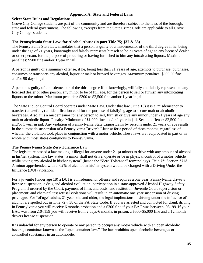#### **Appendix A: State and Federal Laws**

#### **Select State Rules and Regulations**

Grove City College students are part of the community and are therefore subject to the laws of the borough, state and federal government. The following excerpts from the State Crime Code are applicable to all Grove City College students.

#### **The Pennsylvania State Law: for Alcohol Abuse (in part Title 75; §37 & 38)**

The Pennsylvania State Law mandates that a person is guilty of a misdemeanor of the third degree if he, being under the age of 21 years, knowingly and falsely represents himself to be 21 years of age to any licensed dealer or other person, for the purpose of procuring or having furnished to him any intoxicating liquors. Maximum penalties: \$500 fine and/or 1 year in jail.

A person is guilty of a summary offense, if he, being less than 21 years of age, attempts to purchase, purchases, consumes or transports any alcohol, liquor or malt or brewed beverages. Maximum penalties: \$300.00 fine and/or 90 days in jail.

A person is guilty of a misdemeanor of the third degree if he knowingly, willfully and falsely represents to any licensed dealer or other person, any minor to be of full age, for the person to sell or furnish any intoxicating liquors to the minor. Maximum penalties: \$300 to \$2,500 fine and/or 1 year in jail.

The State Liquor Control Board operates under State Law. Under that law (Title 18) it is a misdemeanor to transfer (unlawfully) an identification card for the purpose of falsifying age to secure malt or alcoholic beverages. Also, it is a misdemeanor for any person to sell, furnish or give any minor under 21 years of age any malt or alcoholic liquor. Penalty: Minimum of \$1,000 fine and/or 1 year in jail. Second offense: \$2,500 fine and/or 1 year in jail. Any violation of Pennsylvania State Liquor Laws by persons under 21 years of age results in the automatic suspension of a Pennsylvania Driver's License for a period of three months, regardless of whether the violation took place in conjunction with a motor vehicle. These laws are reciprocated in part or in whole with most states contiguous to Pennsylvania.

#### **The Pennsylvania State Zero Tolerance Law**

The legislature passed a law making it illegal for anyone under 21 (a minor) to drive with any amount of alcohol in his/her system. The law states "a minor shall not drive, operate or be in physical control of a motor vehicle while having any alcohol in his/her system" (hence the "Zero Tolerance" terminology). Title 75: Section 3718. A minor apprehended with a .02% of alcohol in his/her system would be charged with a Driving Under the Influence (DUI) violation.

For a juvenile (under age 18) a DUI is a misdemeanor offense and requires a one year Pennsylvania driver's license suspension; a drug and alcohol evaluation; participation in a state-approved Alcohol Highway Safety Program if ordered by the Court; payment of fines and costs, and restitution; Juvenile Court supervision or placement; and chemical test refusal violations will result in an automatic one year suspension of driving privileges. For "of age" adults, 21 years old and older, the legal implications of driving under the influence of alcohol are spelled out in Title 72 § 38 of the PA State Code. If you are arrested and convicted for drunk driving in Pennsylvania you will receive 6 months probation and a \$300 fine if your BAC was between .08-.99. If your BAC was from .10-.159 you will receive from 2 days-6 months in prison, a \$500-\$5,000 fine and a 12 month drivers license suspension.

It is unlawful for any person to operate or any person to occupy any motor vehicle with an open alcoholic beverage container known as the "open container law." The law prohibits open alcoholic beverages or controlled substances in an automobile.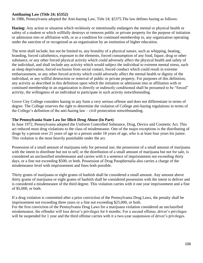## **Antihazing Law (Title 24; §5352)**

In 1986, Pennsylvania adopted the Anti-hazing Law, Title 24; §5375.The law defines hazing as follows:

**Hazing:** Any action or situation which recklessly or intentionally endangers the mental or physical health or safety of a student or which willfully destroys or removes public or private property for the purpose of initiation or admission into or affiliation with, or as a condition for continued membership in, any organization operating under the sanction of or recognized as an organization by an institution of higher education.

The term shall include, but not be limited to, any brutality of a physical nature, such as whipping, beating, branding, forced calisthenics, exposure to the elements, forced consumption of any food, liquor, drug or other substance, or any other forced physical activity which could adversely affect the physical health and safety of the individual, and shall include any activity which would subject the individual to extreme mental stress, such as sleep deprivation, forced exclusion from social contact, forced conduct which could result in extreme embarrassment, or any other forced activity which could adversely affect the mental health or dignity of the individual, or any willful destruction or removal of public or private property. For purposes of this definition, any activity as described in this definition upon which the initiation or admission into or affiliation with or continued membership in an organization is directly or indirectly conditioned shall be presumed to be "forced" activity, the willingness of an individual to participate in such activity notwithstanding.

Grove City College considers hazing in any form a very serious offense and does not differentiate in terms of degree. The College reserves the right to determine the violation of College anti-hazing regulations in terms of the College's definition of the anti-hazing law – civil prosecution notwithstanding.

#### **The Pennsylvania State Law for Illicit Drug Abuse (In Part)**

In June 1972, Pennsylvania adopted the Uniform Controlled Substance, Drug, Device and Cosmetic Act. This act reduced most drug violations to the class of misdemeanor. One of the major exceptions is the distributing of drugs by a person over 21 years of age to a person under 18 years of age, who is at least four years his junior. This violation is the most heavily punishable under the act.

Possession of a small amount of marijuana only for personal use; the possession of a small amount of marijuana with the intent to distribute but not to sell; or the distribution of a small amount of marijuana but not for sale, is considered an unclassified misdemeanor and carries with it a sentence of imprisonment not exceeding thirty days, or a fine not exceeding \$500, or both. Possession of Drug Paraphernalia also carries a charge of the misdemeanor level with imprisonment and fines both possible.

Thirty grams of marijuana or eight grams of hashish shall be considered a small amount. Any amount above thirty grams of marijuana or eight grams of hashish shall be considered possession with the intent to deliver and is considered a misdemeanor of the third degree. This violation carries with it one year imprisonment and a fine of \$5,000, or both.

If a drug violation is committed after a prior conviction of the Pennsylvania Drug Laws, the penalty shall be imprisonment not exceeding three years or a fine not exceeding \$25,000, or both. For the first conviction of the Pennsylvania Drug Laws for a marijuana violation considered an unclassified misdemeanor, the offender will lose driver's privileges for 6 months. For a second offense, driver's privileges will be suspended for 1 year and the third offense carries with it a two-year suspension of driver's privileges.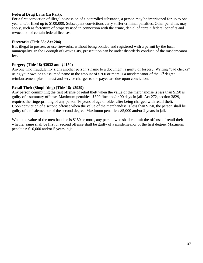# **Federal Drug Laws (In Part):**

For a first conviction of illegal possession of a controlled substance, a person may be imprisoned for up to one year and/or fined up to \$100,000. Subsequent convictions carry stiffer criminal penalties. Other penalties may apply, such as forfeiture of property used in connection with the crime, denial of certain federal benefits and revocation of certain federal licenses.

## **Fireworks (Title 35; Act 204)**

It is illegal to possess or use fireworks, without being bonded and registered with a permit by the local municipality. In the Borough of Grove City, prosecution can be under disorderly conduct, of the misdemeanor level.

## **Forgery (Title 18; §3932 and §4150)**

Anyone who fraudulently signs another person's name to a document is guilty of forgery. Writing "bad checks" using your own or an assumed name in the amount of \$200 or more is a misdemeanor of the 3<sup>rd</sup> degree. Full reimbursement plus interest and service charges to the payee are due upon conviction.

# **Retail Theft (Shoplifting) (Title 18; §3929)**

Any person committing the first offense of retail theft when the value of the merchandise is less than \$150 is guilty of a summary offense. Maximum penalties: \$300 fine and/or 90 days in jail. Act 272, section 3829, requires the fingerprinting of any person 16 years of age or older after being charged with retail theft. Upon conviction of a second offense when the value of the merchandise is less than \$150, the person shall be guilty of a misdemeanor of the second degree. Maximum penalties: \$5,000 and/or 2 years in jail.

When the value of the merchandise is \$150 or more, any person who shall commit the offense of retail theft whether same shall be first or second offense shall be guilty of a misdemeanor of the first degree. Maximum penalties: \$10,000 and/or 5 years in jail.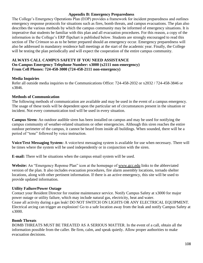### **Appendix B: Emergency Preparedness**

The College's Emergency Operations Plan (EOP) provides a framework for incident preparedness and outlines emergency response protocols for situations such as fires, bomb threats, and campus evacuations. The plan also describes the various methods by which the campus community may be informed of emergency situations. It is imperative that students be familiar with this plan and all evacuation procedures. For this reason, a copy of the information in the College's ERP flipchart is published below. Students are strongly encouraged to read this section of *The Crimson* so as to be better prepared should an emergency occur. Emergency preparedness will also be addressed in mandatory residence hall meetings at the start of the academic year. Finally, the College will be testing the plan periodically and will expect the cooperation of the entire campus community.

### **ALWAYS CALL CAMPUS SAFETY IF YOU NEED ASSISTANCE On-Campus Emergency Telephone Number: x3000 (x2111 non-emergency) From Cell Phones: 724-458-3000 (724-458-2111 non-emergency)**

### **Media Inquiries**

Refer all outside media inquiries to the Communications Office: 724-458-2032 or x2032 / 724-458-3846 or x3846.

### **Methods of Communication**

The following methods of communication are available and may be used in the event of a campus emergency. The usage of these tools will be dependent upon the particular set of circumstances present in the situation or incident. Not every communication tool will be used in every situation.

**Campus Siren:** An outdoor audible siren has been installed on campus and may be used for notifying the campus community of weather-related situations or other emergencies. Although this siren reaches the entire outdoor perimeter of the campus, it cannot be heard from inside all buildings. When sounded, there will be a period of "tone" followed by voice instruction.

**Voice/Text Messaging System:** A voice/text messaging system is available for use when necessary. There will be times where the system will be used independently or in conjunction with the siren.

**E-mail:** There will be situations when the campus email system will be used.

**Website:** An "Emergency Reponse Plan" icon at the homepage of www.gcc.edu links to the abbreviated version of the plan. It also includes evacuation procedures, fire alarm assembly locations, tornado shelter locations, along with other pertinent information. If there is an active emergency, this site will be used to provide updated information.

#### **Utility Failure/Power Outage**

Contact your Resident Director for routine maintenance service. Notify Campus Safety at x3000 for major power outage or utility failure, which may include natural gas, electricity, heat and water. Cease all activity during a gas leak! DO NOT SWITCH ON LIGHTS OR ANY ELECTRICAL EQUIPMENT. Electrical arcing can trigger an explosion! Go to a safe location away from the leak and notify Campus Safety at x3000.

#### **Bomb Threats**

BOMB THREATS MUST BE TREATED AS A SERIOUS MATTER. In the event of a call, obtain all the information possible from the caller. Be firm, calm, and speak quietly. Allow proper authorities to make evacuation decisions.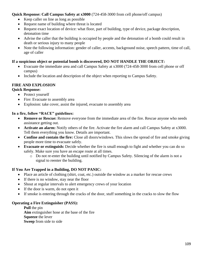# **Quick Response: Call Campus Safety at x3000** (724-458-3000 from cell phone/off campus)

- Keep caller on line as long as possible
- Request name of building where threat is located
- Request exact location of device: what floor, part of building, type of device, package description, detonation time
- Advise the caller that the building is occupied by people and the detonation of a bomb could result in death or serious injury to many people
- Note the following information: gender of caller, accents, background noise, speech pattern, time of call, age of caller

## **If a suspicious object or potential bomb is discovered, DO NOT HANDLE THE OBJECT:**

- Evacuate the immediate area and call Campus Safety at x3000 (724-458-3000 from cell phone or off campus)
- Include the location and description of the object when reporting to Campus Safety.

## **FIRE AND EXPLOSION**

### **Quick Response:**

- Protect yourself
- Fire: Evacuate to assembly area
- Explosion: take cover, assist the injured, evacuate to assembly area

### **In a fire, follow "RACE" guidelines:**

- **Remove or Rescue:** Remove everyone from the immediate area of the fire. Rescue anyone who needs assistance getting out.
- **Activate an alarm:** Notify others of the fire. Activate the fire alarm and call Campus Safety at x3000. Tell them everything you know. Details are important.
- **Confine and contain the fire:** Close all doors/windows. This slows the spread of fire and smoke giving people more time to evacuate safely.
- **Evacuate or extinguish:** Decide whether the fire is small enough to fight and whether you can do so safely. Make sure you have an escape route at all times.
	- o Do not re-enter the building until notified by Campus Safety. Silencing of the alarm is not a signal to reenter the building.

### **If You Are Trapped in a Building, DO NOT PANIC:**

- Place an article of clothing (shirt, coat, etc.) outside the window as a marker for rescue crews
- If there is no window, stay near the floor
- Shout at regular intervals to alert emergency crews of your location
- If the door is warm, do not open it
- If smoke is entering through the cracks of the door, stuff something in the cracks to slow the flow

### **Operating a Fire Extinguisher (PASS):**

**Pull** the pin **Aim** extinguisher hose at the base of the fire **Squeeze** the lever **Sweep** from side to side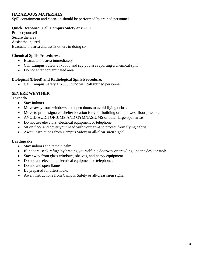## **HAZARDOUS MATERIALS**

Spill containment and clean-up should be performed by trained personnel.

### **Quick Response: Call Campus Safety at x3000**

Protect yourself Secure the area Assist the injured Evacuate the area and assist others in doing so

### **Chemical Spills Procedures:**

- Evacuate the area immediately
- Call Campus Safety at x3000 and say you are reporting a chemical spill
- Do not enter contaminated area

### **Biological (Blood) and Radiological Spills Procedure:**

• Call Campus Safety at x3000 who will call trained personnel

## **SEVERE WEATHER**

#### **Tornado**

- Stay indoors
- Move away from windows and open doors to avoid flying debris
- Move to pre-designated shelter location for your building or the lowest floor possible
- AVOID AUDITORIUMS AND GYMNASIUMS or other large open areas
- Do not use elevators, electrical equipment or telephone
- Sit on floor and cover your head with your arms to protect from flying debris
- Await instructions from Campus Safety or all-clear siren signal

#### **Earthquake**

- Stay indoors and remain calm
- If indoors, seek refuge by bracing yourself in a doorway or crawling under a desk or table
- Stay away from glass windows, shelves, and heavy equipment
- Do not use elevators, electrical equipment or telephones
- Do not use open flame
- Be prepared for aftershocks
- Await instructions from Campus Safety or all-clear siren signal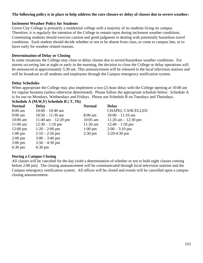### **The following policy is in place to help address the rare closure or delay of classes due to severe weather:**

### **Inclement Weather Policy for Students**

Grove City College is primarily a residential college with a majority of its students living on campus. Therefore, it is regularly the intention of the College to remain open during inclement weather conditions. Commuting students should exercise caution and good judgment in dealing with potentially hazardous travel conditions. Each student should decide whether or not to be absent from class, to come to campus late, or to leave early for weather related reasons.

### **Determination of Delay or Closing**

In some situations the College may close or delay classes due to severe/hazardous weather conditions. For storms occurring late at night or early in the morning, the decision to close the College or delay operations will be announced at approximately 5:30 am. This announcement will be released to the local television stations and will be broadcast to all students and employees through the Campus emergency notification system.

### **Delay Schedules**

When appropriate the College may also implement a two (2) hour delay with the College opening at 10:00 am for regular business (unless otherwise determined). Please follow the appropriate schedule below: Schedule A is for use on Mondays, Wednesdays and Fridays. Please use Schedule B on Tuesdays and Thursdays. **Schedule A (M,W,F) Schedule B ( T, Th)**

| <b>Normal</b>      | <b>Delay</b>          | <b>Normal</b>     | <b>Delay</b>            |
|--------------------|-----------------------|-------------------|-------------------------|
| $8:00 \text{ am}$  | $10:00 - 10:40$ am    |                   | <b>CHAPEL CANCELLED</b> |
| $9:00 \text{ am}$  | $10:50 - 11:30$ am    | $8:00 \text{ am}$ | $10:00 - 11:10$ am      |
| $10:00$ am         | 11:40 am $- 12:20$ pm | $10:05$ am        | $11:20$ am $-12:30$ pm  |
| $11:00 \text{ am}$ | $12:30 - 1:10$ pm     | 11:30 am          | $12:40 - 1:50$ pm       |
| $12:00 \text{ pm}$ | $1:20 - 2:00$ pm      | $1:00 \text{ pm}$ | $2:00 - 3:10$ pm        |
| $1:00 \text{ pm}$  | $2:10 - 2:50$ pm      | $2:30 \text{ pm}$ | $3:20-4:30$ pm          |
| $2:00 \text{ pm}$  | $3:00 - 3:40$ pm      |                   |                         |
| $3:00 \text{ pm}$  | $3:50 - 4:30$ pm      |                   |                         |
| $6:30 \text{ pm}$  | $6:30 \text{ pm}$     |                   |                         |
|                    |                       |                   |                         |

### **During a Campus Closing**

All classes will be canceled for the day (with a determination of whether or not to hold night classes coming before 2:00 pm). The closing announcement will be communicated through local television stations and the Campus emergency notification system. All offices will be closed and events will be cancelled upon a campus closing announcement.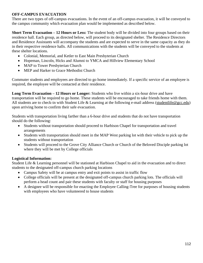# **OFF-CAMPUS EVACUATION**

There are two types of off-campus evacuations. In the event of an off-campus evacuation, it will be conveyed to the campus community which evacuation plan would be implemented as described below.

**Short Term Evacuation – 12 Hours or Less:** The student body will be divided into four groups based on their residence hall. Each group, as directed below, will proceed to its designated shelter. The Residence Directors and Residence Assistants will accompany the students and are expected to serve in the same capacity as they do in their respective residence halls. All communications with the students will be conveyed to the students at these shelter locations.

- Colonial, Memorial, and Ketler to East Main Presbyterian Church
- Hopeman, Lincoln, Hicks and Alumni to YMCA and Hillview Elementary School
- MAP to Tower Presbyterian Church
- MEP and Harker to Grace Methodist Church

Commuter students and employees are directed to go home immediately. If a specific service of an employee is required, the employee will be contacted at their residence.

**Long Term Evacuation – 12 Hours or Longer:** Students who live within a six-hour drive and have transportation will be required to go home. These students will be encouraged to take friends home with them. All students are to check-in with Student Life & Learning at the following e-mail address (studentlife@gcc.edu) upon arriving home to confirm their safe evacuation.

Students with transportation living farther than a 6-hour drive and students that do not have transportation should do the following:

- Students without transportation should proceed to Harbison Chapel for transportation and travel arrangements
- Students with transportation should meet in the MAP West parking lot with their vehicle to pick up the students without transportation
- Students will proceed to the Grove City Alliance Church or Church of the Beloved Disciple parking lot where they will be met by College officials

# **Logistical Information:**

Student Life & Learning personnel will be stationed at Harbison Chapel to aid in the evacuation and to direct students to the designated off-campus church parking locations

- Campus Safety will be at campus entry and exit points to assist in traffic flow
- College officials will be present at the designated off-campus church parking lots. The officials will perform a head count and pair these students with faculty or staff for housing purposes
- A designee will be responsible for enacting the Employee Calling-Tree for purposes of housing students with employees who have volunteered to house students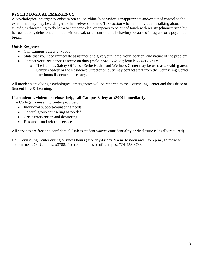# **PSYCHOLOGICAL EMERGENCY**

A psychological emergency exists when an individual's behavior is inappropriate and/or out of control to the extent that they may be a danger to themselves or others. Take action when an individual is talking about suicide, is threatening to do harm to someone else, or appears to be out of touch with reality (characterized by hallucinations, delusion, complete withdrawal, or uncontrollable behavior) because of drug use or a psychotic break.

# **Quick Response:**

- Call Campus Safety at x3000
- State that you need immediate assistance and give your name, your location, and nature of the problem
- Contact your Residence Director on duty (male 724-967-2120; female 724-967-2139)
	- o The Campus Safety Office or Zerbe Health and Wellness Center may be used as a waiting area.
	- o Campus Safety or the Residence Director on duty may contact staff from the Counseling Center after hours if deemed necessary.

All incidents involving psychological emergencies will be reported to the Counseling Center and the Office of Student Life & Learning.

# **If a student is violent or refuses help, call Campus Safety at x3000 immediately.**

The College Counseling Center provides:

- Individual support/counseling needs
- General/group counseling as needed
- Crisis intervention and debriefing
- Resources and referral services

All services are free and confidential (unless student waives confidentiality or disclosure is legally required).

Call Counseling Center during business hours (Monday-Friday, 9 a.m. to noon and 1 to 5 p.m.) to make an appointment. On-Campus: x3788; from cell phones or off campus: 724-458-3788.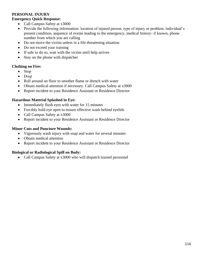## **PERSONAL INJURY**

### **Emergency Quick Response:**

- Call Campus Safety at x3000
- Provide the following information: location of injured person, type of injury or problem, individual's present condition, sequence of events leading to the emergency, medical history- if known, phone number from which you are calling
- Do not move the victim unless in a life threatening situation
- Do not exceed your training
- If safe to do so, wait with the victim until help arrives
- Stay on the phone with dispatcher

## **Clothing on Fire:**

- Stop
- Drop
- Roll around on floor to smother flame or drench with water
- Obtain medical attention if necessary. Call Campus Safety at x3000
- Report incident to your Residence Assistant or Residence Director

## **Hazardous Material Splashed in Eye:**

- Immediately flush eyes with water for 15 minutes
- Forcibly hold eye open to ensure effective wash behind eyelids
- Call Campus Safety at x3000
- Report incident to your Residence Assistant or Residence Director

## **Minor Cuts and Puncture Wounds:**

- Vigorously wash injury with soap and water for several minutes
- Obtain medical attention
- Report incident to your Residence Assistant or Residence Director

# **Biological or Radiological Spill on Body:**

• Call Campus Safety at x3000 who will dispatch trained personnel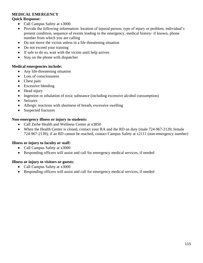# **MEDICAL EMERGENCY**

### **Quick Response:**

- Call Campus Safety at x3000
- Provide the following information: location of injured person, type of injury or problem, individual's present condition, sequence of events leading to the emergency, medical history- if known, phone number from which you are calling
- Do not move the victim unless in a life threatening situation
- Do not exceed your training
- If safe to do so, wait with the victim until help arrives
- Stay on the phone with dispatcher

## **Medical emergencies include:**

- Any life-threatening situation
- Loss of consciousness
- Chest pain
- Excessive bleeding
- Head injury
- Ingestion or inhalation of toxic substance (including excessive alcohol consumption)
- Seizures
- Allergic reactions with shortness of breath, excessive swelling
- Suspected fractures

### **Non-emergency illness or injury to students:**

- Call Zerbe Health and Wellness Center at x3850
- When the Health Center is closed, contact your RA and the RD on duty (male 724-967-2120; female 724-967-2139); if an RD cannot be reached, contact Campus Safety at x2111 (non-emergency number)

# **Illness or injury to faculty or staff:**

- Call Campus Safety at x3000
- Responding officers will assist and call for emergency medical services, if needed

### **Illness or injury to visitors or guests:**

- Call Campus Safety at x3000
- Responding officers will assist and call for emergency medical services, if needed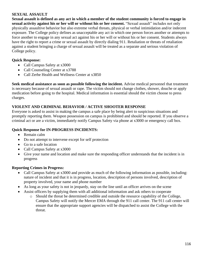## **SEXUAL ASSAULT**

**Sexual assault is defined as any act in which a member of the student community is forced to engage in sexual activity against his or her will or without his or her consent.** "Sexual assault" includes not only physically assaultive behavior but also extreme verbal threats, physical or verbal intimidation and/or indecent exposure. The College policy defines as unacceptable any act in which one person forces another or attempts to force another to engage in any sexual act against his or her will or without his or her consent. Students always have the right to report a crime or sexual assault by directly dialing 911. Retaliation or threats of retaliation against a student bringing a charge of sexual assault will be treated as a separate and serious violation of College policy.

# **Quick Response:**

- Call Campus Safety at x3000
- Call Counseling Center at x3788
- Call Zerbe Health and Wellness Center at x3850

**Seek medical assistance as soon as possible following the incident.** Advise medical personnel that treatment is necessary because of sexual assault or rape. The victim should not change clothes, shower, douche or apply medication before going to the hospital. Medical information is essential should the victim choose to press charges.

# **VIOLENT AND CRIMINAL BEHAVIOR / ACTIVE SHOOTER RESPONSE**

Everyone is asked to assist in making the campus a safe place by being alert to suspicious situations and promptly reporting them. Weapon possession on campus is prohibited and should be reported. If you observe a criminal act or are a victim, immediately notify Campus Safety via phone at x3000 or emergency call box.

## **Quick Response for IN-PROGRESS INCIDENTS:**

- Remain calm
- Do not attempt to intervene except for self protection
- Go to a safe location
- Call Campus Safety at x3000
- Give your name and location and make sure the responding officer understands that the incident is in progress

# **Reporting Crimes in Progress:**

- Call Campus Safety at x3000 and provide as much of the following information as possible, including: nature of incident and that it is in progress, location, description of persons involved, description of property involved, your name and phone number
- As long as your safety is not in jeopardy, stay on the line until an officer arrives on the scene
- Assist officers by supplying them with all additional information and ask others to cooperate
	- o Should the threat be determined credible and outside the resource capability of the College, Campus Safety will notify the Mercer EMA through the 911 call center. The 911 call center will ensure that the appropriate support agencies will be dispatched to assist the College with the threat.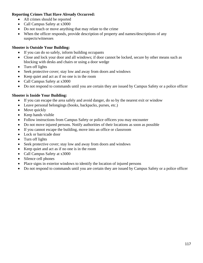# **Reporting Crimes That Have Already Occurred:**

- All crimes should be reported
- Call Campus Safety at x3000
- Do not touch or move anything that may relate to the crime
- When the officer responds, provide description of property and names/descriptions of any suspects/witnesses

## **Shooter is Outside Your Building:**

- If you can do so safely, inform building occupants
- Close and lock your door and all windows; if door cannot be locked, secure by other means such as blocking with desks and chairs or using a door wedge
- Turn off lights
- Seek protective cover; stay low and away from doors and windows
- Keep quiet and act as if no one is in the room
- Call Campus Safety at x3000
- Do not respond to commands until you are certain they are issued by Campus Safety or a police officer

## **Shooter is Inside Your Building:**

- If you can escape the area safely and avoid danger, do so by the nearest exit or window
- Leave personal belongings (books, backpacks, purses, etc.)
- Move quickly
- Keep hands visible
- Follow instructions from Campus Safety or police officers you may encounter
- Do not move injured persons. Notify authorities of their locations as soon as possible
- If you cannot escape the building, move into an office or classroom
- Lock or barricade door
- Turn off lights
- Seek protective cover; stay low and away from doors and windows
- Keep quiet and act as if no one is in the room
- Call Campus Safety at x3000
- Silence cell phones
- Place signs in exterior windows to identify the location of injured persons
- Do not respond to commands until you are certain they are issued by Campus Safety or a police officer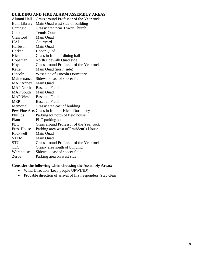### **BUILDING AND FIRE ALARM ASSEMBLY AREAS**

| Grass around Professor of the Year rock         |
|-------------------------------------------------|
| Main Quad west side of building                 |
| Grassy area near Tower Church                   |
| <b>Tennis Courts</b>                            |
| Main Quad                                       |
| Courtyard                                       |
| Main Quad                                       |
| <b>Upper Quad</b>                               |
| Grass in front of dining hall                   |
| North sidewalk Quad side                        |
| Grass around Professor of the Year rock         |
| Main Quad (north side)                          |
| West side of Lincoln Dormitory                  |
| Sidewalk east of soccer field                   |
| Main Quad                                       |
| <b>Baseball Field</b>                           |
| Main Quad                                       |
| <b>Baseball Field</b>                           |
| <b>Baseball Field</b>                           |
| Grassy area east of building                    |
| Pew Fine Arts Grass in front of Hicks Dormitory |
| Parking lot north of field house                |
| PLC parking lot                                 |
| Grass around Professor of the Year rock         |
| Parking area west of President's House          |
| Main Quad                                       |
| Main Quad                                       |
| Grass around Professor of the Year rock         |
| Grassy area south of building                   |
| Sidewalk east of soccer field                   |
| Parking area on west side                       |
|                                                 |

# **Consider the following when choosing the Assembly Areas:**

- Wind Direction (keep people UPWIND)
- Probable direction of arrival of first responders (stay clear)